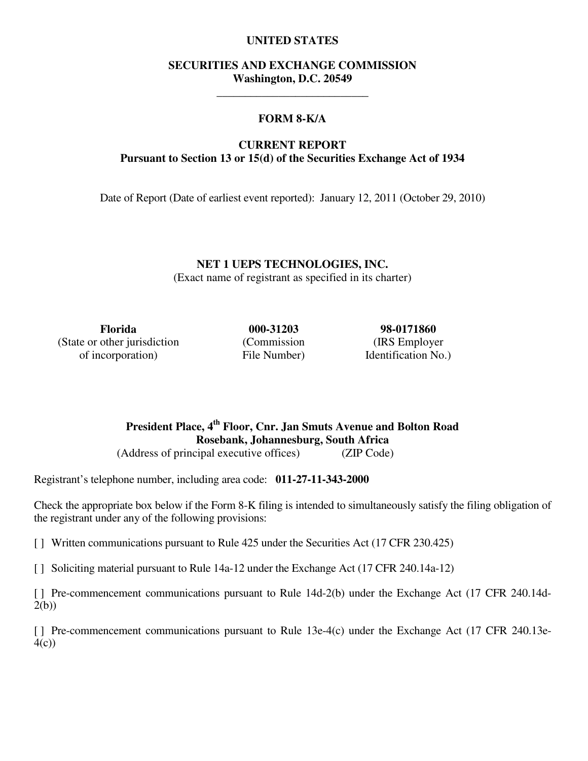## **UNITED STATES**

## **SECURITIES AND EXCHANGE COMMISSION Washington, D.C. 20549**

\_\_\_\_\_\_\_\_\_\_\_\_\_\_\_\_\_\_\_\_\_\_\_\_\_\_\_

## **FORM 8-K/A**

## **CURRENT REPORT Pursuant to Section 13 or 15(d) of the Securities Exchange Act of 1934**

Date of Report (Date of earliest event reported): January 12, 2011 (October 29, 2010)

**NET 1 UEPS TECHNOLOGIES, INC.**  (Exact name of registrant as specified in its charter)

**Florida 000-31203 98-0171860**  (State or other jurisdiction of incorporation)

(Commission File Number)

(IRS Employer Identification No.)

**President Place, 4th Floor, Cnr. Jan Smuts Avenue and Bolton Road Rosebank, Johannesburg, South Africa**  (Address of principal executive offices) (ZIP Code)

Registrant's telephone number, including area code: **011-27-11-343-2000**

Check the appropriate box below if the Form 8-K filing is intended to simultaneously satisfy the filing obligation of the registrant under any of the following provisions:

[ ] Written communications pursuant to Rule 425 under the Securities Act (17 CFR 230.425)

[ ] Soliciting material pursuant to Rule 14a-12 under the Exchange Act (17 CFR 240.14a-12)

[ ] Pre-commencement communications pursuant to Rule 14d-2(b) under the Exchange Act (17 CFR 240.14d-2(b))

[ ] Pre-commencement communications pursuant to Rule 13e-4(c) under the Exchange Act (17 CFR 240.13e- $4(c)$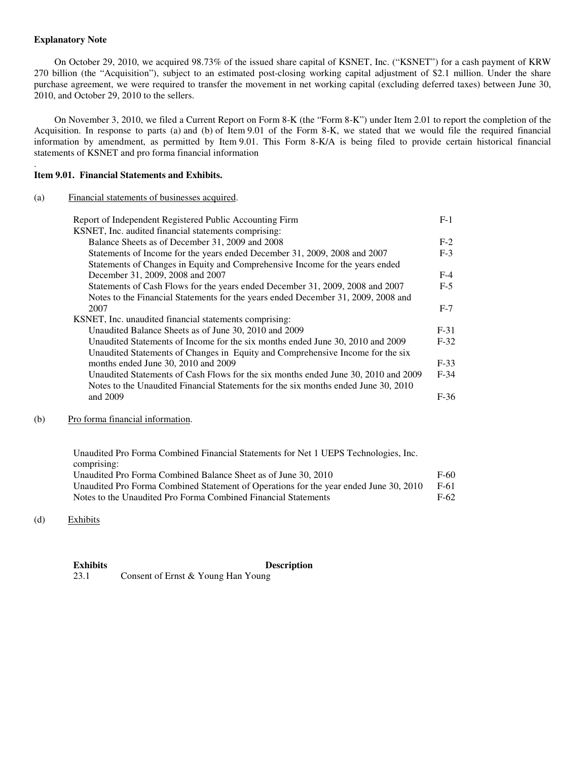## **Explanatory Note**

.

On October 29, 2010, we acquired 98.73% of the issued share capital of KSNET, Inc. ("KSNET") for a cash payment of KRW 270 billion (the "Acquisition"), subject to an estimated post-closing working capital adjustment of \$2.1 million. Under the share purchase agreement, we were required to transfer the movement in net working capital (excluding deferred taxes) between June 30, 2010, and October 29, 2010 to the sellers.

On November 3, 2010, we filed a Current Report on Form 8-K (the "Form 8-K") under Item 2.01 to report the completion of the Acquisition. In response to parts (a) and (b) of Item 9.01 of the Form 8-K, we stated that we would file the required financial information by amendment, as permitted by Item 9.01. This Form 8-K/A is being filed to provide certain historical financial statements of KSNET and pro forma financial information

## **Item 9.01. Financial Statements and Exhibits.**

#### (a) Financial statements of businesses acquired.

| Report of Independent Registered Public Accounting Firm                            | $F-1$  |
|------------------------------------------------------------------------------------|--------|
| KSNET, Inc. audited financial statements comprising:                               |        |
| Balance Sheets as of December 31, 2009 and 2008                                    | $F-2$  |
| Statements of Income for the years ended December 31, 2009, 2008 and 2007          | $F-3$  |
| Statements of Changes in Equity and Comprehensive Income for the years ended       |        |
| December 31, 2009, 2008 and 2007                                                   | $F-4$  |
| Statements of Cash Flows for the years ended December 31, 2009, 2008 and 2007      | $F-5$  |
| Notes to the Financial Statements for the years ended December 31, 2009, 2008 and  |        |
| 2007                                                                               | $F-7$  |
| KSNET, Inc. unaudited financial statements comprising:                             |        |
| Unaudited Balance Sheets as of June 30, 2010 and 2009                              | $F-31$ |
| Unaudited Statements of Income for the six months ended June 30, 2010 and 2009     | $F-32$ |
| Unaudited Statements of Changes in Equity and Comprehensive Income for the six     |        |
| months ended June 30, 2010 and 2009                                                | $F-33$ |
| Unaudited Statements of Cash Flows for the six months ended June 30, 2010 and 2009 | $F-34$ |
| Notes to the Unaudited Financial Statements for the six months ended June 30, 2010 |        |
| and 2009                                                                           | $F-36$ |
|                                                                                    |        |

(b) Pro forma financial information.

Unaudited Pro Forma Combined Financial Statements for Net 1 UEPS Technologies, Inc. comprising: Unaudited Pro Forma Combined Balance Sheet as of June 30, 2010 F-60 Unaudited Pro Forma Combined Statement of Operations for the year ended June 30, 2010 F-61 Notes to the Unaudited Pro Forma Combined Financial Statements F-62

(d) Exhibits

**Exhibits Description**  23.1 Consent of Ernst & Young Han Young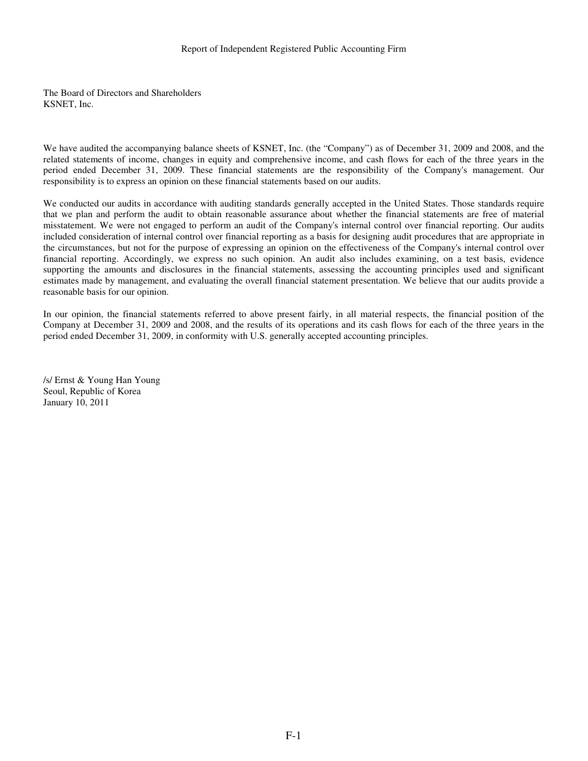#### Report of Independent Registered Public Accounting Firm

The Board of Directors and Shareholders KSNET, Inc.

We have audited the accompanying balance sheets of KSNET, Inc. (the "Company") as of December 31, 2009 and 2008, and the related statements of income, changes in equity and comprehensive income, and cash flows for each of the three years in the period ended December 31, 2009. These financial statements are the responsibility of the Company's management. Our responsibility is to express an opinion on these financial statements based on our audits.

We conducted our audits in accordance with auditing standards generally accepted in the United States. Those standards require that we plan and perform the audit to obtain reasonable assurance about whether the financial statements are free of material misstatement. We were not engaged to perform an audit of the Company's internal control over financial reporting. Our audits included consideration of internal control over financial reporting as a basis for designing audit procedures that are appropriate in the circumstances, but not for the purpose of expressing an opinion on the effectiveness of the Company's internal control over financial reporting. Accordingly, we express no such opinion. An audit also includes examining, on a test basis, evidence supporting the amounts and disclosures in the financial statements, assessing the accounting principles used and significant estimates made by management, and evaluating the overall financial statement presentation. We believe that our audits provide a reasonable basis for our opinion.

In our opinion, the financial statements referred to above present fairly, in all material respects, the financial position of the Company at December 31, 2009 and 2008, and the results of its operations and its cash flows for each of the three years in the period ended December 31, 2009, in conformity with U.S. generally accepted accounting principles.

/s/ Ernst & Young Han Young Seoul, Republic of Korea January 10, 2011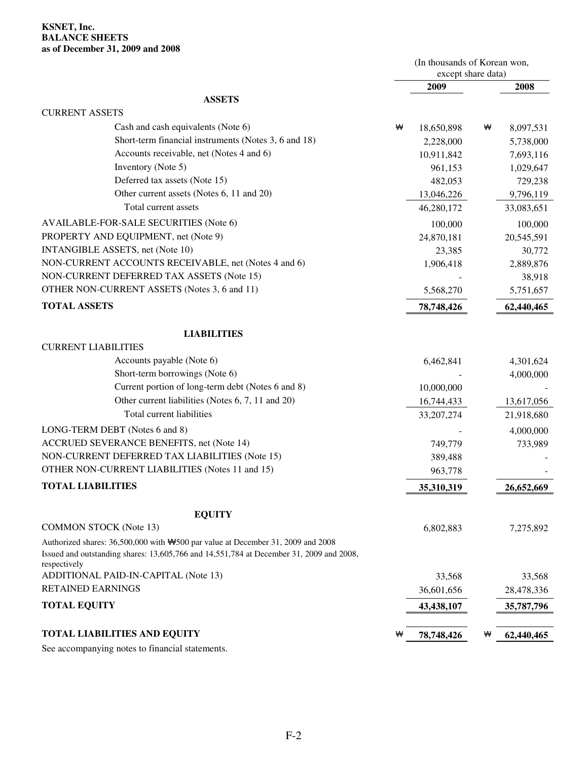## **KSNET, Inc. BALANCE SHEETS as of December 31, 2009 and 2008**

|                                                                                                                                                                                              |   | (In thousands of Korean won,<br>except share data) |   |            |
|----------------------------------------------------------------------------------------------------------------------------------------------------------------------------------------------|---|----------------------------------------------------|---|------------|
|                                                                                                                                                                                              |   | 2009                                               |   | 2008       |
| <b>ASSETS</b>                                                                                                                                                                                |   |                                                    |   |            |
| <b>CURRENT ASSETS</b>                                                                                                                                                                        |   |                                                    |   |            |
| Cash and cash equivalents (Note 6)                                                                                                                                                           | ₩ | 18,650,898                                         | ₩ | 8,097,531  |
| Short-term financial instruments (Notes 3, 6 and 18)                                                                                                                                         |   | 2,228,000                                          |   | 5,738,000  |
| Accounts receivable, net (Notes 4 and 6)                                                                                                                                                     |   | 10,911,842                                         |   | 7,693,116  |
| Inventory (Note 5)                                                                                                                                                                           |   | 961,153                                            |   | 1,029,647  |
| Deferred tax assets (Note 15)                                                                                                                                                                |   | 482,053                                            |   | 729,238    |
| Other current assets (Notes 6, 11 and 20)                                                                                                                                                    |   | 13,046,226                                         |   | 9,796,119  |
| Total current assets                                                                                                                                                                         |   | 46,280,172                                         |   | 33,083,651 |
| AVAILABLE-FOR-SALE SECURITIES (Note 6)                                                                                                                                                       |   | 100,000                                            |   | 100,000    |
| PROPERTY AND EQUIPMENT, net (Note 9)                                                                                                                                                         |   | 24,870,181                                         |   | 20,545,591 |
| INTANGIBLE ASSETS, net (Note 10)                                                                                                                                                             |   | 23,385                                             |   | 30,772     |
| NON-CURRENT ACCOUNTS RECEIVABLE, net (Notes 4 and 6)                                                                                                                                         |   | 1,906,418                                          |   | 2,889,876  |
| NON-CURRENT DEFERRED TAX ASSETS (Note 15)                                                                                                                                                    |   |                                                    |   | 38,918     |
| OTHER NON-CURRENT ASSETS (Notes 3, 6 and 11)                                                                                                                                                 |   | 5,568,270                                          |   | 5,751,657  |
| <b>TOTAL ASSETS</b>                                                                                                                                                                          |   | 78,748,426                                         |   | 62,440,465 |
| <b>LIABILITIES</b>                                                                                                                                                                           |   |                                                    |   |            |
| <b>CURRENT LIABILITIES</b>                                                                                                                                                                   |   |                                                    |   |            |
| Accounts payable (Note 6)                                                                                                                                                                    |   | 6,462,841                                          |   | 4,301,624  |
| Short-term borrowings (Note 6)                                                                                                                                                               |   |                                                    |   | 4,000,000  |
| Current portion of long-term debt (Notes 6 and 8)                                                                                                                                            |   | 10,000,000                                         |   |            |
| Other current liabilities (Notes 6, 7, 11 and 20)                                                                                                                                            |   | 16,744,433                                         |   | 13,617,056 |
| Total current liabilities                                                                                                                                                                    |   | 33, 207, 274                                       |   | 21,918,680 |
| LONG-TERM DEBT (Notes 6 and 8)                                                                                                                                                               |   |                                                    |   | 4,000,000  |
| ACCRUED SEVERANCE BENEFITS, net (Note 14)                                                                                                                                                    |   | 749,779                                            |   | 733,989    |
| NON-CURRENT DEFERRED TAX LIABILITIES (Note 15)                                                                                                                                               |   | 389,488                                            |   |            |
| OTHER NON-CURRENT LIABILITIES (Notes 11 and 15)                                                                                                                                              |   | 963,778                                            |   |            |
| <b>TOTAL LIABILITIES</b>                                                                                                                                                                     |   | 35,310,319                                         |   | 26,652,669 |
| <b>EQUITY</b>                                                                                                                                                                                |   |                                                    |   |            |
| <b>COMMON STOCK (Note 13)</b>                                                                                                                                                                |   | 6,802,883                                          |   | 7,275,892  |
| Authorized shares: 36,500,000 with \\$500 par value at December 31, 2009 and 2008<br>Issued and outstanding shares: 13,605,766 and 14,551,784 at December 31, 2009 and 2008,<br>respectively |   |                                                    |   |            |
| ADDITIONAL PAID-IN-CAPITAL (Note 13)                                                                                                                                                         |   | 33,568                                             |   | 33,568     |
| <b>RETAINED EARNINGS</b>                                                                                                                                                                     |   | 36,601,656                                         |   | 28,478,336 |
| <b>TOTAL EQUITY</b>                                                                                                                                                                          |   | 43,438,107                                         |   | 35,787,796 |
| <b>TOTAL LIABILITIES AND EQUITY</b>                                                                                                                                                          | ₩ | 78,748,426                                         | ₩ | 62,440,465 |
|                                                                                                                                                                                              |   |                                                    |   |            |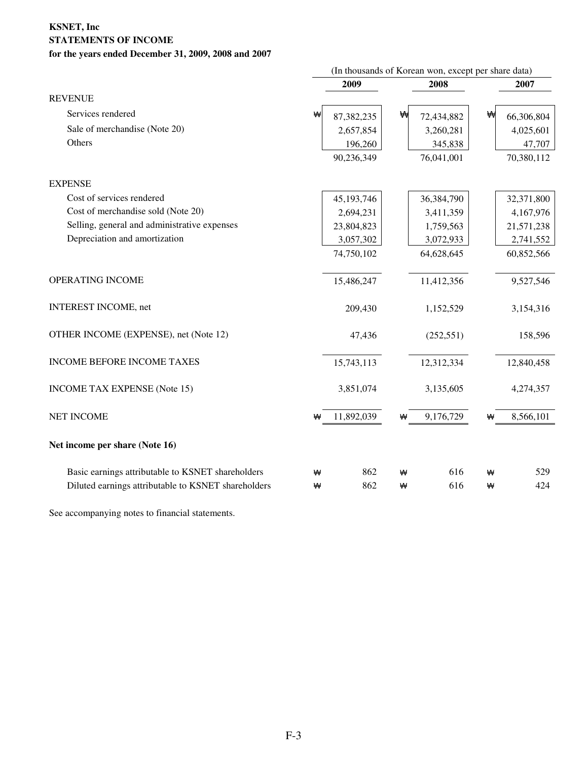## **KSNET, Inc STATEMENTS OF INCOME for the years ended December 31, 2009, 2008 and 2007**

|                                                     | (In thousands of Korean won, except per share data) |            |   |            |   |            |
|-----------------------------------------------------|-----------------------------------------------------|------------|---|------------|---|------------|
|                                                     |                                                     | 2009       |   | 2008       |   | 2007       |
| <b>REVENUE</b>                                      |                                                     |            |   |            |   |            |
| Services rendered                                   | ₩                                                   | 87,382,235 | ₩ | 72,434,882 | ₩ | 66,306,804 |
| Sale of merchandise (Note 20)                       |                                                     | 2,657,854  |   | 3,260,281  |   | 4,025,601  |
| Others                                              |                                                     | 196,260    |   | 345,838    |   | 47,707     |
|                                                     |                                                     | 90,236,349 |   | 76,041,001 |   | 70,380,112 |
| <b>EXPENSE</b>                                      |                                                     |            |   |            |   |            |
| Cost of services rendered                           |                                                     | 45,193,746 |   | 36,384,790 |   | 32,371,800 |
| Cost of merchandise sold (Note 20)                  |                                                     | 2,694,231  |   | 3,411,359  |   | 4,167,976  |
| Selling, general and administrative expenses        |                                                     | 23,804,823 |   | 1,759,563  |   | 21,571,238 |
| Depreciation and amortization                       |                                                     | 3,057,302  |   | 3,072,933  |   | 2,741,552  |
|                                                     |                                                     | 74,750,102 |   | 64,628,645 |   | 60,852,566 |
| OPERATING INCOME                                    |                                                     | 15,486,247 |   | 11,412,356 |   | 9,527,546  |
| <b>INTEREST INCOME, net</b>                         |                                                     | 209,430    |   | 1,152,529  |   | 3,154,316  |
| OTHER INCOME (EXPENSE), net (Note 12)               |                                                     | 47,436     |   | (252, 551) |   | 158,596    |
| INCOME BEFORE INCOME TAXES                          |                                                     | 15,743,113 |   | 12,312,334 |   | 12,840,458 |
| <b>INCOME TAX EXPENSE (Note 15)</b>                 |                                                     | 3,851,074  |   | 3,135,605  |   | 4,274,357  |
| <b>NET INCOME</b>                                   | ₩                                                   | 11,892,039 | ₩ | 9,176,729  | ₩ | 8,566,101  |
| Net income per share (Note 16)                      |                                                     |            |   |            |   |            |
| Basic earnings attributable to KSNET shareholders   | ₩                                                   | 862        | ₩ | 616        | ₩ | 529        |
| Diluted earnings attributable to KSNET shareholders | ₩                                                   | 862        | ₩ | 616        | ₩ | 424        |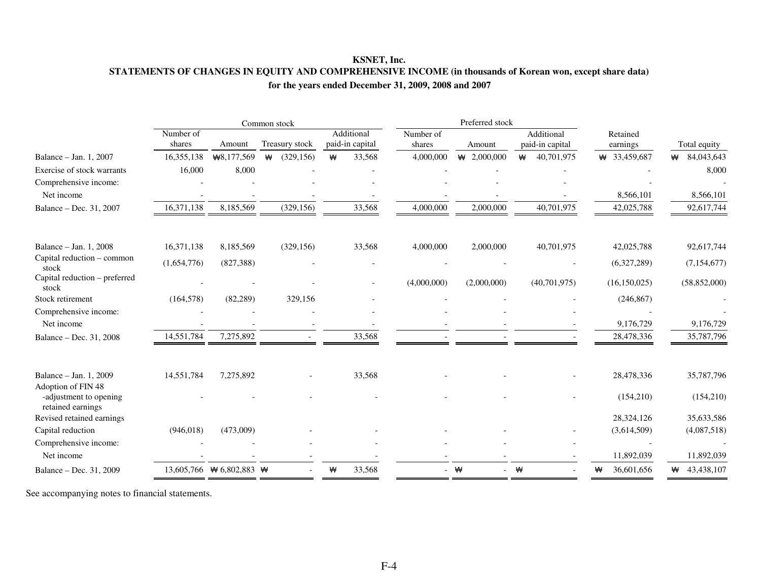## **KSNET, Inc. STATEMENTS OF CHANGES IN EQUITY AND COMPREHENSIVE INCOME (in thousands of Korean won, except share data) for the years ended December 31, 2009, 2008 and 2007**

|                                              |                     |                                | Common stock    |   |                               |                     | Preferred stock   |                               |                      |                 |
|----------------------------------------------|---------------------|--------------------------------|-----------------|---|-------------------------------|---------------------|-------------------|-------------------------------|----------------------|-----------------|
|                                              | Number of<br>shares | Amount                         | Treasury stock  |   | Additional<br>paid-in capital | Number of<br>shares | Amount            | Additional<br>paid-in capital | Retained<br>earnings | Total equity    |
| Balance – Jan. 1, 2007                       | 16,355,138          | ₩8,177,569                     | ₩<br>(329, 156) | ₩ | 33,568                        | 4,000,000           | $\star$ 2,000,000 | 40,701,975<br>₩               | $\#$ 33,459,687      | 84,043,643<br>₩ |
| Exercise of stock warrants                   | 16,000              | 8,000                          |                 |   |                               |                     |                   |                               |                      | 8,000           |
| Comprehensive income:                        |                     |                                |                 |   |                               |                     |                   |                               |                      |                 |
| Net income                                   |                     |                                |                 |   |                               |                     |                   |                               | 8,566,101            | 8,566,101       |
| Balance - Dec. 31, 2007                      | 16,371,138          | 8,185,569                      | (329, 156)      |   | 33,568                        | 4,000,000           | 2,000,000         | 40,701,975                    | 42,025,788           | 92,617,744      |
| Balance - Jan. 1, 2008                       | 16,371,138          | 8,185,569                      | (329, 156)      |   | 33,568                        | 4,000,000           | 2,000,000         | 40,701,975                    | 42,025,788           | 92,617,744      |
| Capital reduction - common                   |                     |                                |                 |   |                               |                     |                   |                               |                      |                 |
| stock                                        | (1,654,776)         | (827, 388)                     |                 |   |                               |                     |                   |                               | (6,327,289)          | (7, 154, 677)   |
| Capital reduction - preferred<br>stock       |                     |                                |                 |   |                               | (4,000,000)         | (2,000,000)       | (40,701,975)                  | (16, 150, 025)       | (58,852,000)    |
| Stock retirement                             | (164, 578)          | (82, 289)                      | 329,156         |   |                               |                     |                   |                               | (246, 867)           |                 |
| Comprehensive income:                        |                     |                                |                 |   |                               |                     |                   |                               |                      |                 |
| Net income                                   |                     |                                |                 |   |                               |                     |                   |                               | 9,176,729            | 9,176,729       |
| Balance - Dec. 31, 2008                      | 14,551,784          | 7,275,892                      |                 |   | 33,568                        |                     |                   |                               | 28,478,336           | 35,787,796      |
| Balance - Jan. 1, 2009<br>Adoption of FIN 48 | 14,551,784          | 7,275,892                      |                 |   | 33,568                        |                     |                   |                               | 28,478,336           | 35,787,796      |
| -adjustment to opening<br>retained earnings  |                     |                                |                 |   |                               |                     |                   |                               | (154,210)            | (154,210)       |
| Revised retained earnings                    |                     |                                |                 |   |                               |                     |                   |                               | 28,324,126           | 35,633,586      |
| Capital reduction                            | (946, 018)          | (473,009)                      |                 |   |                               |                     |                   |                               | (3,614,509)          | (4,087,518)     |
| Comprehensive income:<br>Net income          |                     |                                |                 |   |                               |                     |                   |                               | 11,892,039           | 11,892,039      |
| Balance - Dec. 31, 2009                      |                     | 13,605,766 $\#$ 6,802,883 $\#$ |                 | ₩ | 33,568                        |                     | - ₩               | $ \mathbf{\mathsf{W}}$        | 36,601,656<br>₩      | 43,438,107<br>₩ |
|                                              |                     |                                |                 |   |                               |                     |                   |                               |                      |                 |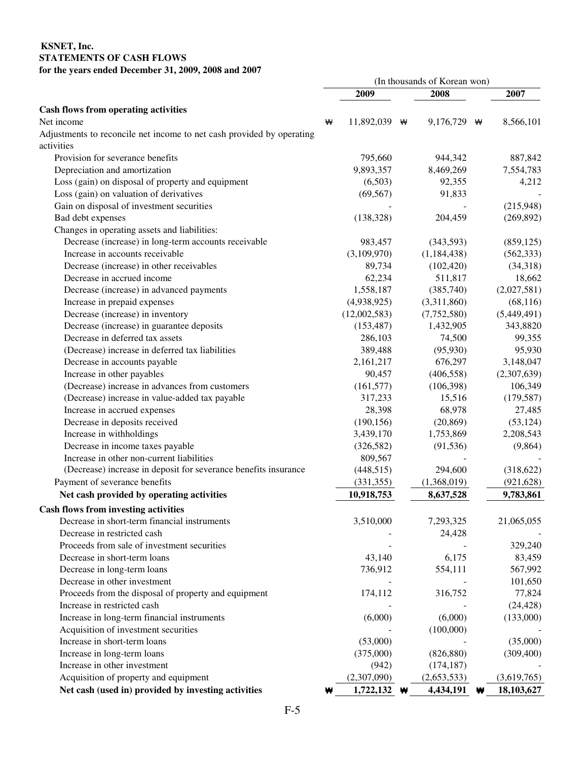## **KSNET, Inc. STATEMENTS OF CASH FLOWS for the years ended December 31, 2009, 2008 and 2007**

|                                                                       |   |                      | (In thousands of Korean won) |   |                   |
|-----------------------------------------------------------------------|---|----------------------|------------------------------|---|-------------------|
|                                                                       |   | 2009                 | 2008                         |   | 2007              |
| <b>Cash flows from operating activities</b>                           |   |                      |                              |   |                   |
| Net income                                                            | ₩ | 11,892,039 $\forall$ | 9,176,729                    | ₩ | 8,566,101         |
| Adjustments to reconcile net income to net cash provided by operating |   |                      |                              |   |                   |
| activities                                                            |   |                      |                              |   |                   |
| Provision for severance benefits                                      |   | 795,660              | 944,342                      |   | 887,842           |
| Depreciation and amortization                                         |   | 9,893,357            | 8,469,269                    |   | 7,554,783         |
| Loss (gain) on disposal of property and equipment                     |   | (6,503)              | 92,355                       |   | 4,212             |
| Loss (gain) on valuation of derivatives                               |   | (69, 567)            | 91,833                       |   |                   |
| Gain on disposal of investment securities                             |   |                      |                              |   | (215,948)         |
| Bad debt expenses                                                     |   | (138, 328)           | 204,459                      |   | (269, 892)        |
| Changes in operating assets and liabilities:                          |   |                      |                              |   |                   |
| Decrease (increase) in long-term accounts receivable                  |   | 983,457              | (343,593)                    |   | (859, 125)        |
| Increase in accounts receivable                                       |   | (3,109,970)          | (1,184,438)                  |   | (562, 333)        |
| Decrease (increase) in other receivables                              |   | 89,734               | (102, 420)                   |   | (34,318)          |
| Decrease in accrued income                                            |   | 62,234               | 511,817                      |   | 18,662            |
| Decrease (increase) in advanced payments                              |   | 1,558,187            | (385,740)                    |   | (2,027,581)       |
| Increase in prepaid expenses                                          |   | (4,938,925)          | (3,311,860)                  |   | (68, 116)         |
| Decrease (increase) in inventory                                      |   | (12,002,583)         | (7,752,580)                  |   | (5,449,491)       |
| Decrease (increase) in guarantee deposits                             |   | (153, 487)           | 1,432,905                    |   | 343,8820          |
| Decrease in deferred tax assets                                       |   | 286,103              | 74,500                       |   | 99,355            |
| (Decrease) increase in deferred tax liabilities                       |   | 389,488              | (95, 930)                    |   | 95,930            |
| Decrease in accounts payable                                          |   | 2,161,217            | 676,297                      |   | 3,148,047         |
| Increase in other payables                                            |   | 90,457               | (406, 558)                   |   | (2,307,639)       |
| (Decrease) increase in advances from customers                        |   | (161, 577)           | (106,398)                    |   | 106,349           |
| (Decrease) increase in value-added tax payable                        |   | 317,233              | 15,516                       |   | (179, 587)        |
| Increase in accrued expenses                                          |   | 28,398               | 68,978                       |   | 27,485            |
| Decrease in deposits received                                         |   | (190, 156)           | (20, 869)                    |   | (53, 124)         |
| Increase in withholdings                                              |   | 3,439,170            | 1,753,869                    |   | 2,208,543         |
| Decrease in income taxes payable                                      |   | (326, 582)           | (91, 536)                    |   | (9,864)           |
| Increase in other non-current liabilities                             |   | 809,567              |                              |   |                   |
| (Decrease) increase in deposit for severance benefits insurance       |   | (448, 515)           | 294,600                      |   | (318, 622)        |
| Payment of severance benefits                                         |   | (331, 355)           | (1,368,019)                  |   | (921, 628)        |
| Net cash provided by operating activities                             |   | 10,918,753           | 8,637,528                    |   | 9,783,861         |
| <b>Cash flows from investing activities</b>                           |   |                      |                              |   |                   |
| Decrease in short-term financial instruments                          |   | 3,510,000            | 7,293,325                    |   | 21,065,055        |
| Decrease in restricted cash                                           |   |                      | 24,428                       |   |                   |
| Proceeds from sale of investment securities                           |   |                      |                              |   |                   |
| Decrease in short-term loans                                          |   | 43,140               | 6,175                        |   | 329,240           |
|                                                                       |   | 736,912              | 554,111                      |   | 83,459<br>567,992 |
| Decrease in long-term loans<br>Decrease in other investment           |   |                      |                              |   | 101,650           |
|                                                                       |   |                      |                              |   |                   |
| Proceeds from the disposal of property and equipment                  |   | 174,112              | 316,752                      |   | 77,824            |
| Increase in restricted cash                                           |   |                      | (6,000)                      |   | (24, 428)         |
| Increase in long-term financial instruments                           |   | (6,000)              |                              |   | (133,000)         |
| Acquisition of investment securities                                  |   |                      | (100,000)                    |   |                   |
| Increase in short-term loans                                          |   | (53,000)             |                              |   | (35,000)          |
| Increase in long-term loans                                           |   | (375,000)            | (826, 880)                   |   | (309, 400)        |
| Increase in other investment                                          |   | (942)                | (174, 187)                   |   |                   |
| Acquisition of property and equipment                                 |   | (2,307,090)          | (2,653,533)                  |   | (3,619,765)       |
| Net cash (used in) provided by investing activities                   | ₩ | 1,722,132 $\bullet$  | 4,434,191                    | ₩ | 18,103,627        |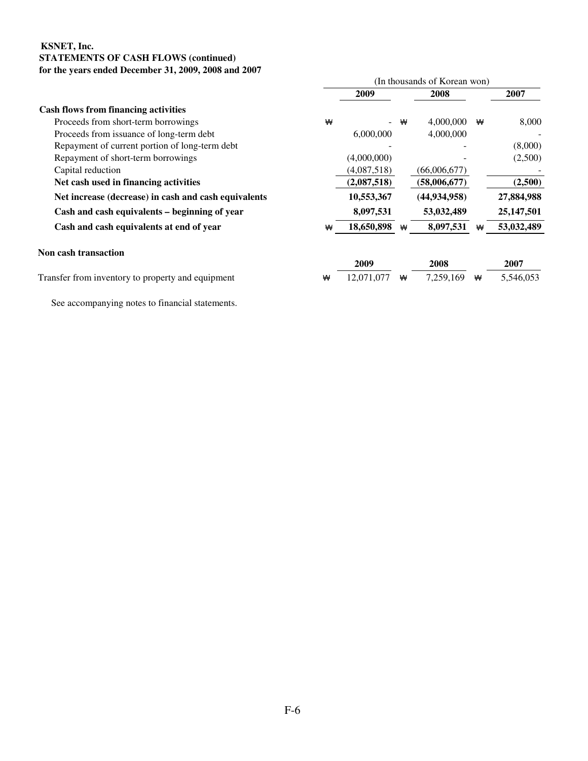## **KSNET, Inc. STATEMENTS OF CASH FLOWS (continued) for the years ended December 31, 2009, 2008 and 2007**

|                                                      |   |             |   | (In thousands of Korean won) |   |            |
|------------------------------------------------------|---|-------------|---|------------------------------|---|------------|
|                                                      |   | 2009        |   | 2008                         |   | 2007       |
| <b>Cash flows from financing activities</b>          |   |             |   |                              |   |            |
| Proceeds from short-term borrowings                  | ₩ |             | ₩ | 4,000,000                    | ₩ | 8,000      |
| Proceeds from issuance of long-term debt             |   | 6,000,000   |   | 4,000,000                    |   |            |
| Repayment of current portion of long-term debt       |   |             |   |                              |   | (8,000)    |
| Repayment of short-term borrowings                   |   | (4,000,000) |   |                              |   | (2,500)    |
| Capital reduction                                    |   | (4,087,518) |   | (66,006,677)                 |   |            |
| Net cash used in financing activities                |   | (2,087,518) |   | (58,006,677)                 |   | (2,500)    |
| Net increase (decrease) in cash and cash equivalents |   | 10,553,367  |   | (44, 934, 958)               |   | 27,884,988 |
| Cash and cash equivalents - beginning of year        |   | 8,097,531   |   | 53,032,489                   |   | 25,147,501 |
| Cash and cash equivalents at end of year             | ₩ | 18,650,898  | ₩ | 8,097,531                    |   | 53,032,489 |
| <b>Non cash transaction</b>                          |   |             |   |                              |   |            |
|                                                      |   | 2009        |   | 2008                         |   | 2007       |
| Transfer from inventory to property and equipment    | ₩ | 12,071,077  | ₩ | 7,259,169                    | ₩ | 5,546,053  |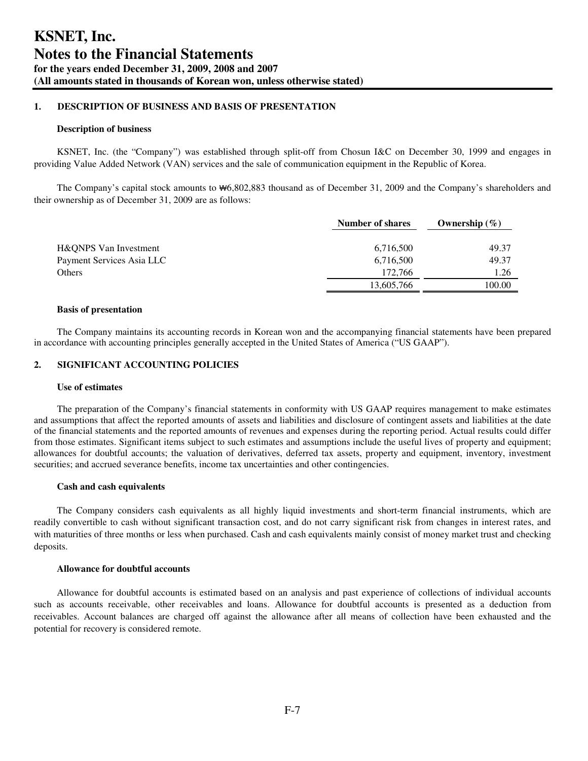### **1. DESCRIPTION OF BUSINESS AND BASIS OF PRESENTATION**

#### **Description of business**

KSNET, Inc. (the "Company") was established through split-off from Chosun I&C on December 30, 1999 and engages in providing Value Added Network (VAN) services and the sale of communication equipment in the Republic of Korea.

The Company's capital stock amounts to ₩6,802,883 thousand as of December 31, 2009 and the Company's shareholders and their ownership as of December 31, 2009 are as follows:

|                           | Number of shares | Ownership $(\% )$ |
|---------------------------|------------------|-------------------|
| H&QNPS Van Investment     | 6,716,500        | 49.37             |
| Payment Services Asia LLC | 6,716,500        | 49.37             |
| <b>Others</b>             | 172.766          | 1.26              |
|                           | 13,605,766       | 100.00            |

#### **Basis of presentation**

The Company maintains its accounting records in Korean won and the accompanying financial statements have been prepared in accordance with accounting principles generally accepted in the United States of America ("US GAAP").

## **2. SIGNIFICANT ACCOUNTING POLICIES**

#### **Use of estimates**

The preparation of the Company's financial statements in conformity with US GAAP requires management to make estimates and assumptions that affect the reported amounts of assets and liabilities and disclosure of contingent assets and liabilities at the date of the financial statements and the reported amounts of revenues and expenses during the reporting period. Actual results could differ from those estimates. Significant items subject to such estimates and assumptions include the useful lives of property and equipment; allowances for doubtful accounts; the valuation of derivatives, deferred tax assets, property and equipment, inventory, investment securities; and accrued severance benefits, income tax uncertainties and other contingencies.

#### **Cash and cash equivalents**

The Company considers cash equivalents as all highly liquid investments and short-term financial instruments, which are readily convertible to cash without significant transaction cost, and do not carry significant risk from changes in interest rates, and with maturities of three months or less when purchased. Cash and cash equivalents mainly consist of money market trust and checking deposits.

#### **Allowance for doubtful accounts**

Allowance for doubtful accounts is estimated based on an analysis and past experience of collections of individual accounts such as accounts receivable, other receivables and loans. Allowance for doubtful accounts is presented as a deduction from receivables. Account balances are charged off against the allowance after all means of collection have been exhausted and the potential for recovery is considered remote.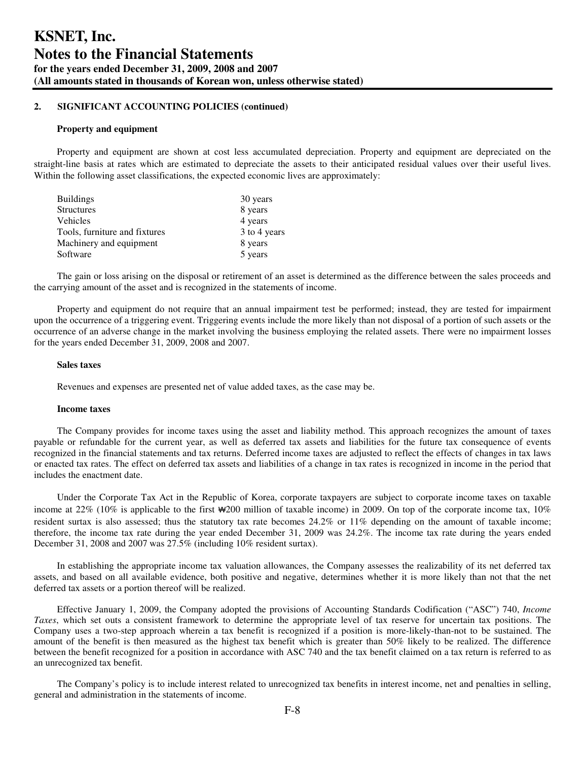#### **Property and equipment**

Property and equipment are shown at cost less accumulated depreciation. Property and equipment are depreciated on the straight-line basis at rates which are estimated to depreciate the assets to their anticipated residual values over their useful lives. Within the following asset classifications, the expected economic lives are approximately:

| <b>Buildings</b>              | 30 years     |
|-------------------------------|--------------|
| <b>Structures</b>             | 8 years      |
| <b>Vehicles</b>               | 4 years      |
| Tools, furniture and fixtures | 3 to 4 years |
| Machinery and equipment       | 8 years      |
| Software                      | 5 years      |

The gain or loss arising on the disposal or retirement of an asset is determined as the difference between the sales proceeds and the carrying amount of the asset and is recognized in the statements of income.

Property and equipment do not require that an annual impairment test be performed; instead, they are tested for impairment upon the occurrence of a triggering event. Triggering events include the more likely than not disposal of a portion of such assets or the occurrence of an adverse change in the market involving the business employing the related assets. There were no impairment losses for the years ended December 31, 2009, 2008 and 2007.

#### **Sales taxes**

Revenues and expenses are presented net of value added taxes, as the case may be.

#### **Income taxes**

The Company provides for income taxes using the asset and liability method. This approach recognizes the amount of taxes payable or refundable for the current year, as well as deferred tax assets and liabilities for the future tax consequence of events recognized in the financial statements and tax returns. Deferred income taxes are adjusted to reflect the effects of changes in tax laws or enacted tax rates. The effect on deferred tax assets and liabilities of a change in tax rates is recognized in income in the period that includes the enactment date.

Under the Corporate Tax Act in the Republic of Korea, corporate taxpayers are subject to corporate income taxes on taxable income at 22% (10% is applicable to the first ₩200 million of taxable income) in 2009. On top of the corporate income tax, 10% resident surtax is also assessed; thus the statutory tax rate becomes 24.2% or 11% depending on the amount of taxable income; therefore, the income tax rate during the year ended December 31, 2009 was 24.2%. The income tax rate during the years ended December 31, 2008 and 2007 was 27.5% (including 10% resident surtax).

In establishing the appropriate income tax valuation allowances, the Company assesses the realizability of its net deferred tax assets, and based on all available evidence, both positive and negative, determines whether it is more likely than not that the net deferred tax assets or a portion thereof will be realized.

Effective January 1, 2009, the Company adopted the provisions of Accounting Standards Codification ("ASC") 740, *Income Taxes*, which set outs a consistent framework to determine the appropriate level of tax reserve for uncertain tax positions. The Company uses a two-step approach wherein a tax benefit is recognized if a position is more-likely-than-not to be sustained. The amount of the benefit is then measured as the highest tax benefit which is greater than 50% likely to be realized. The difference between the benefit recognized for a position in accordance with ASC 740 and the tax benefit claimed on a tax return is referred to as an unrecognized tax benefit.

The Company's policy is to include interest related to unrecognized tax benefits in interest income, net and penalties in selling, general and administration in the statements of income.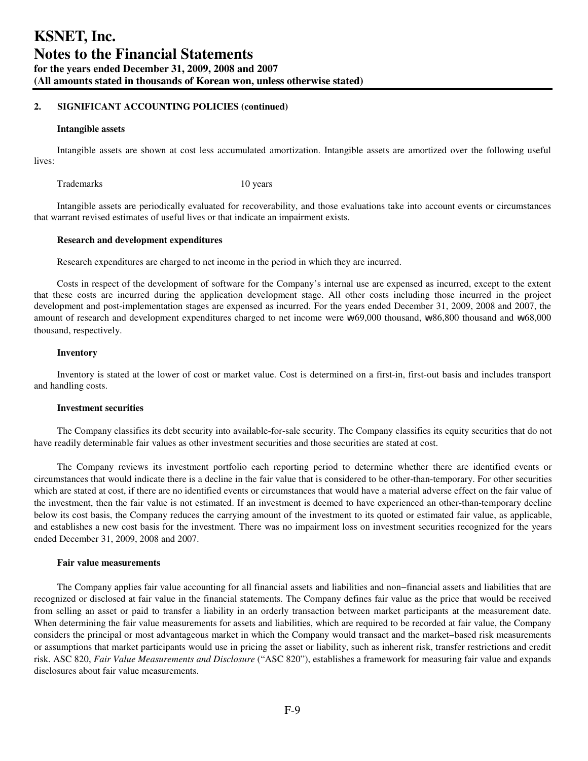#### **Intangible assets**

Intangible assets are shown at cost less accumulated amortization. Intangible assets are amortized over the following useful lives:

Trademarks 10 years 10 years

Intangible assets are periodically evaluated for recoverability, and those evaluations take into account events or circumstances that warrant revised estimates of useful lives or that indicate an impairment exists.

#### **Research and development expenditures**

Research expenditures are charged to net income in the period in which they are incurred.

Costs in respect of the development of software for the Company's internal use are expensed as incurred, except to the extent that these costs are incurred during the application development stage. All other costs including those incurred in the project development and post-implementation stages are expensed as incurred. For the years ended December 31, 2009, 2008 and 2007, the amount of research and development expenditures charged to net income were ₩69,000 thousand, ₩86,800 thousand and ₩68,000 thousand, respectively.

#### **Inventory**

Inventory is stated at the lower of cost or market value. Cost is determined on a first-in, first-out basis and includes transport and handling costs.

#### **Investment securities**

The Company classifies its debt security into available-for-sale security. The Company classifies its equity securities that do not have readily determinable fair values as other investment securities and those securities are stated at cost.

The Company reviews its investment portfolio each reporting period to determine whether there are identified events or circumstances that would indicate there is a decline in the fair value that is considered to be other-than-temporary. For other securities which are stated at cost, if there are no identified events or circumstances that would have a material adverse effect on the fair value of the investment, then the fair value is not estimated. If an investment is deemed to have experienced an other-than-temporary decline below its cost basis, the Company reduces the carrying amount of the investment to its quoted or estimated fair value, as applicable, and establishes a new cost basis for the investment. There was no impairment loss on investment securities recognized for the years ended December 31, 2009, 2008 and 2007.

#### **Fair value measurements**

The Company applies fair value accounting for all financial assets and liabilities and non−financial assets and liabilities that are recognized or disclosed at fair value in the financial statements. The Company defines fair value as the price that would be received from selling an asset or paid to transfer a liability in an orderly transaction between market participants at the measurement date. When determining the fair value measurements for assets and liabilities, which are required to be recorded at fair value, the Company considers the principal or most advantageous market in which the Company would transact and the market−based risk measurements or assumptions that market participants would use in pricing the asset or liability, such as inherent risk, transfer restrictions and credit risk. ASC 820, *Fair Value Measurements and Disclosure* ("ASC 820"), establishes a framework for measuring fair value and expands disclosures about fair value measurements.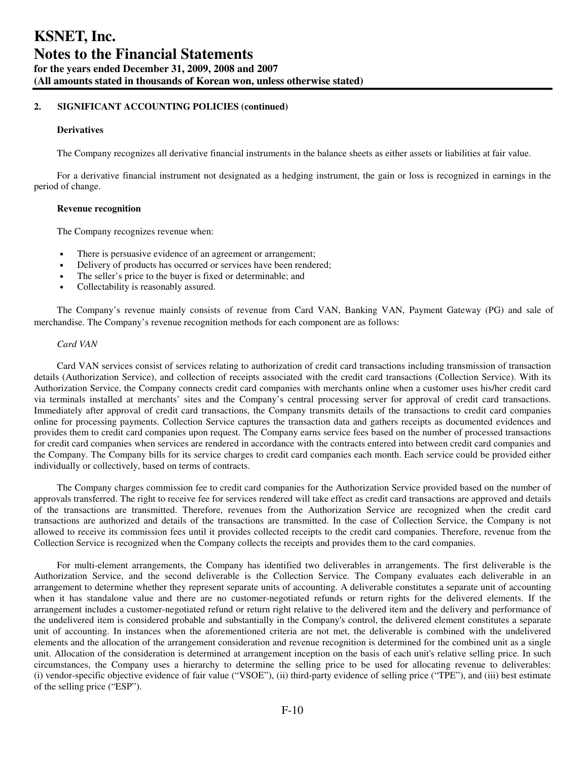### **Derivatives**

The Company recognizes all derivative financial instruments in the balance sheets as either assets or liabilities at fair value.

For a derivative financial instrument not designated as a hedging instrument, the gain or loss is recognized in earnings in the period of change.

#### **Revenue recognition**

The Company recognizes revenue when:

- There is persuasive evidence of an agreement or arrangement;
- Delivery of products has occurred or services have been rendered;
- The seller's price to the buyer is fixed or determinable; and
- Collectability is reasonably assured.

The Company's revenue mainly consists of revenue from Card VAN, Banking VAN, Payment Gateway (PG) and sale of merchandise. The Company's revenue recognition methods for each component are as follows:

#### *Card VAN*

Card VAN services consist of services relating to authorization of credit card transactions including transmission of transaction details (Authorization Service), and collection of receipts associated with the credit card transactions (Collection Service). With its Authorization Service, the Company connects credit card companies with merchants online when a customer uses his/her credit card via terminals installed at merchants' sites and the Company's central processing server for approval of credit card transactions. Immediately after approval of credit card transactions, the Company transmits details of the transactions to credit card companies online for processing payments. Collection Service captures the transaction data and gathers receipts as documented evidences and provides them to credit card companies upon request. The Company earns service fees based on the number of processed transactions for credit card companies when services are rendered in accordance with the contracts entered into between credit card companies and the Company. The Company bills for its service charges to credit card companies each month. Each service could be provided either individually or collectively, based on terms of contracts.

The Company charges commission fee to credit card companies for the Authorization Service provided based on the number of approvals transferred. The right to receive fee for services rendered will take effect as credit card transactions are approved and details of the transactions are transmitted. Therefore, revenues from the Authorization Service are recognized when the credit card transactions are authorized and details of the transactions are transmitted. In the case of Collection Service, the Company is not allowed to receive its commission fees until it provides collected receipts to the credit card companies. Therefore, revenue from the Collection Service is recognized when the Company collects the receipts and provides them to the card companies.

For multi-element arrangements, the Company has identified two deliverables in arrangements. The first deliverable is the Authorization Service, and the second deliverable is the Collection Service. The Company evaluates each deliverable in an arrangement to determine whether they represent separate units of accounting. A deliverable constitutes a separate unit of accounting when it has standalone value and there are no customer-negotiated refunds or return rights for the delivered elements. If the arrangement includes a customer-negotiated refund or return right relative to the delivered item and the delivery and performance of the undelivered item is considered probable and substantially in the Company's control, the delivered element constitutes a separate unit of accounting. In instances when the aforementioned criteria are not met, the deliverable is combined with the undelivered elements and the allocation of the arrangement consideration and revenue recognition is determined for the combined unit as a single unit. Allocation of the consideration is determined at arrangement inception on the basis of each unit's relative selling price. In such circumstances, the Company uses a hierarchy to determine the selling price to be used for allocating revenue to deliverables: (i) vendor-specific objective evidence of fair value ("VSOE"), (ii) third-party evidence of selling price ("TPE"), and (iii) best estimate of the selling price ("ESP").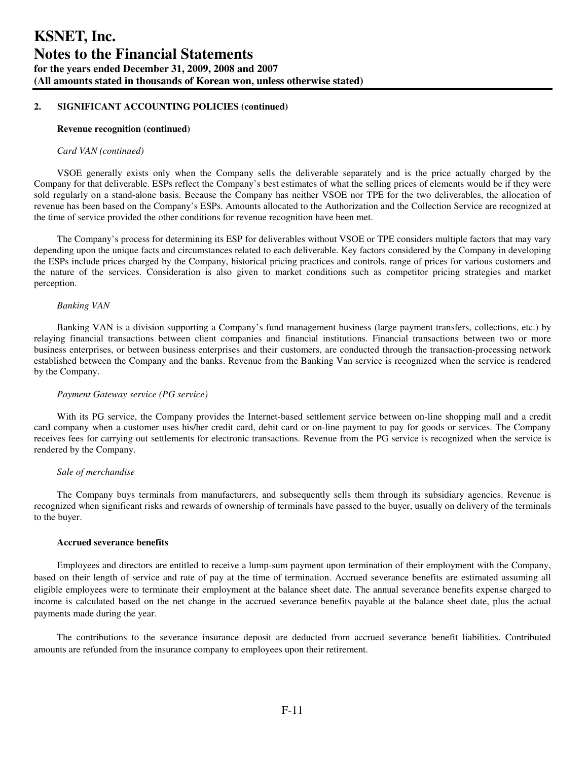#### **Revenue recognition (continued)**

#### *Card VAN (continued)*

VSOE generally exists only when the Company sells the deliverable separately and is the price actually charged by the Company for that deliverable. ESPs reflect the Company's best estimates of what the selling prices of elements would be if they were sold regularly on a stand-alone basis. Because the Company has neither VSOE nor TPE for the two deliverables, the allocation of revenue has been based on the Company's ESPs. Amounts allocated to the Authorization and the Collection Service are recognized at the time of service provided the other conditions for revenue recognition have been met.

The Company's process for determining its ESP for deliverables without VSOE or TPE considers multiple factors that may vary depending upon the unique facts and circumstances related to each deliverable. Key factors considered by the Company in developing the ESPs include prices charged by the Company, historical pricing practices and controls, range of prices for various customers and the nature of the services. Consideration is also given to market conditions such as competitor pricing strategies and market perception.

#### *Banking VAN*

Banking VAN is a division supporting a Company's fund management business (large payment transfers, collections, etc.) by relaying financial transactions between client companies and financial institutions. Financial transactions between two or more business enterprises, or between business enterprises and their customers, are conducted through the transaction-processing network established between the Company and the banks. Revenue from the Banking Van service is recognized when the service is rendered by the Company.

#### *Payment Gateway service (PG service)*

With its PG service, the Company provides the Internet-based settlement service between on-line shopping mall and a credit card company when a customer uses his/her credit card, debit card or on-line payment to pay for goods or services. The Company receives fees for carrying out settlements for electronic transactions. Revenue from the PG service is recognized when the service is rendered by the Company.

#### *Sale of merchandise*

The Company buys terminals from manufacturers, and subsequently sells them through its subsidiary agencies. Revenue is recognized when significant risks and rewards of ownership of terminals have passed to the buyer, usually on delivery of the terminals to the buyer.

#### **Accrued severance benefits**

Employees and directors are entitled to receive a lump-sum payment upon termination of their employment with the Company, based on their length of service and rate of pay at the time of termination. Accrued severance benefits are estimated assuming all eligible employees were to terminate their employment at the balance sheet date. The annual severance benefits expense charged to income is calculated based on the net change in the accrued severance benefits payable at the balance sheet date, plus the actual payments made during the year.

The contributions to the severance insurance deposit are deducted from accrued severance benefit liabilities. Contributed amounts are refunded from the insurance company to employees upon their retirement.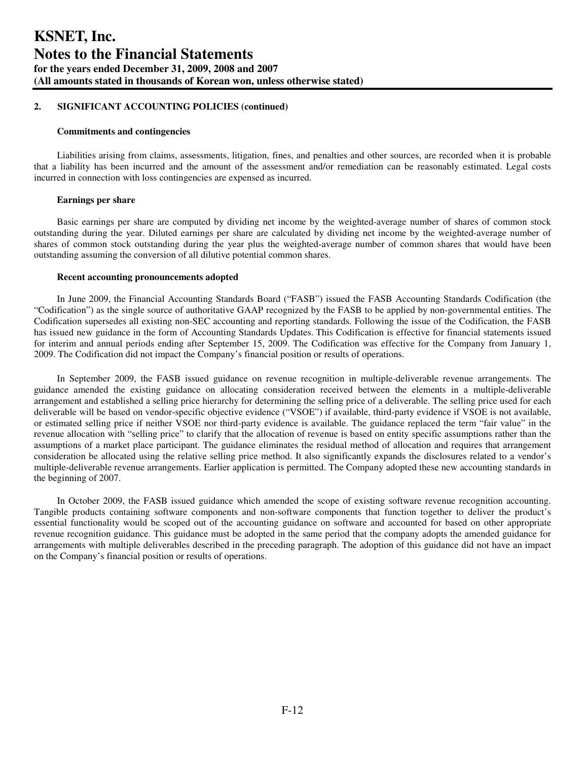#### **Commitments and contingencies**

Liabilities arising from claims, assessments, litigation, fines, and penalties and other sources, are recorded when it is probable that a liability has been incurred and the amount of the assessment and/or remediation can be reasonably estimated. Legal costs incurred in connection with loss contingencies are expensed as incurred.

#### **Earnings per share**

Basic earnings per share are computed by dividing net income by the weighted-average number of shares of common stock outstanding during the year. Diluted earnings per share are calculated by dividing net income by the weighted-average number of shares of common stock outstanding during the year plus the weighted-average number of common shares that would have been outstanding assuming the conversion of all dilutive potential common shares.

## **Recent accounting pronouncements adopted**

In June 2009, the Financial Accounting Standards Board ("FASB") issued the FASB Accounting Standards Codification (the "Codification") as the single source of authoritative GAAP recognized by the FASB to be applied by non-governmental entities. The Codification supersedes all existing non-SEC accounting and reporting standards. Following the issue of the Codification, the FASB has issued new guidance in the form of Accounting Standards Updates. This Codification is effective for financial statements issued for interim and annual periods ending after September 15, 2009. The Codification was effective for the Company from January 1, 2009. The Codification did not impact the Company's financial position or results of operations.

In September 2009, the FASB issued guidance on revenue recognition in multiple-deliverable revenue arrangements. The guidance amended the existing guidance on allocating consideration received between the elements in a multiple-deliverable arrangement and established a selling price hierarchy for determining the selling price of a deliverable. The selling price used for each deliverable will be based on vendor-specific objective evidence ("VSOE") if available, third-party evidence if VSOE is not available, or estimated selling price if neither VSOE nor third-party evidence is available. The guidance replaced the term "fair value" in the revenue allocation with "selling price" to clarify that the allocation of revenue is based on entity specific assumptions rather than the assumptions of a market place participant. The guidance eliminates the residual method of allocation and requires that arrangement consideration be allocated using the relative selling price method. It also significantly expands the disclosures related to a vendor's multiple-deliverable revenue arrangements. Earlier application is permitted. The Company adopted these new accounting standards in the beginning of 2007.

In October 2009, the FASB issued guidance which amended the scope of existing software revenue recognition accounting. Tangible products containing software components and non-software components that function together to deliver the product's essential functionality would be scoped out of the accounting guidance on software and accounted for based on other appropriate revenue recognition guidance. This guidance must be adopted in the same period that the company adopts the amended guidance for arrangements with multiple deliverables described in the preceding paragraph. The adoption of this guidance did not have an impact on the Company's financial position or results of operations.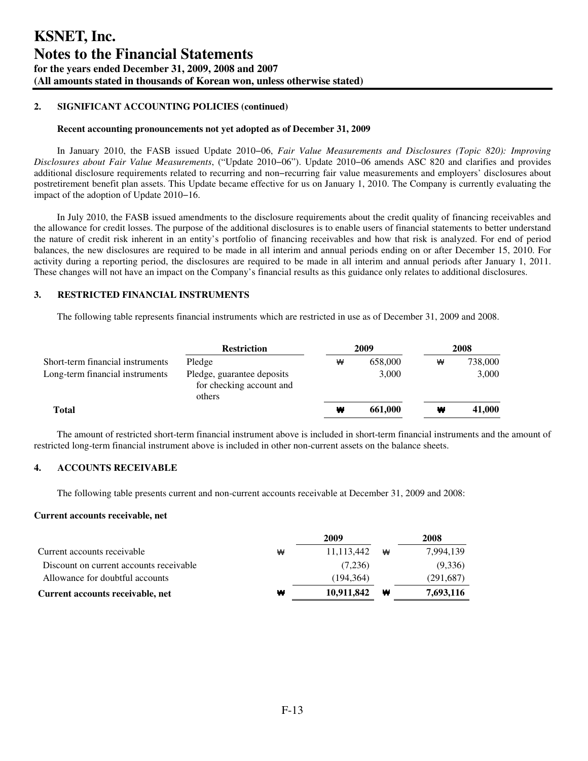#### **Recent accounting pronouncements not yet adopted as of December 31, 2009**

In January 2010, the FASB issued Update 2010−06, *Fair Value Measurements and Disclosures (Topic 820): Improving Disclosures about Fair Value Measurements*, ("Update 2010−06"). Update 2010−06 amends ASC 820 and clarifies and provides additional disclosure requirements related to recurring and non−recurring fair value measurements and employers' disclosures about postretirement benefit plan assets. This Update became effective for us on January 1, 2010. The Company is currently evaluating the impact of the adoption of Update 2010−16.

In July 2010, the FASB issued amendments to the disclosure requirements about the credit quality of financing receivables and the allowance for credit losses. The purpose of the additional disclosures is to enable users of financial statements to better understand the nature of credit risk inherent in an entity's portfolio of financing receivables and how that risk is analyzed. For end of period balances, the new disclosures are required to be made in all interim and annual periods ending on or after December 15, 2010. For activity during a reporting period, the disclosures are required to be made in all interim and annual periods after January 1, 2011. These changes will not have an impact on the Company's financial results as this guidance only relates to additional disclosures.

## **3. RESTRICTED FINANCIAL INSTRUMENTS**

The following table represents financial instruments which are restricted in use as of December 31, 2009 and 2008.

|                                  | <b>Restriction</b>                                               |   | 2009    | 2008 |         |  |
|----------------------------------|------------------------------------------------------------------|---|---------|------|---------|--|
| Short-term financial instruments | Pledge                                                           | ₩ | 658,000 | ₩    | 738,000 |  |
| Long-term financial instruments  | Pledge, guarantee deposits<br>for checking account and<br>others |   | 3,000   |      | 3,000   |  |
| Total                            |                                                                  | ₩ | 661,000 | ₩    | 41,000  |  |

The amount of restricted short-term financial instrument above is included in short-term financial instruments and the amount of restricted long-term financial instrument above is included in other non-current assets on the balance sheets.

## **4. ACCOUNTS RECEIVABLE**

The following table presents current and non-current accounts receivable at December 31, 2009 and 2008:

#### **Current accounts receivable, net**

|                                         |   | 2009       |   | 2008      |
|-----------------------------------------|---|------------|---|-----------|
| Current accounts receivable             | ₩ | 11,113,442 | ₩ | 7,994,139 |
| Discount on current accounts receivable |   | (7,236)    |   | (9,336)   |
| Allowance for doubtful accounts         |   | (194, 364) |   | (291,687) |
| Current accounts receivable, net        | ₩ | 10,911,842 | w | 7,693,116 |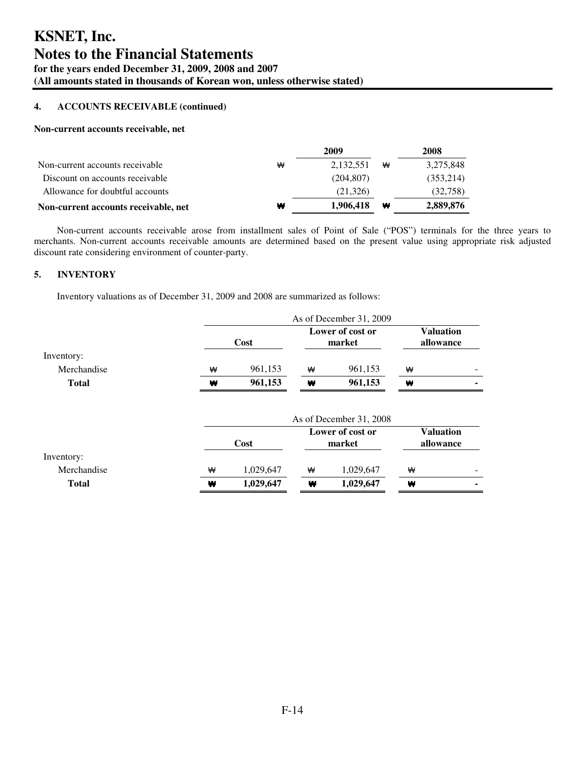## **4. ACCOUNTS RECEIVABLE (continued)**

#### **Non-current accounts receivable, net**

|                                      |   | 2009       |   | 2008      |
|--------------------------------------|---|------------|---|-----------|
| Non-current accounts receivable      | ₩ | 2,132,551  | ₩ | 3,275,848 |
| Discount on accounts receivable      |   | (204, 807) |   | (353,214) |
| Allowance for doubtful accounts      |   | (21,326)   |   | (32,758)  |
| Non-current accounts receivable, net | ₩ | 1,906,418  | w | 2,889,876 |

Non-current accounts receivable arose from installment sales of Point of Sale ("POS") terminals for the three years to merchants. Non-current accounts receivable amounts are determined based on the present value using appropriate risk adjusted discount rate considering environment of counter-party.

## **5. INVENTORY**

Inventory valuations as of December 31, 2009 and 2008 are summarized as follows:

|              | As of December 31, 2009            |           |   |                               |           |                  |
|--------------|------------------------------------|-----------|---|-------------------------------|-----------|------------------|
|              | Lower of cost or<br>Cost<br>market |           |   | <b>Valuation</b><br>allowance |           |                  |
| Inventory:   |                                    |           |   |                               |           |                  |
| Merchandise  | ₩                                  | 961,153   | ₩ | 961,153                       | ₩         |                  |
| <b>Total</b> | w                                  | 961,153   | ₩ | 961,153                       | ₩         |                  |
|              |                                    |           |   | As of December 31, 2008       |           |                  |
|              |                                    |           |   |                               |           |                  |
|              |                                    | Cost      |   | Lower of cost or<br>market    |           | <b>Valuation</b> |
|              |                                    |           |   |                               | allowance |                  |
| Inventory:   |                                    |           |   |                               |           |                  |
| Merchandise  | ₩                                  | 1,029,647 | ₩ | 1,029,647                     | ₩         |                  |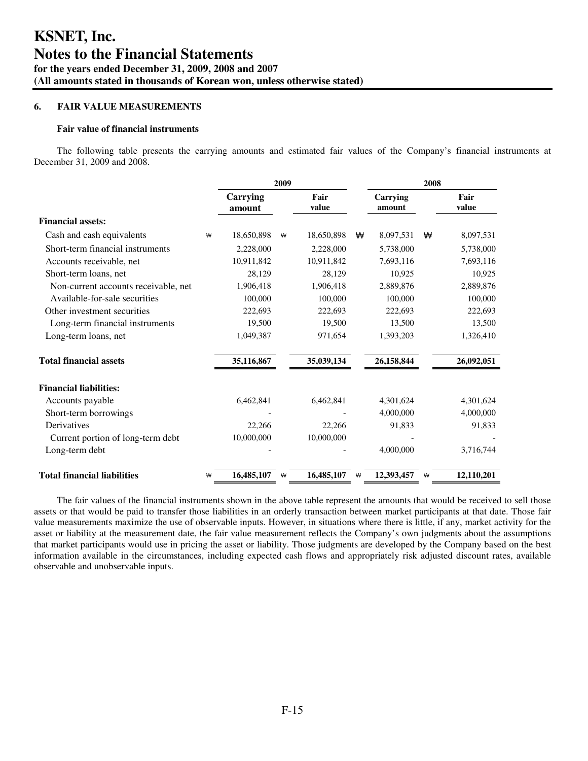## **6. FAIR VALUE MEASUREMENTS**

#### **Fair value of financial instruments**

The following table presents the carrying amounts and estimated fair values of the Company's financial instruments at December 31, 2009 and 2008.

|                                      |   |                    | 2009 |               |   |                    | 2008 |               |
|--------------------------------------|---|--------------------|------|---------------|---|--------------------|------|---------------|
|                                      |   | Carrying<br>amount |      | Fair<br>value |   | Carrying<br>amount |      | Fair<br>value |
| <b>Financial assets:</b>             |   |                    |      |               |   |                    |      |               |
| Cash and cash equivalents            | ₩ | 18,650,898         | ₩    | 18,650,898    | ₩ | 8,097,531          | ₩    | 8,097,531     |
| Short-term financial instruments     |   | 2,228,000          |      | 2,228,000     |   | 5,738,000          |      | 5,738,000     |
| Accounts receivable, net             |   | 10,911,842         |      | 10,911,842    |   | 7,693,116          |      | 7,693,116     |
| Short-term loans, net                |   | 28,129             |      | 28,129        |   | 10,925             |      | 10,925        |
| Non-current accounts receivable, net |   | 1,906,418          |      | 1,906,418     |   | 2,889,876          |      | 2,889,876     |
| Available-for-sale securities        |   | 100,000            |      | 100,000       |   | 100,000            |      | 100,000       |
| Other investment securities          |   | 222,693            |      | 222,693       |   | 222,693            |      | 222,693       |
| Long-term financial instruments      |   | 19,500             |      | 19,500        |   | 13,500             |      | 13,500        |
| Long-term loans, net                 |   | 1,049,387          |      | 971,654       |   | 1,393,203          |      | 1,326,410     |
| <b>Total financial assets</b>        |   | 35,116,867         |      | 35,039,134    |   | 26,158,844         |      | 26,092,051    |
| <b>Financial liabilities:</b>        |   |                    |      |               |   |                    |      |               |
| Accounts payable                     |   | 6,462,841          |      | 6,462,841     |   | 4,301,624          |      | 4,301,624     |
| Short-term borrowings                |   |                    |      |               |   | 4,000,000          |      | 4,000,000     |
| Derivatives                          |   | 22,266             |      | 22,266        |   | 91,833             |      | 91,833        |
| Current portion of long-term debt    |   | 10,000,000         |      | 10,000,000    |   |                    |      |               |
| Long-term debt                       |   |                    |      |               |   | 4,000,000          |      | 3,716,744     |
| <b>Total financial liabilities</b>   | ₩ | 16,485,107         | ₩    | 16,485,107    | ₩ | 12,393,457         | ₩    | 12,110,201    |

The fair values of the financial instruments shown in the above table represent the amounts that would be received to sell those assets or that would be paid to transfer those liabilities in an orderly transaction between market participants at that date. Those fair value measurements maximize the use of observable inputs. However, in situations where there is little, if any, market activity for the asset or liability at the measurement date, the fair value measurement reflects the Company's own judgments about the assumptions that market participants would use in pricing the asset or liability. Those judgments are developed by the Company based on the best information available in the circumstances, including expected cash flows and appropriately risk adjusted discount rates, available observable and unobservable inputs.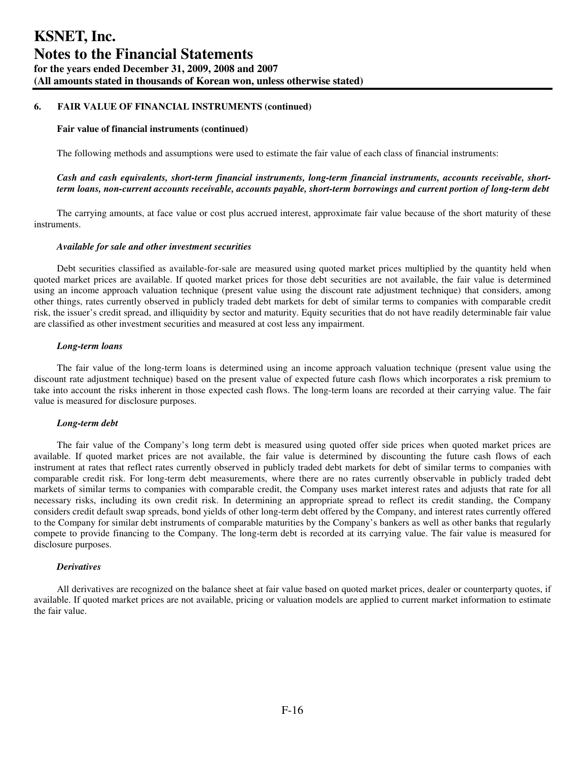#### **Fair value of financial instruments (continued)**

The following methods and assumptions were used to estimate the fair value of each class of financial instruments:

## *Cash and cash equivalents, short-term financial instruments, long-term financial instruments, accounts receivable, shortterm loans, non-current accounts receivable, accounts payable, short-term borrowings and current portion of long-term debt*

The carrying amounts, at face value or cost plus accrued interest, approximate fair value because of the short maturity of these instruments.

#### *Available for sale and other investment securities*

Debt securities classified as available-for-sale are measured using quoted market prices multiplied by the quantity held when quoted market prices are available. If quoted market prices for those debt securities are not available, the fair value is determined using an income approach valuation technique (present value using the discount rate adjustment technique) that considers, among other things, rates currently observed in publicly traded debt markets for debt of similar terms to companies with comparable credit risk, the issuer's credit spread, and illiquidity by sector and maturity. Equity securities that do not have readily determinable fair value are classified as other investment securities and measured at cost less any impairment.

#### *Long-term loans*

The fair value of the long-term loans is determined using an income approach valuation technique (present value using the discount rate adjustment technique) based on the present value of expected future cash flows which incorporates a risk premium to take into account the risks inherent in those expected cash flows. The long-term loans are recorded at their carrying value. The fair value is measured for disclosure purposes.

#### *Long-term debt*

The fair value of the Company's long term debt is measured using quoted offer side prices when quoted market prices are available. If quoted market prices are not available, the fair value is determined by discounting the future cash flows of each instrument at rates that reflect rates currently observed in publicly traded debt markets for debt of similar terms to companies with comparable credit risk. For long-term debt measurements, where there are no rates currently observable in publicly traded debt markets of similar terms to companies with comparable credit, the Company uses market interest rates and adjusts that rate for all necessary risks, including its own credit risk. In determining an appropriate spread to reflect its credit standing, the Company considers credit default swap spreads, bond yields of other long-term debt offered by the Company, and interest rates currently offered to the Company for similar debt instruments of comparable maturities by the Company's bankers as well as other banks that regularly compete to provide financing to the Company. The long-term debt is recorded at its carrying value. The fair value is measured for disclosure purposes.

#### *Derivatives*

All derivatives are recognized on the balance sheet at fair value based on quoted market prices, dealer or counterparty quotes, if available. If quoted market prices are not available, pricing or valuation models are applied to current market information to estimate the fair value.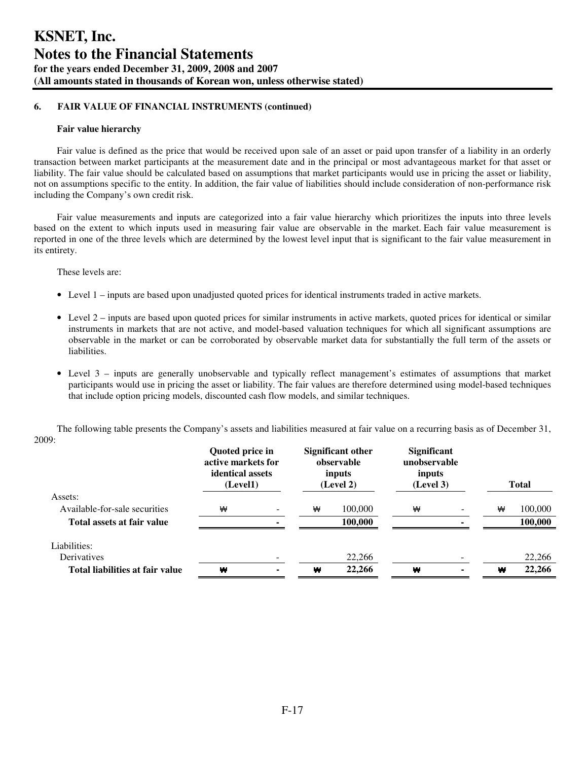#### **Fair value hierarchy**

Fair value is defined as the price that would be received upon sale of an asset or paid upon transfer of a liability in an orderly transaction between market participants at the measurement date and in the principal or most advantageous market for that asset or liability. The fair value should be calculated based on assumptions that market participants would use in pricing the asset or liability, not on assumptions specific to the entity. In addition, the fair value of liabilities should include consideration of non-performance risk including the Company's own credit risk.

Fair value measurements and inputs are categorized into a fair value hierarchy which prioritizes the inputs into three levels based on the extent to which inputs used in measuring fair value are observable in the market. Each fair value measurement is reported in one of the three levels which are determined by the lowest level input that is significant to the fair value measurement in its entirety.

These levels are:

- Level 1 inputs are based upon unadjusted quoted prices for identical instruments traded in active markets.
- Level 2 inputs are based upon quoted prices for similar instruments in active markets, quoted prices for identical or similar instruments in markets that are not active, and model-based valuation techniques for which all significant assumptions are observable in the market or can be corroborated by observable market data for substantially the full term of the assets or liabilities.
- Level 3 inputs are generally unobservable and typically reflect management's estimates of assumptions that market participants would use in pricing the asset or liability. The fair values are therefore determined using model-based techniques that include option pricing models, discounted cash flow models, and similar techniques.

|                                 | Quoted price in<br>active markets for<br>identical assets<br>(Level1) |                          | Significant other<br>observable<br>inputs<br>(Level 2) |         | <b>Significant</b><br>unobservable<br>inputs<br>(Level 3) |   | <b>Total</b> |
|---------------------------------|-----------------------------------------------------------------------|--------------------------|--------------------------------------------------------|---------|-----------------------------------------------------------|---|--------------|
| Assets:                         |                                                                       |                          |                                                        |         |                                                           |   |              |
| Available-for-sale securities   | ₩                                                                     | $\overline{\phantom{0}}$ | ₩                                                      | 100,000 | ₩                                                         | ₩ | 100,000      |
| Total assets at fair value      |                                                                       |                          |                                                        | 100.000 |                                                           |   | 100.000      |
| Liabilities:                    |                                                                       |                          |                                                        |         |                                                           |   |              |
| Derivatives                     |                                                                       |                          |                                                        | 22,266  |                                                           |   | 22,266       |
| Total liabilities at fair value | ₩                                                                     | ۰                        | ₩                                                      | 22,266  | ₩                                                         | ₩ | 22,266       |

The following table presents the Company's assets and liabilities measured at fair value on a recurring basis as of December 31, 2009: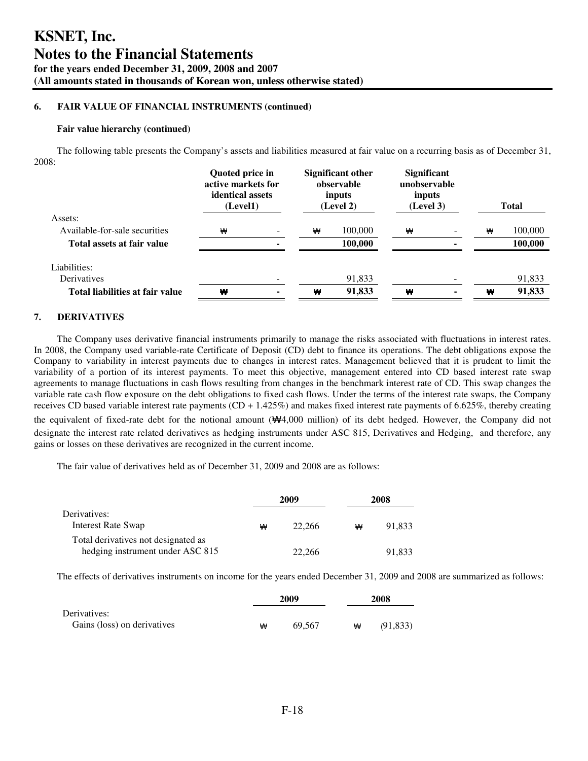#### **Fair value hierarchy (continued)**

The following table presents the Company's assets and liabilities measured at fair value on a recurring basis as of December 31, 2008:

|                                 | Quoted price in<br>active markets for<br>identical assets<br>(Level1) |  | <b>Significant other</b><br>observable<br>inputs<br>(Level 2) |         | <b>Significant</b><br>unobservable<br>inputs<br>(Level 3) |   | <b>Total</b> |
|---------------------------------|-----------------------------------------------------------------------|--|---------------------------------------------------------------|---------|-----------------------------------------------------------|---|--------------|
| Assets:                         |                                                                       |  |                                                               |         |                                                           |   |              |
| Available-for-sale securities   | ₩                                                                     |  | ₩                                                             | 100,000 | ₩                                                         | ₩ | 100,000      |
| Total assets at fair value      |                                                                       |  |                                                               | 100,000 |                                                           |   | 100,000      |
| Liabilities:                    |                                                                       |  |                                                               |         |                                                           |   |              |
| Derivatives                     |                                                                       |  |                                                               | 91,833  |                                                           |   | 91,833       |
| Total liabilities at fair value | ₩                                                                     |  | ₩                                                             | 91,833  | w                                                         | ₩ | 91,833       |

## **7. DERIVATIVES**

The Company uses derivative financial instruments primarily to manage the risks associated with fluctuations in interest rates. In 2008, the Company used variable-rate Certificate of Deposit (CD) debt to finance its operations. The debt obligations expose the Company to variability in interest payments due to changes in interest rates. Management believed that it is prudent to limit the variability of a portion of its interest payments. To meet this objective, management entered into CD based interest rate swap agreements to manage fluctuations in cash flows resulting from changes in the benchmark interest rate of CD. This swap changes the variable rate cash flow exposure on the debt obligations to fixed cash flows. Under the terms of the interest rate swaps, the Company receives CD based variable interest rate payments  $(CD + 1.425%)$  and makes fixed interest rate payments of 6.625%, thereby creating the equivalent of fixed-rate debt for the notional amount (₩4,000 million) of its debt hedged. However, the Company did not designate the interest rate related derivatives as hedging instruments under ASC 815, Derivatives and Hedging, and therefore, any gains or losses on these derivatives are recognized in the current income.

The fair value of derivatives held as of December 31, 2009 and 2008 are as follows:

|                                                                         |   | 2009   | 2008 |        |  |
|-------------------------------------------------------------------------|---|--------|------|--------|--|
| Derivatives:<br><b>Interest Rate Swap</b>                               | ₩ | 22,266 | ₩    | 91.833 |  |
| Total derivatives not designated as<br>hedging instrument under ASC 815 |   | 22,266 |      | 91.833 |  |

The effects of derivatives instruments on income for the years ended December 31, 2009 and 2008 are summarized as follows:

|                             | 2009 |        |   | 2008      |
|-----------------------------|------|--------|---|-----------|
| Derivatives:                |      |        |   |           |
| Gains (loss) on derivatives | ₩    | 69.567 | ₩ | (91, 833) |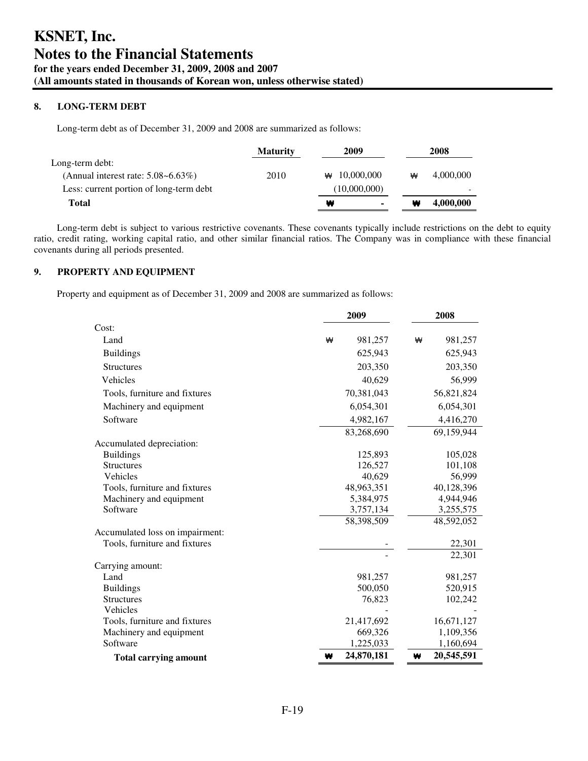## **8. LONG-TERM DEBT**

Long-term debt as of December 31, 2009 and 2008 are summarized as follows:

|                                          | <b>Maturity</b> | 2009                |   | 2008      |
|------------------------------------------|-----------------|---------------------|---|-----------|
| Long-term debt:                          |                 |                     |   |           |
| (Annual interest rate: $5.08 - 6.63\%$ ) | 2010            | $\star$ 10.000.000  | ₩ | 4.000.000 |
| Less: current portion of long-term debt  |                 | (10,000,000)        |   |           |
| <b>Total</b>                             |                 | ₩<br>$\blacksquare$ | ₩ | 4,000,000 |

Long-term debt is subject to various restrictive covenants. These covenants typically include restrictions on the debt to equity ratio, credit rating, working capital ratio, and other similar financial ratios. The Company was in compliance with these financial covenants during all periods presented.

## **9. PROPERTY AND EQUIPMENT**

Property and equipment as of December 31, 2009 and 2008 are summarized as follows:

|                                 | 2009            | 2008            |  |  |
|---------------------------------|-----------------|-----------------|--|--|
| Cost:                           |                 |                 |  |  |
| Land                            | 981,257<br>₩    | 981,257<br>₩    |  |  |
| <b>Buildings</b>                | 625,943         | 625,943         |  |  |
| <b>Structures</b>               | 203,350         | 203,350         |  |  |
| Vehicles                        | 40,629          | 56,999          |  |  |
| Tools, furniture and fixtures   | 70,381,043      | 56,821,824      |  |  |
| Machinery and equipment         | 6,054,301       | 6,054,301       |  |  |
| Software                        | 4,982,167       | 4,416,270       |  |  |
|                                 | 83,268,690      | 69,159,944      |  |  |
| Accumulated depreciation:       |                 |                 |  |  |
| <b>Buildings</b>                | 125,893         | 105,028         |  |  |
| <b>Structures</b>               | 126,527         | 101,108         |  |  |
| Vehicles                        | 40,629          | 56,999          |  |  |
| Tools, furniture and fixtures   | 48,963,351      | 40,128,396      |  |  |
| Machinery and equipment         | 5,384,975       | 4,944,946       |  |  |
| Software                        | 3,757,134       | 3,255,575       |  |  |
|                                 | 58,398,509      | 48,592,052      |  |  |
| Accumulated loss on impairment: |                 |                 |  |  |
| Tools, furniture and fixtures   |                 | 22,301          |  |  |
|                                 |                 | 22,301          |  |  |
| Carrying amount:                |                 |                 |  |  |
| Land                            | 981,257         | 981,257         |  |  |
| <b>Buildings</b>                | 500,050         | 520,915         |  |  |
| <b>Structures</b>               | 76,823          | 102,242         |  |  |
| Vehicles                        |                 |                 |  |  |
| Tools, furniture and fixtures   | 21,417,692      | 16,671,127      |  |  |
| Machinery and equipment         | 669,326         | 1,109,356       |  |  |
| Software                        | 1,225,033       | 1,160,694       |  |  |
| <b>Total carrying amount</b>    | 24,870,181<br>₩ | 20,545,591<br>₩ |  |  |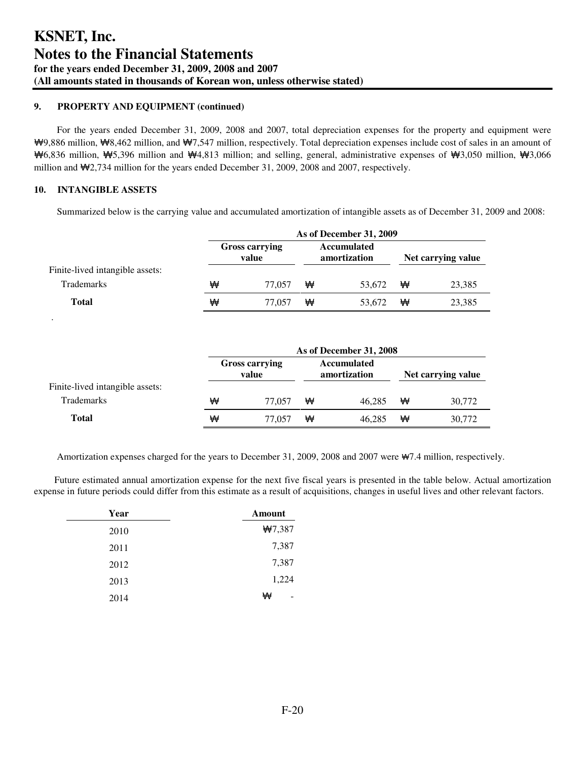## **9. PROPERTY AND EQUIPMENT (continued)**

For the years ended December 31, 2009, 2008 and 2007, total depreciation expenses for the property and equipment were ₩9,886 million, ₩8,462 million, and ₩7,547 million, respectively. Total depreciation expenses include cost of sales in an amount of ₩6,836 million, ₩5,396 million and ₩4,813 million; and selling, general, administrative expenses of ₩3,050 million, ₩3,066 million and ₩2,734 million for the years ended December 31, 2009, 2008 and 2007, respectively.

## **10. INTANGIBLE ASSETS**

.

Summarized below is the carrying value and accumulated amortization of intangible assets as of December 31, 2009 and 2008:

|                                 |   | As of December 31, 2009        |   |                                    |   |                    |  |
|---------------------------------|---|--------------------------------|---|------------------------------------|---|--------------------|--|
|                                 |   | <b>Gross carrying</b><br>value |   | <b>Accumulated</b><br>amortization |   | Net carrying value |  |
| Finite-lived intangible assets: |   |                                |   |                                    |   |                    |  |
| <b>Trademarks</b>               | ₩ | 77.057                         | ₩ | 53.672                             | ₩ | 23,385             |  |
| <b>Total</b>                    | ₩ | 77.057                         | ₩ | 53.672                             | ₩ | 23,385             |  |

|                                 | As of December 31, 2008 |                                |   |                                    |   |                    |
|---------------------------------|-------------------------|--------------------------------|---|------------------------------------|---|--------------------|
|                                 |                         | <b>Gross carrying</b><br>value |   | <b>Accumulated</b><br>amortization |   | Net carrying value |
| Finite-lived intangible assets: |                         |                                |   |                                    |   |                    |
| <b>Trademarks</b>               | ₩                       | 77.057                         | ₩ | 46.285                             | ₩ | 30.772             |
| Total                           | ₩                       | 77.057                         | ₩ | 46.285                             | ₩ | 30,772             |

Amortization expenses charged for the years to December 31, 2009, 2008 and 2007 were ₩7.4 million, respectively.

Future estimated annual amortization expense for the next five fiscal years is presented in the table below. Actual amortization expense in future periods could differ from this estimate as a result of acquisitions, changes in useful lives and other relevant factors.

| Year | Amount |
|------|--------|
| 2010 | #7,387 |
| 2011 | 7,387  |
| 2012 | 7,387  |
| 2013 | 1,224  |
| 2014 | ₩      |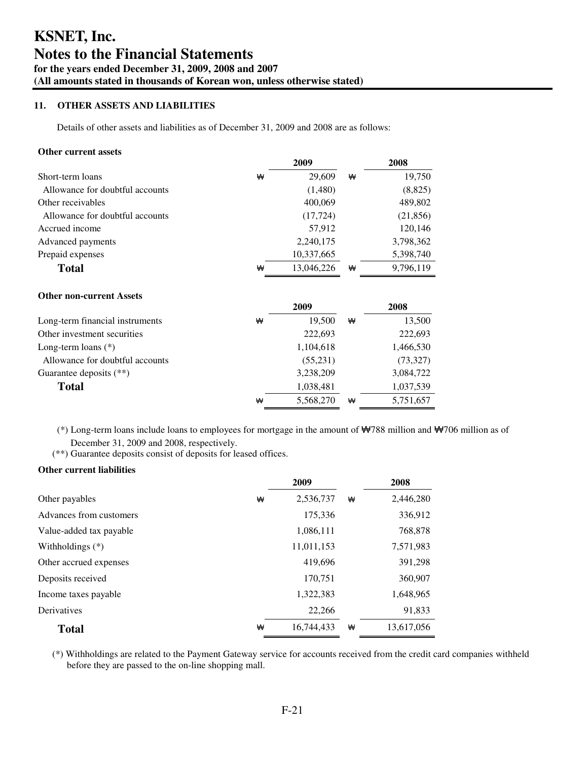## **11. OTHER ASSETS AND LIABILITIES**

Details of other assets and liabilities as of December 31, 2009 and 2008 are as follows:

#### **Other current assets**

|                                 |   | 2009       |   | 2008      |
|---------------------------------|---|------------|---|-----------|
| Short-term loans                | ₩ | 29,609     | ₩ | 19,750    |
| Allowance for doubtful accounts |   | (1,480)    |   | (8,825)   |
| Other receivables               |   | 400,069    |   | 489,802   |
| Allowance for doubtful accounts |   | (17, 724)  |   | (21, 856) |
| Accrued income                  |   | 57,912     |   | 120,146   |
| Advanced payments               |   | 2,240,175  |   | 3,798,362 |
| Prepaid expenses                |   | 10,337,665 |   | 5,398,740 |
| <b>Total</b>                    | ₩ | 13,046,226 | ₩ | 9,796,119 |
| <b>Other non-current Assets</b> |   | 2009       |   | 2008      |
|                                 | ₩ | 19,500     | ₩ |           |
| Long-term financial instruments |   |            |   | 13,500    |
| Other investment securities     |   | 222,693    |   | 222,693   |
| Long-term loans $(*)$           |   | 1,104,618  |   | 1,466,530 |
| Allowance for doubtful accounts |   | (55,231)   |   | (73,327)  |
| Guarantee deposits $(**)$       |   | 3,238,209  |   | 3,084,722 |
| Total                           |   | 1,038,481  |   | 1,037,539 |
|                                 | ₩ | 5,568,270  | ₩ | 5,751,657 |

 (\*) Long-term loans include loans to employees for mortgage in the amount of ₩788 million and ₩706 million as of December 31, 2009 and 2008, respectively.

(\*\*) Guarantee deposits consist of deposits for leased offices.

#### **Other current liabilities**

|                         | 2009       |   | 2008       |
|-------------------------|------------|---|------------|
| Other payables<br>₩     | 2,536,737  | ₩ | 2,446,280  |
| Advances from customers | 175,336    |   | 336,912    |
| Value-added tax payable | 1,086,111  |   | 768,878    |
| Withholdings $(*)$      | 11,011,153 |   | 7,571,983  |
| Other accrued expenses  | 419,696    |   | 391,298    |
| Deposits received       | 170,751    |   | 360,907    |
| Income taxes payable    | 1,322,383  |   | 1,648,965  |
| Derivatives             | 22,266     |   | 91,833     |
| ₩<br><b>Total</b>       | 16.744.433 | ₩ | 13,617,056 |

(\*) Withholdings are related to the Payment Gateway service for accounts received from the credit card companies withheld before they are passed to the on-line shopping mall.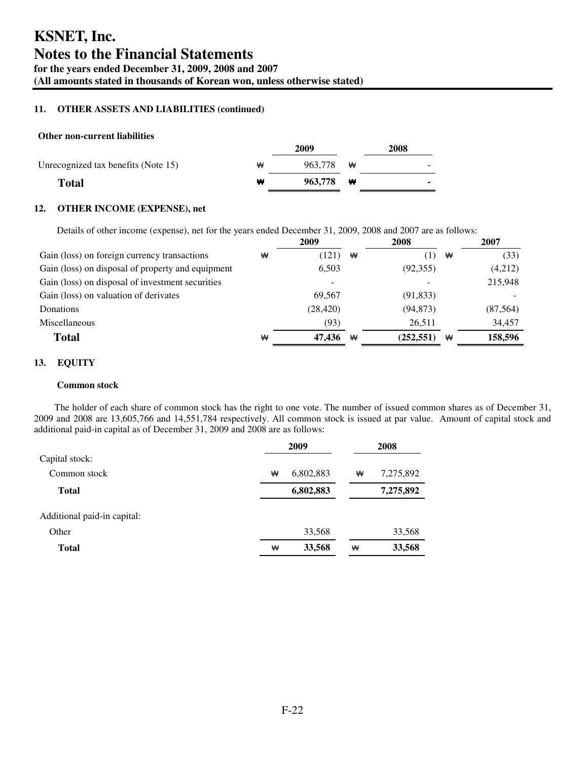## **11. OTHER ASSETS AND LIABILITIES (continued)**

## **Other non-current liabilities**

|                                     |   | 2009              | 2008 |
|-------------------------------------|---|-------------------|------|
| Unrecognized tax benefits (Note 15) | ₩ | 963.778 $\forall$ | -    |
| <b>Total</b>                        | ₩ | 963.778 <b>W</b>  | ۰    |
|                                     |   |                   |      |

## **12. OTHER INCOME (EXPENSE), net**

Details of other income (expense), net for the years ended December 31, 2009, 2008 and 2007 are as follows:

|                                                   | 2009      |   | 2008       |   | 2007      |
|---------------------------------------------------|-----------|---|------------|---|-----------|
| Gain (loss) on foreign currency transactions<br>₩ | (121)     | ₩ | (1)        | ₩ | (33)      |
| Gain (loss) on disposal of property and equipment | 6.503     |   | (92,355)   |   | (4,212)   |
| Gain (loss) on disposal of investment securities  |           |   |            |   | 215,948   |
| Gain (loss) on valuation of derivates             | 69.567    |   | (91, 833)  |   |           |
| Donations                                         | (28, 420) |   | (94, 873)  |   | (87, 564) |
| Miscellaneous                                     | (93)      |   | 26.511     |   | 34.457    |
| <b>Total</b><br>₩                                 | 47,436    | ₩ | (252, 551) | ₩ | 158,596   |

## **13. EQUITY**

## **Common stock**

The holder of each share of common stock has the right to one vote. The number of issued common shares as of December 31, 2009 and 2008 are 13,605,766 and 14,551,784 respectively. All common stock is issued at par value. Amount of capital stock and additional paid-in capital as of December 31, 2009 and 2008 are as follows:

|                             |   | 2009      | 2008 |           |  |
|-----------------------------|---|-----------|------|-----------|--|
| Capital stock:              |   |           |      |           |  |
| Common stock                | ₩ | 6,802,883 | ₩    | 7,275,892 |  |
| <b>Total</b>                |   | 6,802,883 |      | 7,275,892 |  |
| Additional paid-in capital: |   |           |      |           |  |
| Other                       |   | 33,568    |      | 33,568    |  |
| Total                       | ₩ | 33,568    | ₩    | 33,568    |  |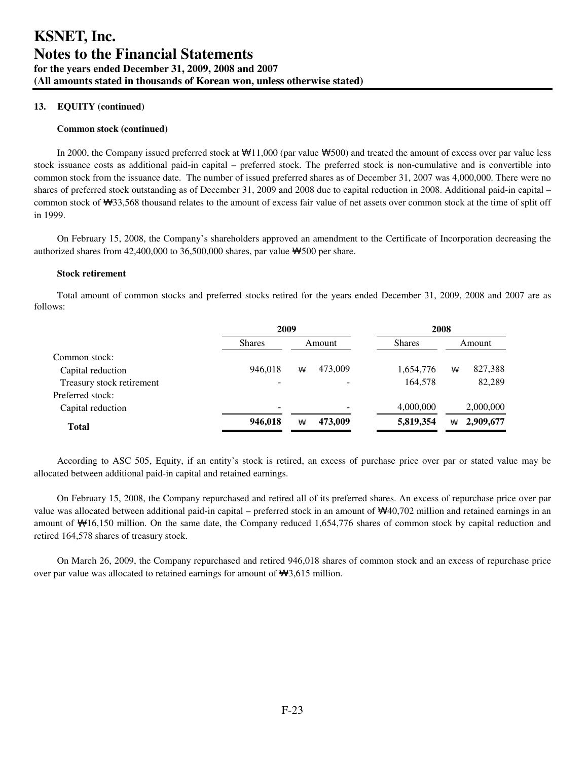## **13. EQUITY (continued)**

#### **Common stock (continued)**

In 2000, the Company issued preferred stock at ₩11,000 (par value ₩500) and treated the amount of excess over par value less stock issuance costs as additional paid-in capital – preferred stock. The preferred stock is non-cumulative and is convertible into common stock from the issuance date. The number of issued preferred shares as of December 31, 2007 was 4,000,000. There were no shares of preferred stock outstanding as of December 31, 2009 and 2008 due to capital reduction in 2008. Additional paid-in capital – common stock of ₩33,568 thousand relates to the amount of excess fair value of net assets over common stock at the time of split off in 1999.

On February 15, 2008, the Company's shareholders approved an amendment to the Certificate of Incorporation decreasing the authorized shares from  $42,400,000$  to  $36,500,000$  shares, par value  $\mathbf{\text{W}}$ 500 per share.

#### **Stock retirement**

Total amount of common stocks and preferred stocks retired for the years ended December 31, 2009, 2008 and 2007 are as follows:

| 2009                         |   |         |               |   |           |
|------------------------------|---|---------|---------------|---|-----------|
| <b>Shares</b>                |   |         | <b>Shares</b> |   | Amount    |
|                              |   |         |               |   |           |
| 946.018                      | ₩ | 473,009 | 1,654,776     | ₩ | 827,388   |
| $\overline{\phantom{0}}$     |   |         | 164,578       |   | 82,289    |
|                              |   |         |               |   |           |
| $\qquad \qquad \blacksquare$ |   |         | 4,000,000     |   | 2,000,000 |
| 946,018                      | ₩ | 473,009 | 5,819,354     | ₩ | 2,909,677 |
|                              |   |         | Amount        |   | 2008      |

According to ASC 505, Equity, if an entity's stock is retired, an excess of purchase price over par or stated value may be allocated between additional paid-in capital and retained earnings.

On February 15, 2008, the Company repurchased and retired all of its preferred shares. An excess of repurchase price over par value was allocated between additional paid-in capital – preferred stock in an amount of ₩40,702 million and retained earnings in an amount of ₩16,150 million. On the same date, the Company reduced 1,654,776 shares of common stock by capital reduction and retired 164,578 shares of treasury stock.

On March 26, 2009, the Company repurchased and retired 946,018 shares of common stock and an excess of repurchase price over par value was allocated to retained earnings for amount of ₩3,615 million.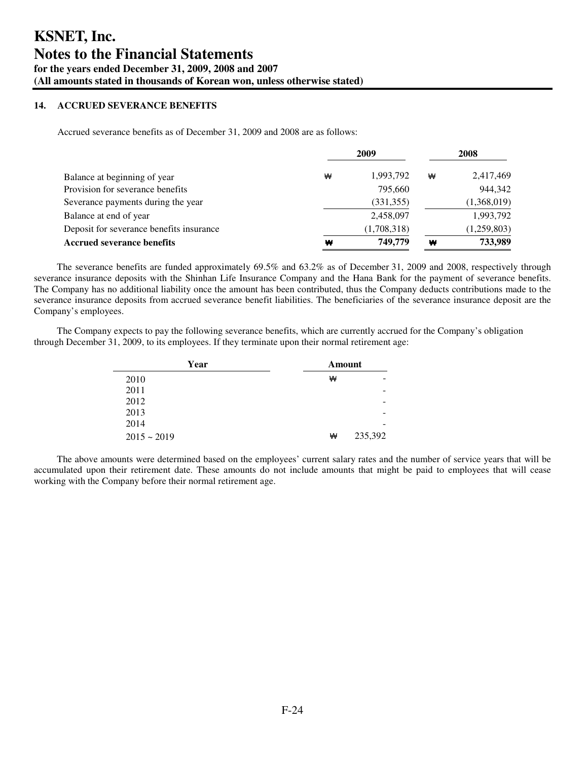## **14. ACCRUED SEVERANCE BENEFITS**

Accrued severance benefits as of December 31, 2009 and 2008 are as follows:

|                                          |   | 2009        | 2008 |             |  |
|------------------------------------------|---|-------------|------|-------------|--|
| Balance at beginning of year             | ₩ | 1,993,792   | ₩    | 2,417,469   |  |
| Provision for severance benefits         |   | 795,660     |      | 944,342     |  |
| Severance payments during the year       |   | (331, 355)  |      | (1,368,019) |  |
| Balance at end of year                   |   | 2,458,097   |      | 1,993,792   |  |
| Deposit for severance benefits insurance |   | (1,708,318) |      | (1,259,803) |  |
| <b>Accrued severance benefits</b>        | ₩ | 749,779     | ₩    | 733,989     |  |

The severance benefits are funded approximately 69.5% and 63.2% as of December 31, 2009 and 2008, respectively through severance insurance deposits with the Shinhan Life Insurance Company and the Hana Bank for the payment of severance benefits. The Company has no additional liability once the amount has been contributed, thus the Company deducts contributions made to the severance insurance deposits from accrued severance benefit liabilities. The beneficiaries of the severance insurance deposit are the Company's employees.

The Company expects to pay the following severance benefits, which are currently accrued for the Company's obligation through December 31, 2009, to its employees. If they terminate upon their normal retirement age:

| Year             | Amount       |  |
|------------------|--------------|--|
| 2010             | ₩            |  |
| 2011             |              |  |
| 2012             | -            |  |
| 2013             | -            |  |
| 2014             | -            |  |
| $2015 \sim 2019$ | 235,392<br>₩ |  |

The above amounts were determined based on the employees' current salary rates and the number of service years that will be accumulated upon their retirement date. These amounts do not include amounts that might be paid to employees that will cease working with the Company before their normal retirement age.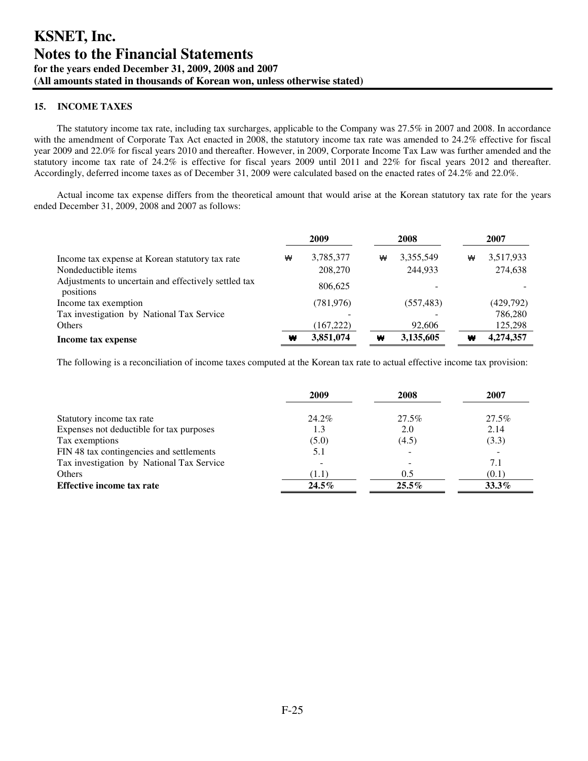## **15. INCOME TAXES**

The statutory income tax rate, including tax surcharges, applicable to the Company was 27.5% in 2007 and 2008. In accordance with the amendment of Corporate Tax Act enacted in 2008, the statutory income tax rate was amended to 24.2% effective for fiscal year 2009 and 22.0% for fiscal years 2010 and thereafter. However, in 2009, Corporate Income Tax Law was further amended and the statutory income tax rate of 24.2% is effective for fiscal years 2009 until 2011 and 22% for fiscal years 2012 and thereafter. Accordingly, deferred income taxes as of December 31, 2009 were calculated based on the enacted rates of 24.2% and 22.0%.

Actual income tax expense differs from the theoretical amount that would arise at the Korean statutory tax rate for the years ended December 31, 2009, 2008 and 2007 as follows:

|                                                                   | 2009 |            |   | 2008       | 2007 |           |  |
|-------------------------------------------------------------------|------|------------|---|------------|------|-----------|--|
| Income tax expense at Korean statutory tax rate                   | ₩    | 3,785,377  | ₩ | 3,355,549  | ₩    | 3,517,933 |  |
| Nondeductible items                                               |      | 208,270    |   | 244.933    |      | 274,638   |  |
| Adjustments to uncertain and effectively settled tax<br>positions |      | 806,625    |   |            |      |           |  |
| Income tax exemption                                              |      | (781, 976) |   | (557, 483) |      | (429,792) |  |
| Tax investigation by National Tax Service                         |      |            |   |            |      | 786,280   |  |
| Others                                                            |      | (167, 222) |   | 92,606     |      | 125,298   |  |
| Income tax expense                                                | ₩    | 3,851,074  | ₩ | 3,135,605  | ₩    | 4,274,357 |  |

The following is a reconciliation of income taxes computed at the Korean tax rate to actual effective income tax provision:

|                                           | 2009     | 2008     | 2007     |
|-------------------------------------------|----------|----------|----------|
| Statutory income tax rate                 | 24.2%    | 27.5%    | 27.5%    |
| Expenses not deductible for tax purposes  | 1.3      | 2.0      | 2.14     |
| Tax exemptions                            | (5.0)    | (4.5)    | (3.3)    |
| FIN 48 tax contingencies and settlements  | 5.1      |          |          |
| Tax investigation by National Tax Service |          |          | 7.1      |
| Others                                    | (1.1)    | 0.5      | (0.1)    |
| Effective income tax rate                 | $24.5\%$ | $25.5\%$ | $33.3\%$ |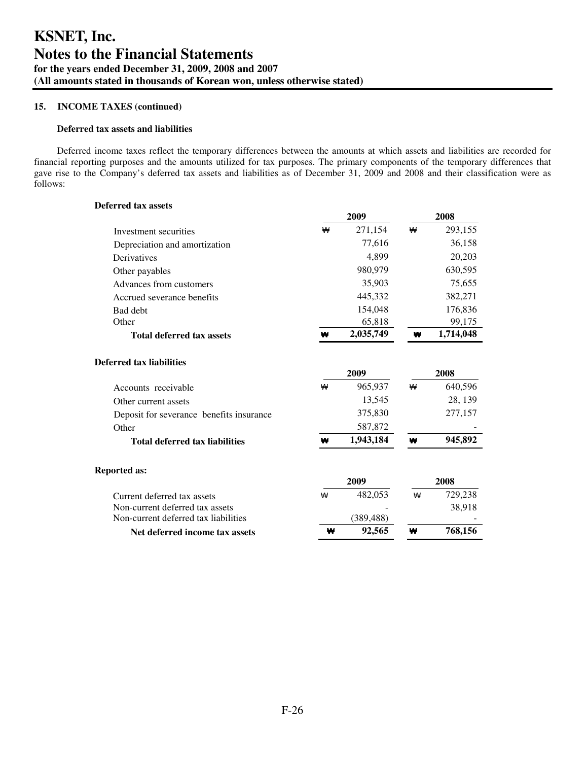### **Deferred tax assets and liabilities**

Deferred income taxes reflect the temporary differences between the amounts at which assets and liabilities are recorded for financial reporting purposes and the amounts utilized for tax purposes. The primary components of the temporary differences that gave rise to the Company's deferred tax assets and liabilities as of December 31, 2009 and 2008 and their classification were as follows:

| <b>Deferred tax assets</b>               |   |            |   |           |
|------------------------------------------|---|------------|---|-----------|
|                                          |   | 2009       |   | 2008      |
| Investment securities                    | ₩ | 271,154    | ₩ | 293,155   |
| Depreciation and amortization            |   | 77,616     |   | 36,158    |
| Derivatives                              |   | 4.899      |   | 20,203    |
| Other payables                           |   | 980,979    |   | 630,595   |
| Advances from customers                  |   | 35,903     |   | 75,655    |
| Accrued severance benefits               |   | 445,332    |   | 382,271   |
| Bad debt                                 |   | 154,048    |   | 176,836   |
| Other                                    |   | 65,818     |   | 99,175    |
| <b>Total deferred tax assets</b>         | ₩ | 2,035,749  | ₩ | 1,714,048 |
| <b>Deferred tax liabilities</b>          |   |            |   |           |
|                                          |   | 2009       |   | 2008      |
| Accounts receivable                      | ₩ | 965,937    | ₩ | 640,596   |
| Other current assets                     |   | 13,545     |   | 28, 139   |
| Deposit for severance benefits insurance |   | 375,830    |   | 277,157   |
| Other                                    |   | 587,872    |   |           |
| <b>Total deferred tax liabilities</b>    | ₩ | 1,943,184  | ₩ | 945,892   |
| <b>Reported as:</b>                      |   |            |   |           |
|                                          |   | 2009       |   | 2008      |
| Current deferred tax assets              | ₩ | 482,053    | ₩ | 729,238   |
| Non-current deferred tax assets          |   |            |   | 38,918    |
| Non-current deferred tax liabilities     |   | (389, 488) |   |           |
| Net deferred income tax assets           | w | 92,565     | w | 768,156   |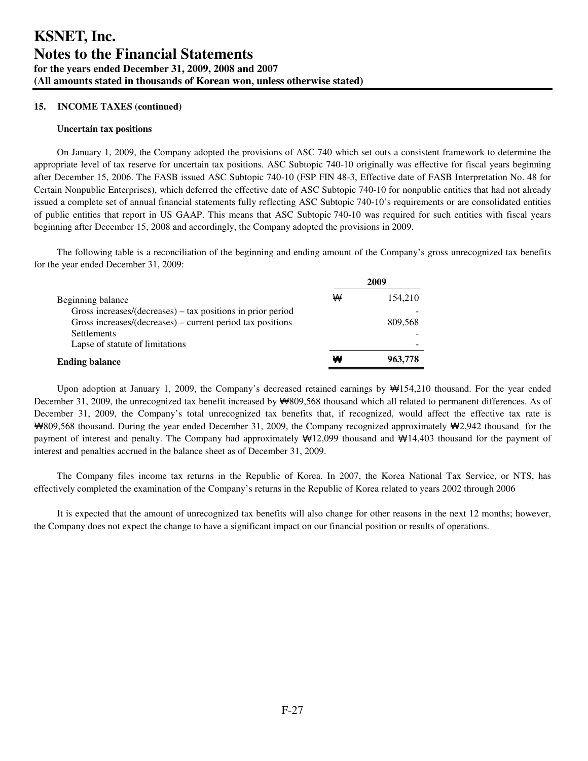#### **Uncertain tax positions**

On January 1, 2009, the Company adopted the provisions of ASC 740 which set outs a consistent framework to determine the appropriate level of tax reserve for uncertain tax positions. ASC Subtopic 740-10 originally was effective for fiscal years beginning after December 15, 2006. The FASB issued ASC Subtopic 740-10 (FSP FIN 48-3, Effective date of FASB Interpretation No. 48 for Certain Nonpublic Enterprises), which deferred the effective date of ASC Subtopic 740-10 for nonpublic entities that had not already issued a complete set of annual financial statements fully reflecting ASC Subtopic 740-10's requirements or are consolidated entities of public entities that report in US GAAP. This means that ASC Subtopic 740-10 was required for such entities with fiscal years beginning after December 15, 2008 and accordingly, the Company adopted the provisions in 2009.

The following table is a reconciliation of the beginning and ending amount of the Company's gross unrecognized tax benefits for the year ended December 31, 2009:

|                                                                |   | 2009    |
|----------------------------------------------------------------|---|---------|
| Beginning balance                                              | ₩ | 154,210 |
| Gross increases/ $(decreases)$ – tax positions in prior period |   |         |
| Gross increases/(decreases) – current period tax positions     |   | 809.568 |
| <b>Settlements</b>                                             |   |         |
| Lapse of statute of limitations                                |   |         |
| <b>Ending balance</b>                                          | ₩ | 963,778 |

Upon adoption at January 1, 2009, the Company's decreased retained earnings by ₩154,210 thousand. For the year ended December 31, 2009, the unrecognized tax benefit increased by ₩809,568 thousand which all related to permanent differences. As of December 31, 2009, the Company's total unrecognized tax benefits that, if recognized, would affect the effective tax rate is ₩809,568 thousand. During the year ended December 31, 2009, the Company recognized approximately ₩2,942 thousand for the payment of interest and penalty. The Company had approximately ₩12,099 thousand and ₩14,403 thousand for the payment of interest and penalties accrued in the balance sheet as of December 31, 2009.

The Company files income tax returns in the Republic of Korea. In 2007, the Korea National Tax Service, or NTS, has effectively completed the examination of the Company's returns in the Republic of Korea related to years 2002 through 2006

It is expected that the amount of unrecognized tax benefits will also change for other reasons in the next 12 months; however, the Company does not expect the change to have a significant impact on our financial position or results of operations.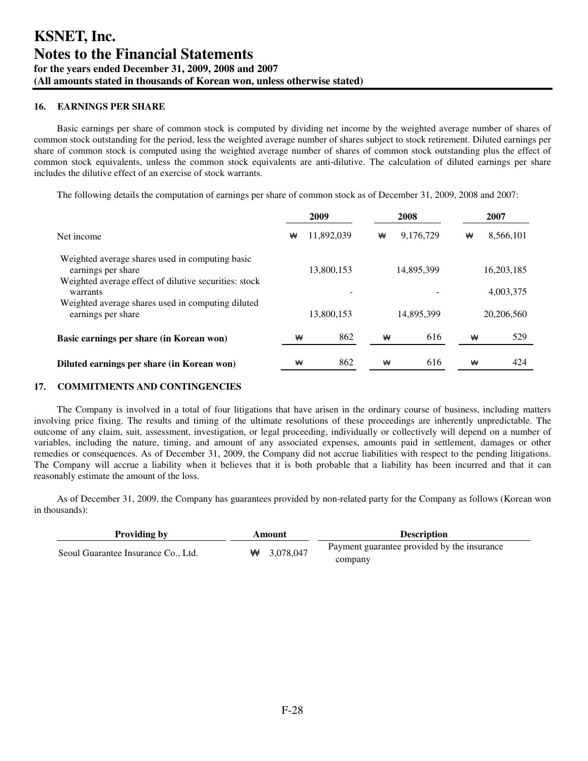## **16. EARNINGS PER SHARE**

Basic earnings per share of common stock is computed by dividing net income by the weighted average number of shares of common stock outstanding for the period, less the weighted average number of shares subject to stock retirement. Diluted earnings per share of common stock is computed using the weighted average number of shares of common stock outstanding plus the effect of common stock equivalents, unless the common stock equivalents are anti-dilutive. The calculation of diluted earnings per share includes the dilutive effect of an exercise of stock warrants.

The following details the computation of earnings per share of common stock as of December 31, 2009, 2008 and 2007:

|                                                                                                                                |   | 2009       |   | 2008       |   | 2007 |            |
|--------------------------------------------------------------------------------------------------------------------------------|---|------------|---|------------|---|------|------------|
| Net income                                                                                                                     | ₩ | 11,892,039 | ₩ | 9,176,729  | ₩ |      | 8,566,101  |
| Weighted average shares used in computing basic<br>earnings per share<br>Weighted average effect of dilutive securities: stock |   | 13,800,153 |   | 14,895,399 |   |      | 16,203,185 |
| warrants                                                                                                                       |   |            |   |            |   |      | 4,003,375  |
| Weighted average shares used in computing diluted<br>earnings per share                                                        |   | 13.800.153 |   | 14.895.399 |   |      | 20,206,560 |
| Basic earnings per share (in Korean won)                                                                                       | ₩ | 862        | ₩ | 616        |   | ₩    | 529        |
| Diluted earnings per share (in Korean won)                                                                                     | ₩ | 862        | ₩ | 616        |   | ₩    | 424        |

## **17. COMMITMENTS AND CONTINGENCIES**

The Company is involved in a total of four litigations that have arisen in the ordinary course of business, including matters involving price fixing. The results and timing of the ultimate resolutions of these proceedings are inherently unpredictable. The outcome of any claim, suit, assessment, investigation, or legal proceeding, individually or collectively will depend on a number of variables, including the nature, timing, and amount of any associated expenses, amounts paid in settlement, damages or other remedies or consequences. As of December 31, 2009, the Company did not accrue liabilities with respect to the pending litigations. The Company will accrue a liability when it believes that it is both probable that a liability has been incurred and that it can reasonably estimate the amount of the loss.

As of December 31, 2009, the Company has guarantees provided by non-related party for the Company as follows (Korean won in thousands):

| <b>Providing by</b>                 | Amount         | <b>Description</b>                          |
|-------------------------------------|----------------|---------------------------------------------|
| Seoul Guarantee Insurance Co., Ltd. | 3,078,047<br>₩ | Payment guarantee provided by the insurance |
|                                     |                | company                                     |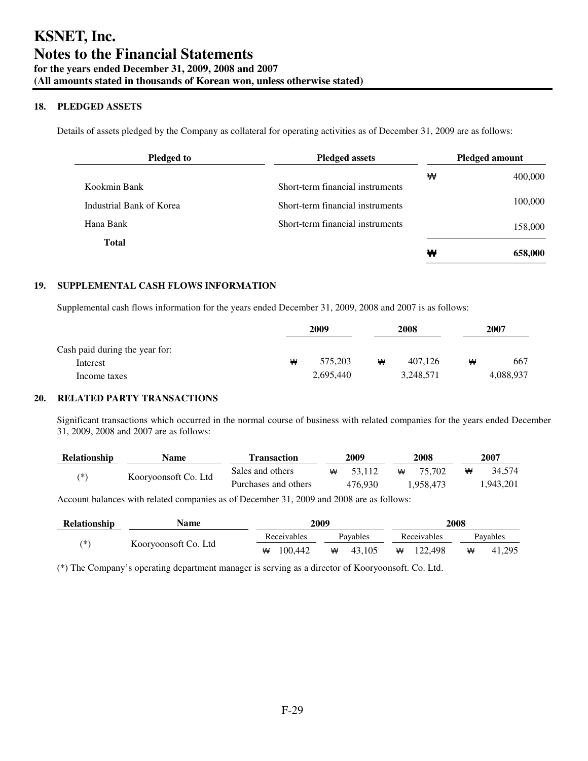## **18. PLEDGED ASSETS**

Details of assets pledged by the Company as collateral for operating activities as of December 31, 2009 are as follows:

| <b>Pledged to</b>        | <b>Pledged assets</b>            | <b>Pledged amount</b> |         |  |  |
|--------------------------|----------------------------------|-----------------------|---------|--|--|
|                          |                                  | ₩                     | 400,000 |  |  |
| Kookmin Bank             | Short-term financial instruments |                       |         |  |  |
| Industrial Bank of Korea | Short-term financial instruments |                       | 100,000 |  |  |
| Hana Bank                | Short-term financial instruments |                       | 158,000 |  |  |
| <b>Total</b>             |                                  | ₩                     |         |  |  |
|                          |                                  |                       | 658,000 |  |  |

## **19. SUPPLEMENTAL CASH FLOWS INFORMATION**

Supplemental cash flows information for the years ended December 31, 2009, 2008 and 2007 is as follows:

|                                |   | 2009      |   | 2008      |   | 2007      |  |
|--------------------------------|---|-----------|---|-----------|---|-----------|--|
| Cash paid during the year for: |   |           |   |           |   |           |  |
| Interest                       | ₩ | 575.203   | ₩ | 407.126   | ₩ | 667       |  |
| Income taxes                   |   | 2,695,440 |   | 3,248,571 |   | 4,088,937 |  |

## **20. RELATED PARTY TRANSACTIONS**

Significant transactions which occurred in the normal course of business with related companies for the years ended December 31, 2009, 2008 and 2007 are as follows:

| <b>Relationship</b> | Name                 | <b>Transaction</b>   |   | 2009    |   | 2008      |   | 2007      |
|---------------------|----------------------|----------------------|---|---------|---|-----------|---|-----------|
| (*)                 |                      | Sales and others     | ₩ | 53.112  | ₩ | 75.702    | ₩ | 34.574    |
|                     | Kooryoonsoft Co. Ltd | Purchases and others |   | 476.930 |   | 1.958.473 |   | 1.943.201 |

Account balances with related companies as of December 31, 2009 and 2008 are as follows:

| <b>Relationship</b> | Name                 | 2009 |             |   |          | 2008 |             |   |          |
|---------------------|----------------------|------|-------------|---|----------|------|-------------|---|----------|
|                     |                      |      | Receivables |   | Pavables |      | Receivables |   | Pavables |
| ′*`                 | Kooryoonsoft Co. Ltd | ₩    | 100.442     | ₩ | 43.105   | ₩    | 122.498     | ₩ | 41,295   |

(\*) The Company's operating department manager is serving as a director of Kooryoonsoft. Co. Ltd.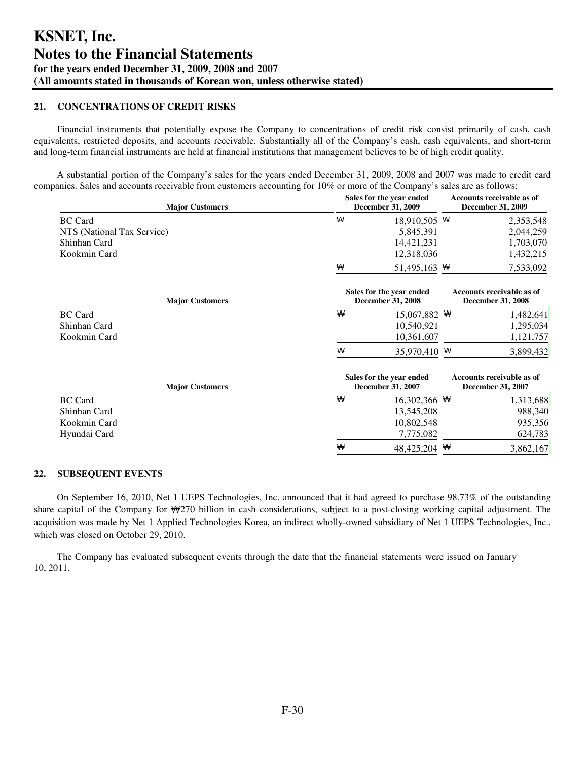## **21. CONCENTRATIONS OF CREDIT RISKS**

Financial instruments that potentially expose the Company to concentrations of credit risk consist primarily of cash, cash equivalents, restricted deposits, and accounts receivable. Substantially all of the Company's cash, cash equivalents, and short-term and long-term financial instruments are held at financial institutions that management believes to be of high credit quality.

A substantial portion of the Company's sales for the years ended December 31, 2009, 2008 and 2007 was made to credit card companies. Sales and accounts receivable from customers accounting for 10% or more of the Company's sales are as follows:

| <b>Major Customers</b>     |                                                      | Sales for the year ended<br><b>December 31, 2009</b>  |  |           |  |
|----------------------------|------------------------------------------------------|-------------------------------------------------------|--|-----------|--|
| <b>BC</b> Card             | ₩                                                    | 18,910,505 $\#$                                       |  | 2,353,548 |  |
| NTS (National Tax Service) |                                                      | 5,845,391                                             |  | 2,044,259 |  |
| Shinhan Card               |                                                      | 14,421,231                                            |  | 1,703,070 |  |
| Kookmin Card               |                                                      | 12,318,036                                            |  | 1,432,215 |  |
|                            | ₩                                                    | 51,495,163 $#$                                        |  | 7,533,092 |  |
| <b>Major Customers</b>     | Sales for the year ended<br><b>December 31, 2008</b> | Accounts receivable as of<br><b>December 31, 2008</b> |  |           |  |
| <b>BC</b> Card             | ₩                                                    | 15,067,882 $\mathbf{\mathsf{\Psi}}$                   |  | 1,482,641 |  |
| Shinhan Card               |                                                      | 10,540,921                                            |  | 1,295,034 |  |
| Kookmin Card               |                                                      | 10,361,607                                            |  | 1,121,757 |  |
|                            | ₩                                                    | 35,970,410 ₩                                          |  | 3,899,432 |  |
| <b>Major Customers</b>     |                                                      | Sales for the year ended<br><b>December 31, 2007</b>  |  |           |  |
| <b>BC</b> Card             | ₩                                                    | 16,302,366 $#$                                        |  | 1,313,688 |  |

|              | ₩ | 48,425,204 $\mathbf{\mathcal{H}}$ | 3,862,167   |
|--------------|---|-----------------------------------|-------------|
| Hyundai Card |   | 7,775,082                         | 624,783     |
| Kookmin Card |   | 10,802,548                        | 935,356     |
| Shinhan Card |   | 13,545,208                        | 988,340     |
|              |   | .                                 | , , , , , , |

#### **22. SUBSEQUENT EVENTS**

On September 16, 2010, Net 1 UEPS Technologies, Inc. announced that it had agreed to purchase 98.73% of the outstanding share capital of the Company for  $\mathcal{W}270$  billion in cash considerations, subject to a post-closing working capital adjustment. The acquisition was made by Net 1 Applied Technologies Korea, an indirect wholly-owned subsidiary of Net 1 UEPS Technologies, Inc., which was closed on October 29, 2010.

The Company has evaluated subsequent events through the date that the financial statements were issued on January 10, 2011.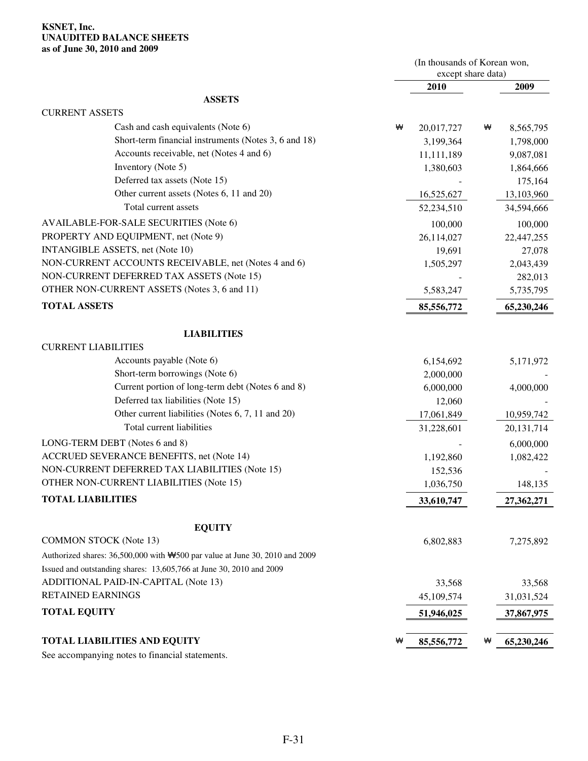## **KSNET, Inc. UNAUDITED BALANCE SHEETS as of June 30, 2010 and 2009**

|                                                                                         |   | (In thousands of Korean won,<br>except share data) |   |              |
|-----------------------------------------------------------------------------------------|---|----------------------------------------------------|---|--------------|
|                                                                                         |   | 2010                                               |   | 2009         |
| <b>ASSETS</b>                                                                           |   |                                                    |   |              |
| <b>CURRENT ASSETS</b>                                                                   |   |                                                    |   |              |
| Cash and cash equivalents (Note 6)                                                      | ₩ | 20,017,727                                         | ₩ | 8,565,795    |
| Short-term financial instruments (Notes 3, 6 and 18)                                    |   | 3,199,364                                          |   | 1,798,000    |
| Accounts receivable, net (Notes 4 and 6)                                                |   | 11,111,189                                         |   | 9,087,081    |
| Inventory (Note 5)                                                                      |   | 1,380,603                                          |   | 1,864,666    |
| Deferred tax assets (Note 15)                                                           |   |                                                    |   | 175,164      |
| Other current assets (Notes 6, 11 and 20)                                               |   | 16,525,627                                         |   | 13,103,960   |
| Total current assets                                                                    |   | 52,234,510                                         |   | 34,594,666   |
| AVAILABLE-FOR-SALE SECURITIES (Note 6)                                                  |   | 100,000                                            |   | 100,000      |
| PROPERTY AND EQUIPMENT, net (Note 9)                                                    |   | 26,114,027                                         |   | 22,447,255   |
| INTANGIBLE ASSETS, net (Note 10)                                                        |   | 19,691                                             |   | 27,078       |
| NON-CURRENT ACCOUNTS RECEIVABLE, net (Notes 4 and 6)                                    |   | 1,505,297                                          |   | 2,043,439    |
| NON-CURRENT DEFERRED TAX ASSETS (Note 15)                                               |   |                                                    |   | 282,013      |
| OTHER NON-CURRENT ASSETS (Notes 3, 6 and 11)                                            |   | 5,583,247                                          |   | 5,735,795    |
| <b>TOTAL ASSETS</b>                                                                     |   | 85,556,772                                         |   | 65,230,246   |
| <b>LIABILITIES</b>                                                                      |   |                                                    |   |              |
| <b>CURRENT LIABILITIES</b>                                                              |   |                                                    |   |              |
| Accounts payable (Note 6)                                                               |   | 6,154,692                                          |   | 5,171,972    |
| Short-term borrowings (Note 6)                                                          |   | 2,000,000                                          |   |              |
| Current portion of long-term debt (Notes 6 and 8)                                       |   | 6,000,000                                          |   | 4,000,000    |
| Deferred tax liabilities (Note 15)                                                      |   | 12,060                                             |   |              |
| Other current liabilities (Notes 6, 7, 11 and 20)                                       |   | 17,061,849                                         |   | 10,959,742   |
| Total current liabilities                                                               |   | 31,228,601                                         |   | 20, 131, 714 |
| LONG-TERM DEBT (Notes 6 and 8)                                                          |   |                                                    |   | 6,000,000    |
| ACCRUED SEVERANCE BENEFITS, net (Note 14)                                               |   | 1,192,860                                          |   | 1,082,422    |
| NON-CURRENT DEFERRED TAX LIABILITIES (Note 15)                                          |   | 152,536                                            |   |              |
| <b>OTHER NON-CURRENT LIABILITIES (Note 15)</b>                                          |   | 1,036,750                                          |   | 148,135      |
| <b>TOTAL LIABILITIES</b>                                                                |   | 33,610,747                                         |   | 27,362,271   |
| <b>EQUITY</b>                                                                           |   |                                                    |   |              |
| <b>COMMON STOCK</b> (Note 13)                                                           |   | 6,802,883                                          |   | 7,275,892    |
| Authorized shares: $36,500,000$ with $\bigstar 500$ par value at June 30, 2010 and 2009 |   |                                                    |   |              |
| Issued and outstanding shares: 13,605,766 at June 30, 2010 and 2009                     |   |                                                    |   |              |
| ADDITIONAL PAID-IN-CAPITAL (Note 13)                                                    |   | 33,568                                             |   | 33,568       |
| <b>RETAINED EARNINGS</b>                                                                |   | 45,109,574                                         |   | 31,031,524   |
| <b>TOTAL EQUITY</b>                                                                     |   | 51,946,025                                         |   | 37,867,975   |
|                                                                                         | ₩ |                                                    | ₩ |              |
| <b>TOTAL LIABILITIES AND EQUITY</b>                                                     |   | 85,556,772                                         |   | 65,230,246   |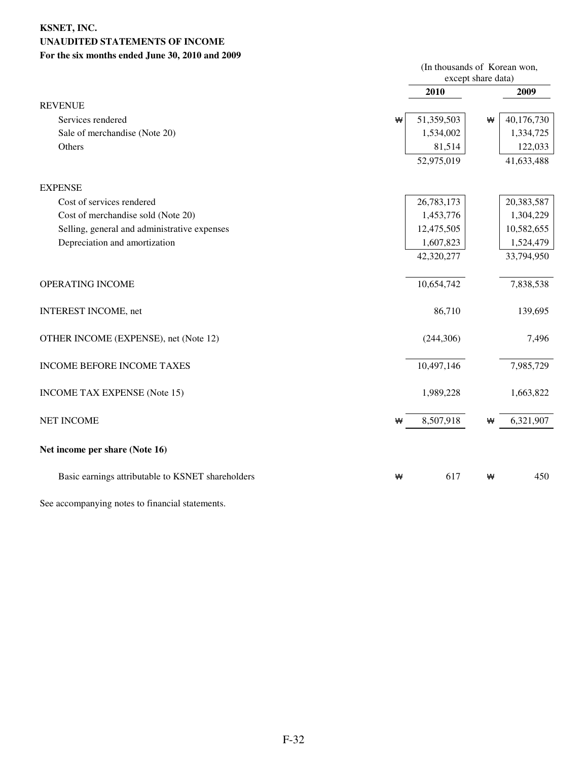## **KSNET, INC. UNAUDITED STATEMENTS OF INCOME For the six months ended June 30, 2010 and 2009**

|                                                   |   | (In thousands of Korean won,<br>except share data) |   |            |
|---------------------------------------------------|---|----------------------------------------------------|---|------------|
|                                                   |   | 2010                                               |   | 2009       |
| <b>REVENUE</b>                                    |   |                                                    |   |            |
| Services rendered                                 | ₩ | 51,359,503                                         | ₩ | 40,176,730 |
| Sale of merchandise (Note 20)                     |   | 1,534,002                                          |   | 1,334,725  |
| Others                                            |   | 81,514                                             |   | 122,033    |
|                                                   |   | 52,975,019                                         |   | 41,633,488 |
| <b>EXPENSE</b>                                    |   |                                                    |   |            |
| Cost of services rendered                         |   | 26,783,173                                         |   | 20,383,587 |
| Cost of merchandise sold (Note 20)                |   | 1,453,776                                          |   | 1,304,229  |
| Selling, general and administrative expenses      |   | 12,475,505                                         |   | 10,582,655 |
| Depreciation and amortization                     |   | 1,607,823                                          |   | 1,524,479  |
|                                                   |   | 42,320,277                                         |   | 33,794,950 |
| OPERATING INCOME                                  |   | 10,654,742                                         |   | 7,838,538  |
| <b>INTEREST INCOME, net</b>                       |   | 86,710                                             |   | 139,695    |
| OTHER INCOME (EXPENSE), net (Note 12)             |   | (244, 306)                                         |   | 7,496      |
| INCOME BEFORE INCOME TAXES                        |   | 10,497,146                                         |   | 7,985,729  |
| <b>INCOME TAX EXPENSE (Note 15)</b>               |   | 1,989,228                                          |   | 1,663,822  |
| <b>NET INCOME</b>                                 | ₩ | 8,507,918                                          | ₩ | 6,321,907  |
| Net income per share (Note 16)                    |   |                                                    |   |            |
| Basic earnings attributable to KSNET shareholders | ₩ | 617                                                | ₩ | 450        |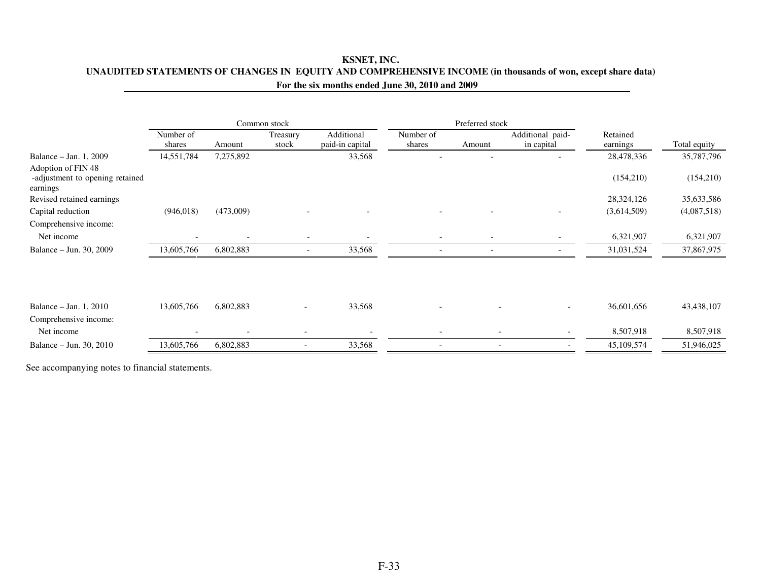## **KSNET, INC. UNAUDITED STATEMENTS OF CHANGES IN EQUITY AND COMPREHENSIVE INCOME (in thousands of won, except share data)For the six months ended June 30, 2010 and 2009**

|                     |                          |                          | Preferred stock               |                     |                          |                                |                      |              |
|---------------------|--------------------------|--------------------------|-------------------------------|---------------------|--------------------------|--------------------------------|----------------------|--------------|
| Number of<br>shares | Amount                   | Treasury<br>stock        | Additional<br>paid-in capital | Number of<br>shares | Amount                   | Additional paid-<br>in capital | Retained<br>earnings | Total equity |
| 14,551,784          | 7,275,892                |                          | 33,568                        |                     |                          |                                | 28,478,336           | 35,787,796   |
|                     |                          |                          |                               |                     |                          |                                | (154, 210)           | (154,210)    |
|                     |                          |                          |                               |                     |                          |                                | 28,324,126           | 35,633,586   |
| (946, 018)          | (473,009)                |                          |                               |                     |                          |                                | (3,614,509)          | (4,087,518)  |
|                     |                          |                          |                               |                     |                          |                                |                      |              |
|                     |                          |                          |                               |                     |                          |                                | 6,321,907            | 6,321,907    |
| 13,605,766          | 6,802,883                |                          | 33,568                        |                     |                          |                                | 31,031,524           | 37,867,975   |
|                     |                          |                          |                               |                     |                          |                                |                      |              |
| 13,605,766          | 6,802,883                |                          | 33,568                        |                     |                          | $\overline{\phantom{0}}$       | 36,601,656           | 43,438,107   |
|                     |                          |                          |                               |                     |                          |                                |                      |              |
|                     | $\overline{\phantom{a}}$ | $\overline{\phantom{a}}$ |                               |                     | $\overline{\phantom{a}}$ | $\overline{\phantom{a}}$       | 8,507,918            | 8,507,918    |
| 13,605,766          | 6,802,883                | $\overline{\phantom{a}}$ | 33,568                        |                     |                          |                                | 45,109,574           | 51,946,025   |
|                     |                          |                          | Common stock                  |                     |                          |                                |                      |              |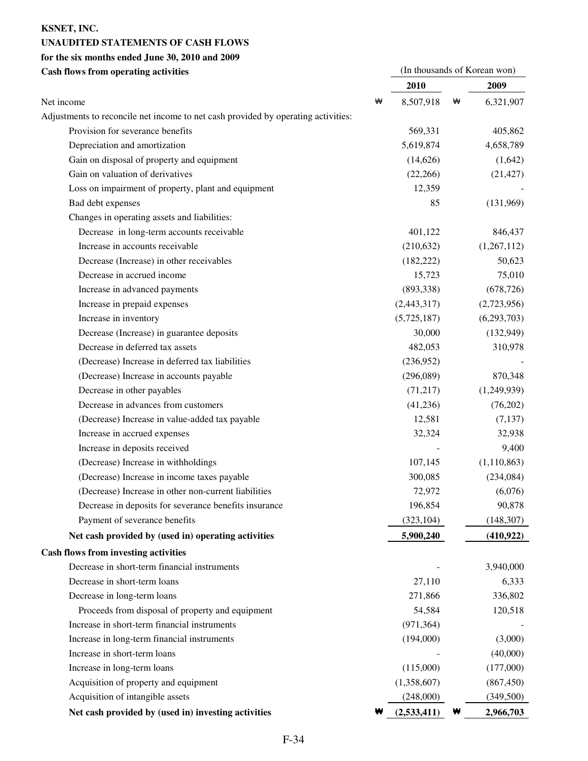## **KSNET, INC.**

## **UNAUDITED STATEMENTS OF CASH FLOWS**

## **for the six months ended June 30, 2010 and 2009**

| <b>Cash flows from operating activities</b>                                       |   |             |   | (In thousands of Korean won) |
|-----------------------------------------------------------------------------------|---|-------------|---|------------------------------|
|                                                                                   |   | 2010        |   | 2009                         |
| Net income                                                                        | ₩ | 8,507,918   | ₩ | 6,321,907                    |
| Adjustments to reconcile net income to net cash provided by operating activities: |   |             |   |                              |
| Provision for severance benefits                                                  |   | 569,331     |   | 405,862                      |
| Depreciation and amortization                                                     |   | 5,619,874   |   | 4,658,789                    |
| Gain on disposal of property and equipment                                        |   | (14,626)    |   | (1,642)                      |
| Gain on valuation of derivatives                                                  |   | (22,266)    |   | (21, 427)                    |
| Loss on impairment of property, plant and equipment                               |   | 12,359      |   |                              |
| Bad debt expenses                                                                 |   | 85          |   | (131,969)                    |
| Changes in operating assets and liabilities:                                      |   |             |   |                              |
| Decrease in long-term accounts receivable                                         |   | 401,122     |   | 846,437                      |
| Increase in accounts receivable                                                   |   | (210, 632)  |   | (1,267,112)                  |
| Decrease (Increase) in other receivables                                          |   | (182, 222)  |   | 50,623                       |
| Decrease in accrued income                                                        |   | 15,723      |   | 75,010                       |
| Increase in advanced payments                                                     |   | (893,338)   |   | (678, 726)                   |
| Increase in prepaid expenses                                                      |   | (2,443,317) |   | (2,723,956)                  |
| Increase in inventory                                                             |   | (5,725,187) |   | (6,293,703)                  |
| Decrease (Increase) in guarantee deposits                                         |   | 30,000      |   | (132, 949)                   |
| Decrease in deferred tax assets                                                   |   | 482,053     |   | 310,978                      |
| (Decrease) Increase in deferred tax liabilities                                   |   | (236,952)   |   |                              |
| (Decrease) Increase in accounts payable                                           |   | (296,089)   |   | 870,348                      |
| Decrease in other payables                                                        |   | (71, 217)   |   | (1,249,939)                  |
| Decrease in advances from customers                                               |   | (41,236)    |   | (76,202)                     |
| (Decrease) Increase in value-added tax payable                                    |   | 12,581      |   | (7, 137)                     |
| Increase in accrued expenses                                                      |   | 32,324      |   | 32,938                       |
| Increase in deposits received                                                     |   |             |   | 9,400                        |
| (Decrease) Increase in withholdings                                               |   | 107,145     |   | (1,110,863)                  |
| (Decrease) Increase in income taxes payable                                       |   | 300,085     |   | (234,084)                    |
| (Decrease) Increase in other non-current liabilities                              |   | 72,972      |   | (6,076)                      |
| Decrease in deposits for severance benefits insurance                             |   | 196,854     |   | 90,878                       |
| Payment of severance benefits                                                     |   | (323, 104)  |   | (148, 307)                   |
| Net cash provided by (used in) operating activities                               |   | 5,900,240   |   | (410, 922)                   |
| <b>Cash flows from investing activities</b>                                       |   |             |   |                              |
| Decrease in short-term financial instruments                                      |   |             |   | 3,940,000                    |
| Decrease in short-term loans                                                      |   | 27,110      |   | 6,333                        |
| Decrease in long-term loans                                                       |   | 271,866     |   | 336,802                      |
| Proceeds from disposal of property and equipment                                  |   | 54,584      |   | 120,518                      |
| Increase in short-term financial instruments                                      |   | (971, 364)  |   |                              |
| Increase in long-term financial instruments                                       |   | (194,000)   |   | (3,000)                      |
| Increase in short-term loans                                                      |   |             |   | (40,000)                     |
| Increase in long-term loans                                                       |   | (115,000)   |   | (177,000)                    |
| Acquisition of property and equipment                                             |   | (1,358,607) |   | (867, 450)                   |
| Acquisition of intangible assets                                                  |   | (248,000)   |   | (349,500)                    |

| Net cash provided by (used in) investing activities | $W$ (2,533,411) W | 2,966,703 |
|-----------------------------------------------------|-------------------|-----------|
|                                                     |                   |           |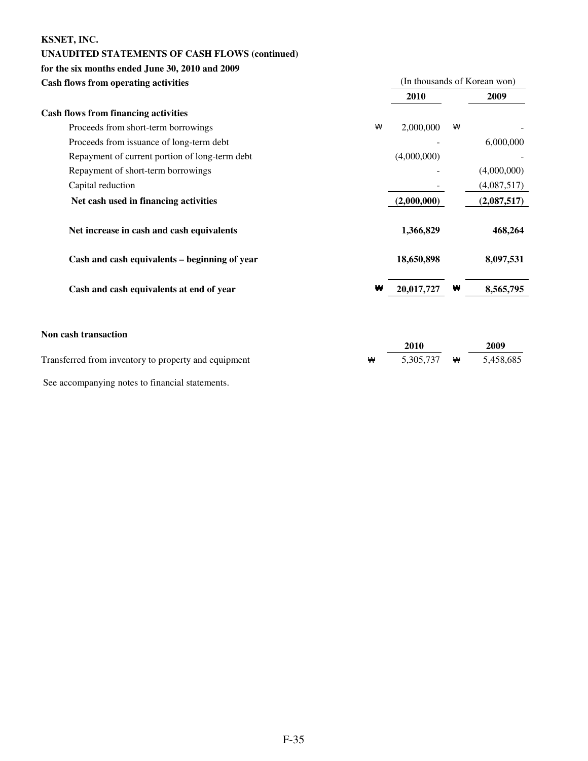## **KSNET, INC.**

## **UNAUDITED STATEMENTS OF CASH FLOWS (continued)**

## **for the six months ended June 30, 2010 and 2009**

| <b>Cash flows from operating activities</b>    |   |             |   | (In thousands of Korean won) |
|------------------------------------------------|---|-------------|---|------------------------------|
|                                                |   | 2010        |   | 2009                         |
| <b>Cash flows from financing activities</b>    |   |             |   |                              |
| Proceeds from short-term borrowings            | ₩ | 2,000,000   | ₩ |                              |
| Proceeds from issuance of long-term debt       |   |             |   | 6,000,000                    |
| Repayment of current portion of long-term debt |   | (4,000,000) |   |                              |
| Repayment of short-term borrowings             |   |             |   | (4,000,000)                  |
| Capital reduction                              |   |             |   | (4,087,517)                  |
| Net cash used in financing activities          |   | (2,000,000) |   | (2,087,517)                  |
| Net increase in cash and cash equivalents      |   | 1,366,829   |   | 468,264                      |
| Cash and cash equivalents - beginning of year  |   | 18,650,898  |   | 8,097,531                    |
| Cash and cash equivalents at end of year       | ₩ | 20,017,727  | ₩ | 8,565,795                    |
| Non cash transaction                           |   | 2010        |   | 2009                         |

Transferred from inventory to property and equipment W 5,305,737 W 5,458,685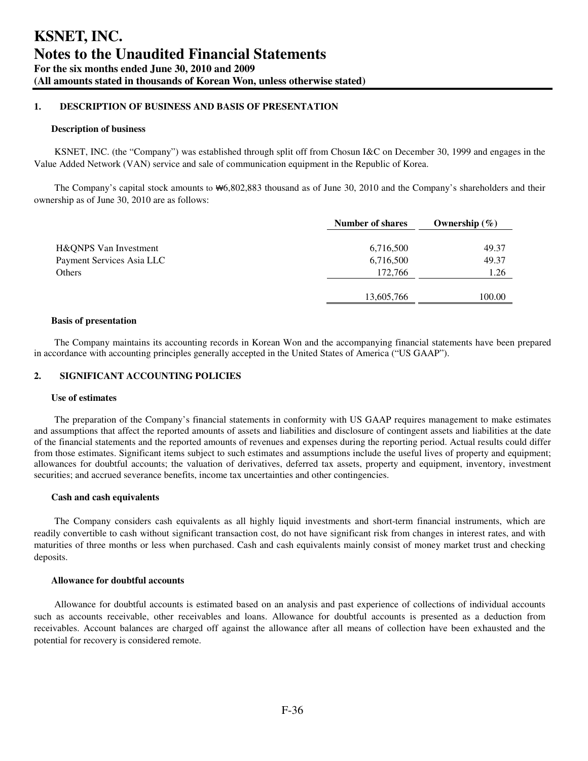### **1. DESCRIPTION OF BUSINESS AND BASIS OF PRESENTATION**

#### **Description of business**

KSNET, INC. (the "Company") was established through split off from Chosun I&C on December 30, 1999 and engages in the Value Added Network (VAN) service and sale of communication equipment in the Republic of Korea.

The Company's capital stock amounts to ₩6,802,883 thousand as of June 30, 2010 and the Company's shareholders and their ownership as of June 30, 2010 are as follows:

|                           | <b>Number of shares</b> | Ownership $(\%)$ |
|---------------------------|-------------------------|------------------|
| H&QNPS Van Investment     | 6,716,500               | 49.37            |
| Payment Services Asia LLC | 6,716,500               | 49.37            |
| Others                    | 172,766                 | 1.26             |
|                           |                         |                  |
|                           | 13,605,766              | 100.00           |

#### **Basis of presentation**

The Company maintains its accounting records in Korean Won and the accompanying financial statements have been prepared in accordance with accounting principles generally accepted in the United States of America ("US GAAP").

## **2. SIGNIFICANT ACCOUNTING POLICIES**

#### **Use of estimates**

The preparation of the Company's financial statements in conformity with US GAAP requires management to make estimates and assumptions that affect the reported amounts of assets and liabilities and disclosure of contingent assets and liabilities at the date of the financial statements and the reported amounts of revenues and expenses during the reporting period. Actual results could differ from those estimates. Significant items subject to such estimates and assumptions include the useful lives of property and equipment; allowances for doubtful accounts; the valuation of derivatives, deferred tax assets, property and equipment, inventory, investment securities; and accrued severance benefits, income tax uncertainties and other contingencies.

#### **Cash and cash equivalents**

The Company considers cash equivalents as all highly liquid investments and short-term financial instruments, which are readily convertible to cash without significant transaction cost, do not have significant risk from changes in interest rates, and with maturities of three months or less when purchased. Cash and cash equivalents mainly consist of money market trust and checking deposits.

#### **Allowance for doubtful accounts**

Allowance for doubtful accounts is estimated based on an analysis and past experience of collections of individual accounts such as accounts receivable, other receivables and loans. Allowance for doubtful accounts is presented as a deduction from receivables. Account balances are charged off against the allowance after all means of collection have been exhausted and the potential for recovery is considered remote.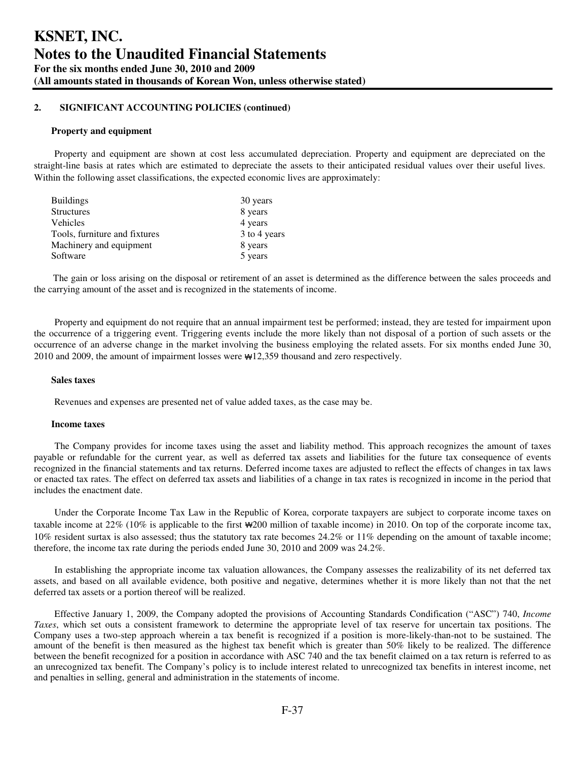#### **Property and equipment**

Property and equipment are shown at cost less accumulated depreciation. Property and equipment are depreciated on the straight-line basis at rates which are estimated to depreciate the assets to their anticipated residual values over their useful lives. Within the following asset classifications, the expected economic lives are approximately:

| <b>Buildings</b>              | 30 years     |
|-------------------------------|--------------|
| <b>Structures</b>             | 8 years      |
| <b>Vehicles</b>               | 4 years      |
| Tools, furniture and fixtures | 3 to 4 years |
| Machinery and equipment       | 8 years      |
| Software                      | 5 years      |

The gain or loss arising on the disposal or retirement of an asset is determined as the difference between the sales proceeds and the carrying amount of the asset and is recognized in the statements of income.

Property and equipment do not require that an annual impairment test be performed; instead, they are tested for impairment upon the occurrence of a triggering event. Triggering events include the more likely than not disposal of a portion of such assets or the occurrence of an adverse change in the market involving the business employing the related assets. For six months ended June 30, 2010 and 2009, the amount of impairment losses were ₩12,359 thousand and zero respectively.

#### **Sales taxes**

Revenues and expenses are presented net of value added taxes, as the case may be.

#### **Income taxes**

The Company provides for income taxes using the asset and liability method. This approach recognizes the amount of taxes payable or refundable for the current year, as well as deferred tax assets and liabilities for the future tax consequence of events recognized in the financial statements and tax returns. Deferred income taxes are adjusted to reflect the effects of changes in tax laws or enacted tax rates. The effect on deferred tax assets and liabilities of a change in tax rates is recognized in income in the period that includes the enactment date.

Under the Corporate Income Tax Law in the Republic of Korea, corporate taxpayers are subject to corporate income taxes on taxable income at 22% (10% is applicable to the first ₩200 million of taxable income) in 2010. On top of the corporate income tax, 10% resident surtax is also assessed; thus the statutory tax rate becomes 24.2% or 11% depending on the amount of taxable income; therefore, the income tax rate during the periods ended June 30, 2010 and 2009 was 24.2%.

In establishing the appropriate income tax valuation allowances, the Company assesses the realizability of its net deferred tax assets, and based on all available evidence, both positive and negative, determines whether it is more likely than not that the net deferred tax assets or a portion thereof will be realized.

Effective January 1, 2009, the Company adopted the provisions of Accounting Standards Condification ("ASC") 740, *Income Taxes*, which set outs a consistent framework to determine the appropriate level of tax reserve for uncertain tax positions. The Company uses a two-step approach wherein a tax benefit is recognized if a position is more-likely-than-not to be sustained. The amount of the benefit is then measured as the highest tax benefit which is greater than 50% likely to be realized. The difference between the benefit recognized for a position in accordance with ASC 740 and the tax benefit claimed on a tax return is referred to as an unrecognized tax benefit. The Company's policy is to include interest related to unrecognized tax benefits in interest income, net and penalties in selling, general and administration in the statements of income.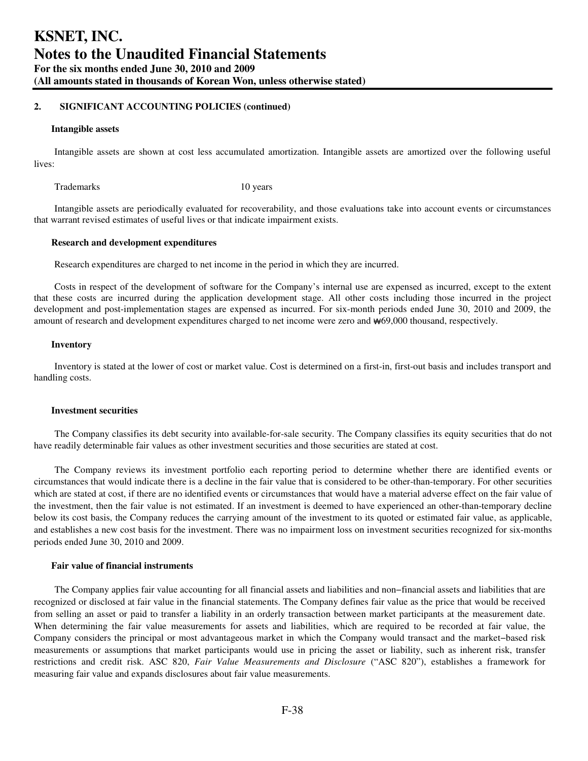#### **Intangible assets**

Intangible assets are shown at cost less accumulated amortization. Intangible assets are amortized over the following useful lives:

Trademarks 10 years 10 years

Intangible assets are periodically evaluated for recoverability, and those evaluations take into account events or circumstances that warrant revised estimates of useful lives or that indicate impairment exists.

#### **Research and development expenditures**

Research expenditures are charged to net income in the period in which they are incurred.

Costs in respect of the development of software for the Company's internal use are expensed as incurred, except to the extent that these costs are incurred during the application development stage. All other costs including those incurred in the project development and post-implementation stages are expensed as incurred. For six-month periods ended June 30, 2010 and 2009, the amount of research and development expenditures charged to net income were zero and ₩69,000 thousand, respectively.

#### **Inventory**

Inventory is stated at the lower of cost or market value. Cost is determined on a first-in, first-out basis and includes transport and handling costs.

#### **Investment securities**

The Company classifies its debt security into available-for-sale security. The Company classifies its equity securities that do not have readily determinable fair values as other investment securities and those securities are stated at cost.

The Company reviews its investment portfolio each reporting period to determine whether there are identified events or circumstances that would indicate there is a decline in the fair value that is considered to be other-than-temporary. For other securities which are stated at cost, if there are no identified events or circumstances that would have a material adverse effect on the fair value of the investment, then the fair value is not estimated. If an investment is deemed to have experienced an other-than-temporary decline below its cost basis, the Company reduces the carrying amount of the investment to its quoted or estimated fair value, as applicable, and establishes a new cost basis for the investment. There was no impairment loss on investment securities recognized for six-months periods ended June 30, 2010 and 2009.

## **Fair value of financial instruments**

The Company applies fair value accounting for all financial assets and liabilities and non−financial assets and liabilities that are recognized or disclosed at fair value in the financial statements. The Company defines fair value as the price that would be received from selling an asset or paid to transfer a liability in an orderly transaction between market participants at the measurement date. When determining the fair value measurements for assets and liabilities, which are required to be recorded at fair value, the Company considers the principal or most advantageous market in which the Company would transact and the market−based risk measurements or assumptions that market participants would use in pricing the asset or liability, such as inherent risk, transfer restrictions and credit risk. ASC 820, *Fair Value Measurements and Disclosure* ("ASC 820"), establishes a framework for measuring fair value and expands disclosures about fair value measurements.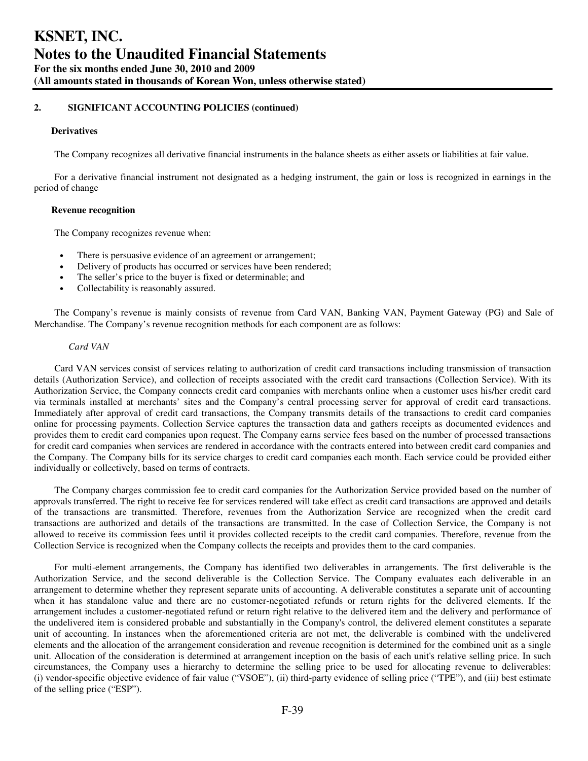#### **Derivatives**

The Company recognizes all derivative financial instruments in the balance sheets as either assets or liabilities at fair value.

For a derivative financial instrument not designated as a hedging instrument, the gain or loss is recognized in earnings in the period of change

#### **Revenue recognition**

The Company recognizes revenue when:

- There is persuasive evidence of an agreement or arrangement;
- Delivery of products has occurred or services have been rendered;
- The seller's price to the buyer is fixed or determinable; and
- Collectability is reasonably assured.

The Company's revenue is mainly consists of revenue from Card VAN, Banking VAN, Payment Gateway (PG) and Sale of Merchandise. The Company's revenue recognition methods for each component are as follows:

#### *Card VAN*

Card VAN services consist of services relating to authorization of credit card transactions including transmission of transaction details (Authorization Service), and collection of receipts associated with the credit card transactions (Collection Service). With its Authorization Service, the Company connects credit card companies with merchants online when a customer uses his/her credit card via terminals installed at merchants' sites and the Company's central processing server for approval of credit card transactions. Immediately after approval of credit card transactions, the Company transmits details of the transactions to credit card companies online for processing payments. Collection Service captures the transaction data and gathers receipts as documented evidences and provides them to credit card companies upon request. The Company earns service fees based on the number of processed transactions for credit card companies when services are rendered in accordance with the contracts entered into between credit card companies and the Company. The Company bills for its service charges to credit card companies each month. Each service could be provided either individually or collectively, based on terms of contracts.

The Company charges commission fee to credit card companies for the Authorization Service provided based on the number of approvals transferred. The right to receive fee for services rendered will take effect as credit card transactions are approved and details of the transactions are transmitted. Therefore, revenues from the Authorization Service are recognized when the credit card transactions are authorized and details of the transactions are transmitted. In the case of Collection Service, the Company is not allowed to receive its commission fees until it provides collected receipts to the credit card companies. Therefore, revenue from the Collection Service is recognized when the Company collects the receipts and provides them to the card companies.

For multi-element arrangements, the Company has identified two deliverables in arrangements. The first deliverable is the Authorization Service, and the second deliverable is the Collection Service. The Company evaluates each deliverable in an arrangement to determine whether they represent separate units of accounting. A deliverable constitutes a separate unit of accounting when it has standalone value and there are no customer-negotiated refunds or return rights for the delivered elements. If the arrangement includes a customer-negotiated refund or return right relative to the delivered item and the delivery and performance of the undelivered item is considered probable and substantially in the Company's control, the delivered element constitutes a separate unit of accounting. In instances when the aforementioned criteria are not met, the deliverable is combined with the undelivered elements and the allocation of the arrangement consideration and revenue recognition is determined for the combined unit as a single unit. Allocation of the consideration is determined at arrangement inception on the basis of each unit's relative selling price. In such circumstances, the Company uses a hierarchy to determine the selling price to be used for allocating revenue to deliverables: (i) vendor-specific objective evidence of fair value ("VSOE"), (ii) third-party evidence of selling price ("TPE"), and (iii) best estimate of the selling price ("ESP").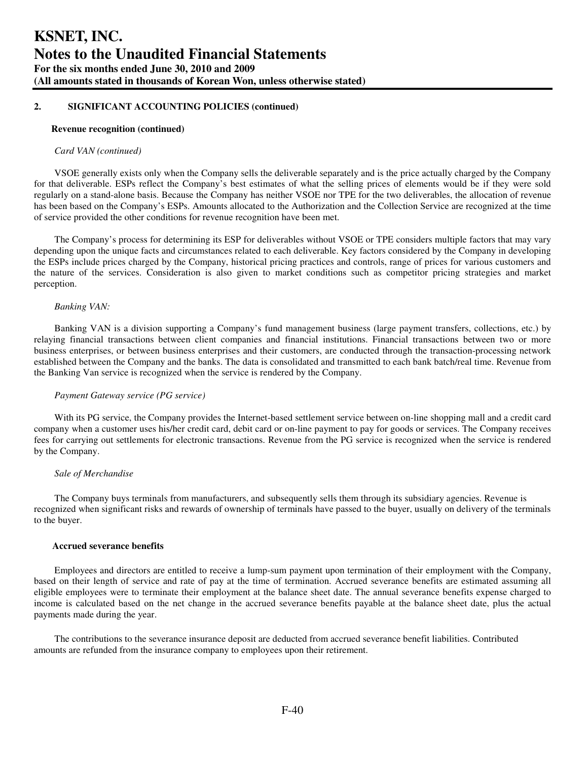#### **Revenue recognition (continued)**

#### *Card VAN (continued)*

VSOE generally exists only when the Company sells the deliverable separately and is the price actually charged by the Company for that deliverable. ESPs reflect the Company's best estimates of what the selling prices of elements would be if they were sold regularly on a stand-alone basis. Because the Company has neither VSOE nor TPE for the two deliverables, the allocation of revenue has been based on the Company's ESPs. Amounts allocated to the Authorization and the Collection Service are recognized at the time of service provided the other conditions for revenue recognition have been met.

The Company's process for determining its ESP for deliverables without VSOE or TPE considers multiple factors that may vary depending upon the unique facts and circumstances related to each deliverable. Key factors considered by the Company in developing the ESPs include prices charged by the Company, historical pricing practices and controls, range of prices for various customers and the nature of the services. Consideration is also given to market conditions such as competitor pricing strategies and market perception.

#### *Banking VAN:*

Banking VAN is a division supporting a Company's fund management business (large payment transfers, collections, etc.) by relaying financial transactions between client companies and financial institutions. Financial transactions between two or more business enterprises, or between business enterprises and their customers, are conducted through the transaction-processing network established between the Company and the banks. The data is consolidated and transmitted to each bank batch/real time. Revenue from the Banking Van service is recognized when the service is rendered by the Company.

#### *Payment Gateway service (PG service)*

With its PG service, the Company provides the Internet-based settlement service between on-line shopping mall and a credit card company when a customer uses his/her credit card, debit card or on-line payment to pay for goods or services. The Company receives fees for carrying out settlements for electronic transactions. Revenue from the PG service is recognized when the service is rendered by the Company.

#### *Sale of Merchandise*

The Company buys terminals from manufacturers, and subsequently sells them through its subsidiary agencies. Revenue is recognized when significant risks and rewards of ownership of terminals have passed to the buyer, usually on delivery of the terminals to the buyer.

#### **Accrued severance benefits**

Employees and directors are entitled to receive a lump-sum payment upon termination of their employment with the Company, based on their length of service and rate of pay at the time of termination. Accrued severance benefits are estimated assuming all eligible employees were to terminate their employment at the balance sheet date. The annual severance benefits expense charged to income is calculated based on the net change in the accrued severance benefits payable at the balance sheet date, plus the actual payments made during the year.

The contributions to the severance insurance deposit are deducted from accrued severance benefit liabilities. Contributed amounts are refunded from the insurance company to employees upon their retirement.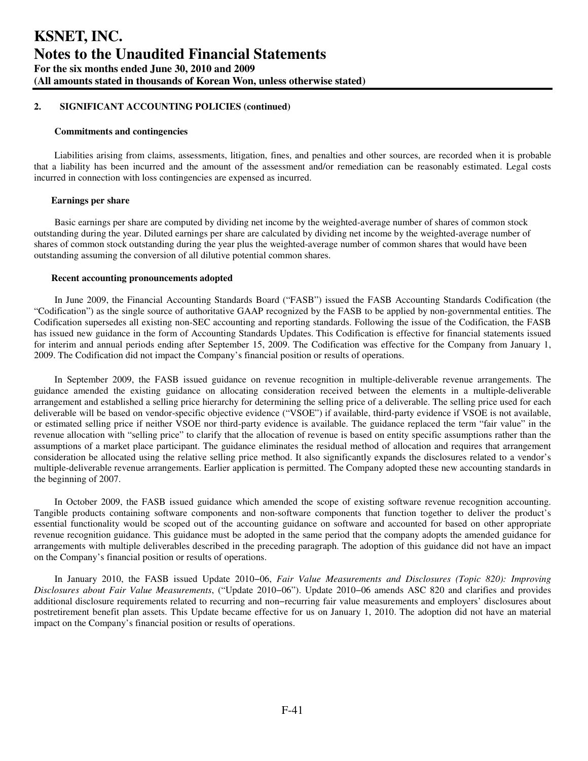#### **Commitments and contingencies**

Liabilities arising from claims, assessments, litigation, fines, and penalties and other sources, are recorded when it is probable that a liability has been incurred and the amount of the assessment and/or remediation can be reasonably estimated. Legal costs incurred in connection with loss contingencies are expensed as incurred.

#### **Earnings per share**

Basic earnings per share are computed by dividing net income by the weighted-average number of shares of common stock outstanding during the year. Diluted earnings per share are calculated by dividing net income by the weighted-average number of shares of common stock outstanding during the year plus the weighted-average number of common shares that would have been outstanding assuming the conversion of all dilutive potential common shares.

#### **Recent accounting pronouncements adopted**

In June 2009, the Financial Accounting Standards Board ("FASB") issued the FASB Accounting Standards Codification (the "Codification") as the single source of authoritative GAAP recognized by the FASB to be applied by non-governmental entities. The Codification supersedes all existing non-SEC accounting and reporting standards. Following the issue of the Codification, the FASB has issued new guidance in the form of Accounting Standards Updates. This Codification is effective for financial statements issued for interim and annual periods ending after September 15, 2009. The Codification was effective for the Company from January 1, 2009. The Codification did not impact the Company's financial position or results of operations.

In September 2009, the FASB issued guidance on revenue recognition in multiple-deliverable revenue arrangements. The guidance amended the existing guidance on allocating consideration received between the elements in a multiple-deliverable arrangement and established a selling price hierarchy for determining the selling price of a deliverable. The selling price used for each deliverable will be based on vendor-specific objective evidence ("VSOE") if available, third-party evidence if VSOE is not available, or estimated selling price if neither VSOE nor third-party evidence is available. The guidance replaced the term "fair value" in the revenue allocation with "selling price" to clarify that the allocation of revenue is based on entity specific assumptions rather than the assumptions of a market place participant. The guidance eliminates the residual method of allocation and requires that arrangement consideration be allocated using the relative selling price method. It also significantly expands the disclosures related to a vendor's multiple-deliverable revenue arrangements. Earlier application is permitted. The Company adopted these new accounting standards in the beginning of 2007.

In October 2009, the FASB issued guidance which amended the scope of existing software revenue recognition accounting. Tangible products containing software components and non-software components that function together to deliver the product's essential functionality would be scoped out of the accounting guidance on software and accounted for based on other appropriate revenue recognition guidance. This guidance must be adopted in the same period that the company adopts the amended guidance for arrangements with multiple deliverables described in the preceding paragraph. The adoption of this guidance did not have an impact on the Company's financial position or results of operations.

In January 2010, the FASB issued Update 2010−06, *Fair Value Measurements and Disclosures (Topic 820): Improving Disclosures about Fair Value Measurements*, ("Update 2010−06"). Update 2010−06 amends ASC 820 and clarifies and provides additional disclosure requirements related to recurring and non−recurring fair value measurements and employers' disclosures about postretirement benefit plan assets. This Update became effective for us on January 1, 2010. The adoption did not have an material impact on the Company's financial position or results of operations.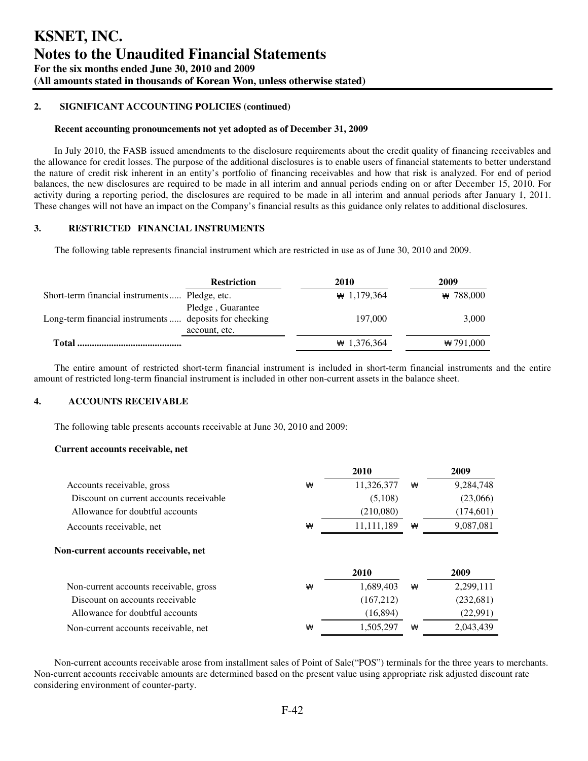#### **Recent accounting pronouncements not yet adopted as of December 31, 2009**

In July 2010, the FASB issued amendments to the disclosure requirements about the credit quality of financing receivables and the allowance for credit losses. The purpose of the additional disclosures is to enable users of financial statements to better understand the nature of credit risk inherent in an entity's portfolio of financing receivables and how that risk is analyzed. For end of period balances, the new disclosures are required to be made in all interim and annual periods ending on or after December 15, 2010. For activity during a reporting period, the disclosures are required to be made in all interim and annual periods after January 1, 2011. These changes will not have an impact on the Company's financial results as this guidance only relates to additional disclosures.

## **3. RESTRICTED FINANCIAL INSTRUMENTS**

The following table represents financial instrument which are restricted in use as of June 30, 2010 and 2009.

|                                                        | <b>Restriction</b>                 | 2010           | 2009        |
|--------------------------------------------------------|------------------------------------|----------------|-------------|
| Short-term financial instruments Pledge, etc.          |                                    | $\# 1,179,364$ | $*$ 788,000 |
| Long-term financial instruments  deposits for checking | Pledge, Guarantee<br>account, etc. | 197,000        | 3,000       |
| Total                                                  |                                    | $\# 1,376,364$ | $*791,000$  |

The entire amount of restricted short-term financial instrument is included in short-term financial instruments and the entire amount of restricted long-term financial instrument is included in other non-current assets in the balance sheet.

## **4. ACCOUNTS RECEIVABLE**

The following table presents accounts receivable at June 30, 2010 and 2009:

#### **Current accounts receivable, net**

|                                         |   | 2010       |   | 2009      |
|-----------------------------------------|---|------------|---|-----------|
| Accounts receivable, gross              | ₩ | 11,326,377 | ₩ | 9,284,748 |
| Discount on current accounts receivable |   | (5,108)    |   | (23,066)  |
| Allowance for doubtful accounts         |   | (210,080)  |   | (174,601) |
| Accounts receivable, net                | ₩ | 11.111.189 | ₩ | 9,087,081 |
|                                         |   |            |   |           |
|                                         |   |            |   |           |
|                                         |   | 2010       |   | 2009      |
| Non-current accounts receivable, gross  | ₩ | 1.689.403  | ₩ | 2,299,111 |
| Discount on accounts receivable         |   | (167,212)  |   | (232,681) |
| Allowance for doubtful accounts         |   | (16, 894)  |   | (22,991)  |

Non-current accounts receivable arose from installment sales of Point of Sale("POS") terminals for the three years to merchants. Non-current accounts receivable amounts are determined based on the present value using appropriate risk adjusted discount rate considering environment of counter-party.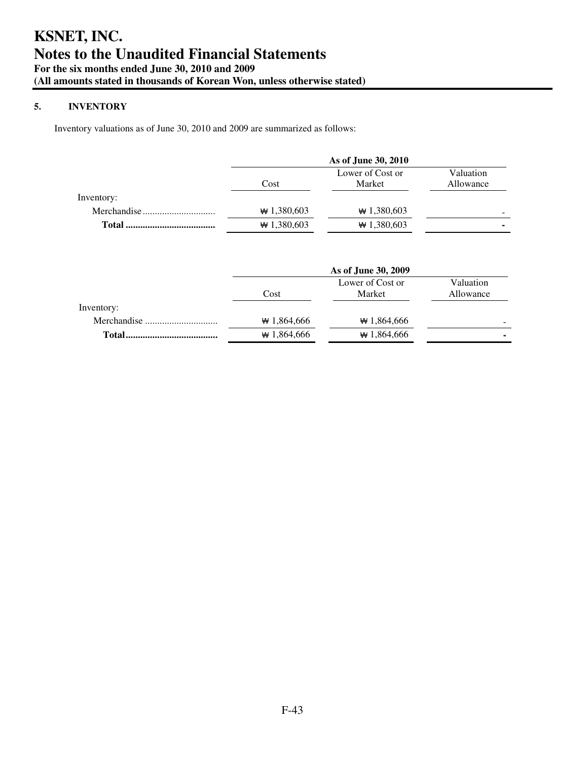## **5. INVENTORY**

Inventory valuations as of June 30, 2010 and 2009 are summarized as follows:

|            | As of June 30, 2010 |                            |                          |  |  |
|------------|---------------------|----------------------------|--------------------------|--|--|
|            | Cost                | Lower of Cost or<br>Market | Valuation<br>Allowance   |  |  |
| Inventory: |                     |                            |                          |  |  |
|            | $*1,380,603$        | $*1,380,603$               | $\overline{\phantom{0}}$ |  |  |
|            | $*1,380,603$        | $*1,380,603$               | ۰                        |  |  |

|            | As of June 30, 2009                |              |           |  |  |  |
|------------|------------------------------------|--------------|-----------|--|--|--|
|            | Lower of Cost or<br>Market<br>Cost |              |           |  |  |  |
|            |                                    |              | Allowance |  |  |  |
| Inventory: |                                    |              |           |  |  |  |
|            | $*1,864,666$                       | $*1,864,666$ | -         |  |  |  |
| Total.     | $*1,864,666$                       | $*1,864,666$ | ۰         |  |  |  |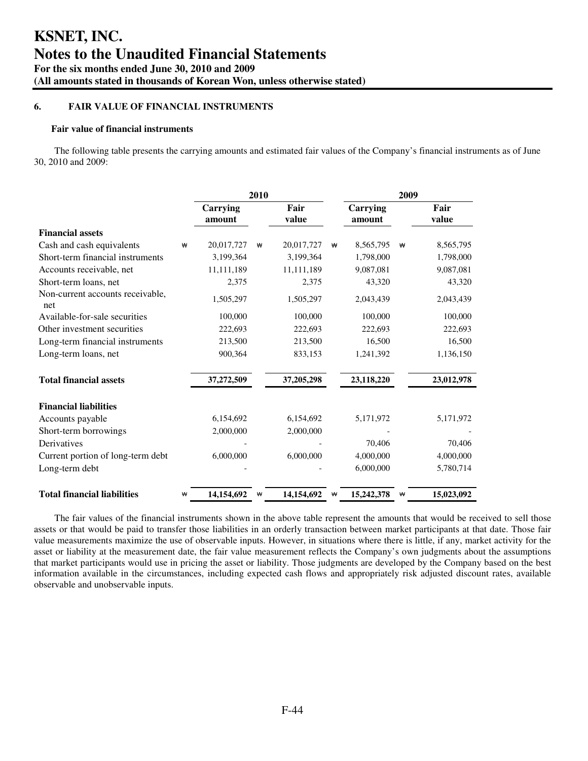## **6. FAIR VALUE OF FINANCIAL INSTRUMENTS**

#### **Fair value of financial instruments**

The following table presents the carrying amounts and estimated fair values of the Company's financial instruments as of June 30, 2010 and 2009:

|                                         |   | 2010               |   |               |   |                    | 2009 |               |
|-----------------------------------------|---|--------------------|---|---------------|---|--------------------|------|---------------|
|                                         |   | Carrying<br>amount |   | Fair<br>value |   | Carrying<br>amount |      | Fair<br>value |
| <b>Financial assets</b>                 |   |                    |   |               |   |                    |      |               |
| Cash and cash equivalents               | ₩ | 20,017,727         | ₩ | 20,017,727    | ₩ | 8,565,795          | ₩    | 8,565,795     |
| Short-term financial instruments        |   | 3,199,364          |   | 3,199,364     |   | 1,798,000          |      | 1,798,000     |
| Accounts receivable, net                |   | 11,111,189         |   | 11,111,189    |   | 9,087,081          |      | 9,087,081     |
| Short-term loans, net                   |   | 2,375              |   | 2,375         |   | 43,320             |      | 43,320        |
| Non-current accounts receivable,<br>net |   | 1,505,297          |   | 1,505,297     |   | 2,043,439          |      | 2,043,439     |
| Available-for-sale securities           |   | 100,000            |   | 100,000       |   | 100,000            |      | 100,000       |
| Other investment securities             |   | 222,693            |   | 222,693       |   | 222,693            |      | 222,693       |
| Long-term financial instruments         |   | 213,500            |   | 213,500       |   | 16,500             |      | 16,500        |
| Long-term loans, net                    |   | 900,364            |   | 833,153       |   | 1,241,392          |      | 1,136,150     |
| <b>Total financial assets</b>           |   | 37,272,509         |   | 37,205,298    |   | 23,118,220         |      | 23,012,978    |
| <b>Financial liabilities</b>            |   |                    |   |               |   |                    |      |               |
| Accounts payable                        |   | 6,154,692          |   | 6,154,692     |   | 5,171,972          |      | 5,171,972     |
| Short-term borrowings                   |   | 2,000,000          |   | 2,000,000     |   |                    |      |               |
| Derivatives                             |   |                    |   |               |   | 70,406             |      | 70,406        |
| Current portion of long-term debt       |   | 6,000,000          |   | 6,000,000     |   | 4,000,000          |      | 4,000,000     |
| Long-term debt                          |   |                    |   |               |   | 6,000,000          |      | 5,780,714     |
| <b>Total financial liabilities</b>      | ₩ | 14,154,692         | ₩ | 14,154,692    | ₩ | 15,242,378         | ₩    | 15,023,092    |

The fair values of the financial instruments shown in the above table represent the amounts that would be received to sell those assets or that would be paid to transfer those liabilities in an orderly transaction between market participants at that date. Those fair value measurements maximize the use of observable inputs. However, in situations where there is little, if any, market activity for the asset or liability at the measurement date, the fair value measurement reflects the Company's own judgments about the assumptions that market participants would use in pricing the asset or liability. Those judgments are developed by the Company based on the best information available in the circumstances, including expected cash flows and appropriately risk adjusted discount rates, available observable and unobservable inputs.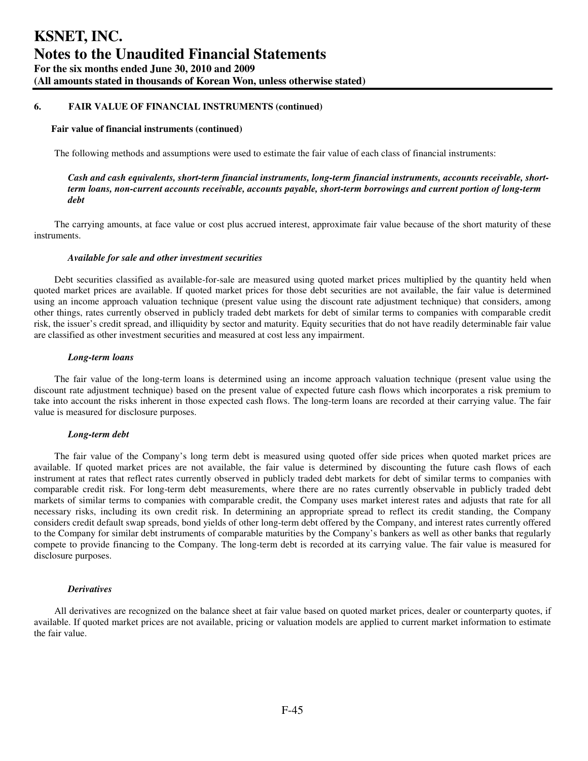#### **Fair value of financial instruments (continued)**

The following methods and assumptions were used to estimate the fair value of each class of financial instruments:

## *Cash and cash equivalents, short-term financial instruments, long-term financial instruments, accounts receivable, shortterm loans, non-current accounts receivable, accounts payable, short-term borrowings and current portion of long-term debt*

The carrying amounts, at face value or cost plus accrued interest, approximate fair value because of the short maturity of these instruments.

#### *Available for sale and other investment securities*

Debt securities classified as available-for-sale are measured using quoted market prices multiplied by the quantity held when quoted market prices are available. If quoted market prices for those debt securities are not available, the fair value is determined using an income approach valuation technique (present value using the discount rate adjustment technique) that considers, among other things, rates currently observed in publicly traded debt markets for debt of similar terms to companies with comparable credit risk, the issuer's credit spread, and illiquidity by sector and maturity. Equity securities that do not have readily determinable fair value are classified as other investment securities and measured at cost less any impairment.

#### *Long-term loans*

The fair value of the long-term loans is determined using an income approach valuation technique (present value using the discount rate adjustment technique) based on the present value of expected future cash flows which incorporates a risk premium to take into account the risks inherent in those expected cash flows. The long-term loans are recorded at their carrying value. The fair value is measured for disclosure purposes.

#### *Long-term debt*

The fair value of the Company's long term debt is measured using quoted offer side prices when quoted market prices are available. If quoted market prices are not available, the fair value is determined by discounting the future cash flows of each instrument at rates that reflect rates currently observed in publicly traded debt markets for debt of similar terms to companies with comparable credit risk. For long-term debt measurements, where there are no rates currently observable in publicly traded debt markets of similar terms to companies with comparable credit, the Company uses market interest rates and adjusts that rate for all necessary risks, including its own credit risk. In determining an appropriate spread to reflect its credit standing, the Company considers credit default swap spreads, bond yields of other long-term debt offered by the Company, and interest rates currently offered to the Company for similar debt instruments of comparable maturities by the Company's bankers as well as other banks that regularly compete to provide financing to the Company. The long-term debt is recorded at its carrying value. The fair value is measured for disclosure purposes.

#### *Derivatives*

All derivatives are recognized on the balance sheet at fair value based on quoted market prices, dealer or counterparty quotes, if available. If quoted market prices are not available, pricing or valuation models are applied to current market information to estimate the fair value.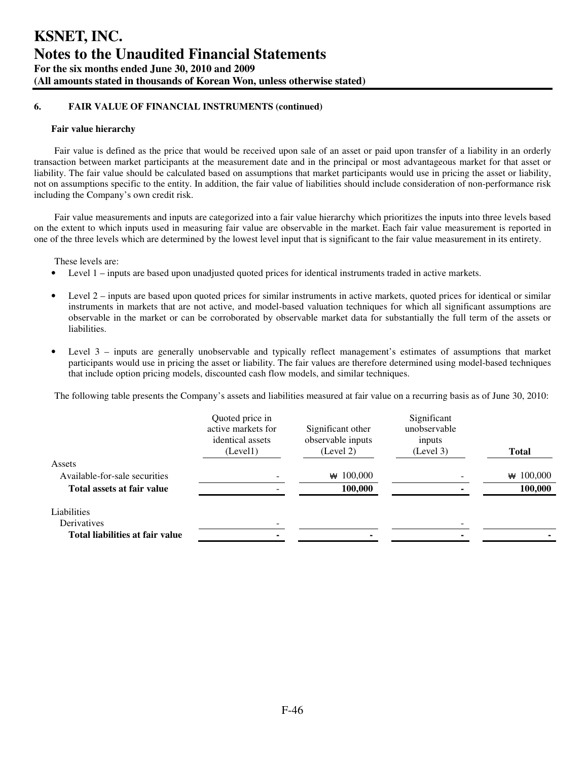#### **Fair value hierarchy**

Fair value is defined as the price that would be received upon sale of an asset or paid upon transfer of a liability in an orderly transaction between market participants at the measurement date and in the principal or most advantageous market for that asset or liability. The fair value should be calculated based on assumptions that market participants would use in pricing the asset or liability, not on assumptions specific to the entity. In addition, the fair value of liabilities should include consideration of non-performance risk including the Company's own credit risk.

Fair value measurements and inputs are categorized into a fair value hierarchy which prioritizes the inputs into three levels based on the extent to which inputs used in measuring fair value are observable in the market. Each fair value measurement is reported in one of the three levels which are determined by the lowest level input that is significant to the fair value measurement in its entirety.

These levels are:

- Level 1 inputs are based upon unadjusted quoted prices for identical instruments traded in active markets.
- Level 2 inputs are based upon quoted prices for similar instruments in active markets, quoted prices for identical or similar instruments in markets that are not active, and model-based valuation techniques for which all significant assumptions are observable in the market or can be corroborated by observable market data for substantially the full term of the assets or liabilities.
- Level 3 inputs are generally unobservable and typically reflect management's estimates of assumptions that market participants would use in pricing the asset or liability. The fair values are therefore determined using model-based techniques that include option pricing models, discounted cash flow models, and similar techniques.

The following table presents the Company's assets and liabilities measured at fair value on a recurring basis as of June 30, 2010:

|                                 | Quoted price in<br>active markets for<br>identical assets<br>(Level1) | Significant other<br>observable inputs<br>(Level 2) | Significant<br>unobservable<br>inputs<br>(Level 3) | <b>Total</b> |
|---------------------------------|-----------------------------------------------------------------------|-----------------------------------------------------|----------------------------------------------------|--------------|
| Assets                          |                                                                       |                                                     |                                                    |              |
| Available-for-sale securities   |                                                                       | $\star$ 100,000                                     |                                                    | 100,000<br>₩ |
| Total assets at fair value      |                                                                       | 100,000                                             |                                                    | 100,000      |
| Liabilities                     |                                                                       |                                                     |                                                    |              |
| Derivatives                     |                                                                       |                                                     |                                                    |              |
| Total liabilities at fair value |                                                                       |                                                     |                                                    |              |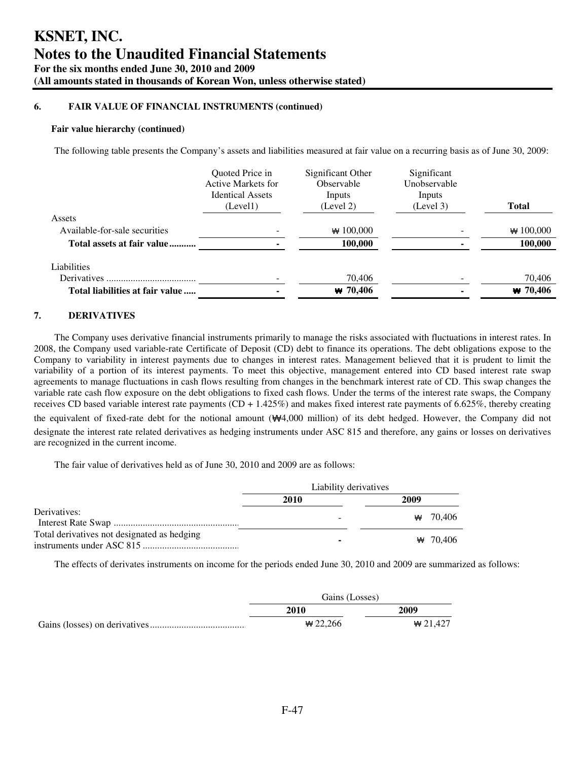#### **Fair value hierarchy (continued)**

The following table presents the Company's assets and liabilities measured at fair value on a recurring basis as of June 30, 2009:

|                                 | <b>Ouoted Price in</b><br>Active Markets for<br><b>Identical Assets</b><br>(Level1) | Significant Other<br>Observable<br>Inputs<br>(Level 2) | Significant<br>Unobservable<br>Inputs<br>(Level 3) | <b>Total</b> |
|---------------------------------|-------------------------------------------------------------------------------------|--------------------------------------------------------|----------------------------------------------------|--------------|
| Assets                          |                                                                                     |                                                        |                                                    |              |
| Available-for-sale securities   |                                                                                     | $*100,000$                                             |                                                    | $*100,000$   |
| Total assets at fair value      |                                                                                     | 100,000                                                |                                                    | 100,000      |
| Liabilities                     |                                                                                     |                                                        |                                                    |              |
| Derivatives                     |                                                                                     | 70,406                                                 |                                                    | 70,406       |
| Total liabilities at fair value |                                                                                     | $W$ 70,406                                             |                                                    | $W$ 70,406   |

## **7. DERIVATIVES**

The Company uses derivative financial instruments primarily to manage the risks associated with fluctuations in interest rates. In 2008, the Company used variable-rate Certificate of Deposit (CD) debt to finance its operations. The debt obligations expose to the Company to variability in interest payments due to changes in interest rates. Management believed that it is prudent to limit the variability of a portion of its interest payments. To meet this objective, management entered into CD based interest rate swap agreements to manage fluctuations in cash flows resulting from changes in the benchmark interest rate of CD. This swap changes the variable rate cash flow exposure on the debt obligations to fixed cash flows. Under the terms of the interest rate swaps, the Company receives CD based variable interest rate payments  $(CD + 1.425\%)$  and makes fixed interest rate payments of 6.625%, thereby creating the equivalent of fixed-rate debt for the notional amount (₩4,000 million) of its debt hedged. However, the Company did not designate the interest rate related derivatives as hedging instruments under ASC 815 and therefore, any gains or losses on derivatives are recognized in the current income.

The fair value of derivatives held as of June 30, 2010 and 2009 are as follows:

|                                             | Liability derivatives |                |
|---------------------------------------------|-----------------------|----------------|
|                                             | 2010                  | 2009           |
| Derivatives:                                | -                     | $\star$ 70.406 |
| Total derivatives not designated as hedging |                       | ₩ 70.406       |

The effects of derivates instruments on income for the periods ended June 30, 2010 and 2009 are summarized as follows:

| Gains (Losses) |                |
|----------------|----------------|
| 2010           | 2009           |
| $*22.266$      | $\star$ 21.427 |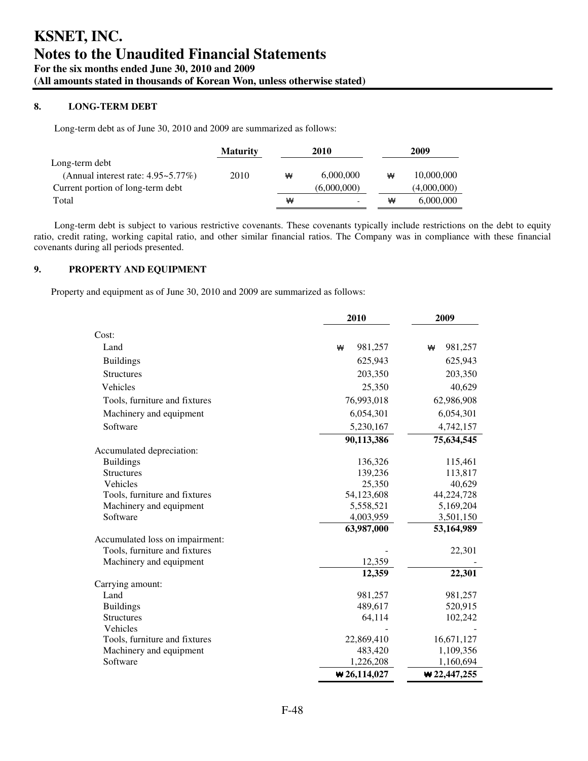## **8. LONG-TERM DEBT**

Long-term debt as of June 30, 2010 and 2009 are summarized as follows:

|                                          | <b>Maturity</b> | 2010 |             | 2009 |             |
|------------------------------------------|-----------------|------|-------------|------|-------------|
| Long-term debt                           |                 |      |             |      |             |
| (Annual interest rate: $4.95 - 5.77\%$ ) | 2010            | ₩    | 6,000,000   | ₩    | 10,000,000  |
| Current portion of long-term debt        |                 |      | (6,000,000) |      | (4,000,000) |
| Total                                    |                 | ₩    |             | ₩    | 6,000,000   |

Long-term debt is subject to various restrictive covenants. These covenants typically include restrictions on the debt to equity ratio, credit rating, working capital ratio, and other similar financial ratios. The Company was in compliance with these financial covenants during all periods presented.

## **9. PROPERTY AND EQUIPMENT**

Property and equipment as of June 30, 2010 and 2009 are summarized as follows:

|                                 | 2010                             | 2009          |  |
|---------------------------------|----------------------------------|---------------|--|
| Cost:                           |                                  |               |  |
| Land                            | 981,257<br>₩                     | 981,257<br>₩  |  |
| <b>Buildings</b>                | 625,943                          | 625,943       |  |
| <b>Structures</b>               | 203,350                          | 203,350       |  |
| Vehicles                        | 25,350                           | 40,629        |  |
| Tools, furniture and fixtures   | 76,993,018                       | 62,986,908    |  |
| Machinery and equipment         | 6,054,301                        | 6,054,301     |  |
| Software                        | 5,230,167                        | 4,742,157     |  |
|                                 | 90,113,386                       | 75,634,545    |  |
| Accumulated depreciation:       |                                  |               |  |
| <b>Buildings</b>                | 136,326                          | 115,461       |  |
| <b>Structures</b>               | 139,236                          | 113,817       |  |
| Vehicles                        | 25,350                           | 40,629        |  |
| Tools, furniture and fixtures   | 54,123,608                       | 44,224,728    |  |
| Machinery and equipment         | 5,558,521                        | 5,169,204     |  |
| Software                        | 4,003,959                        | 3,501,150     |  |
|                                 | 63,987,000                       | 53,164,989    |  |
| Accumulated loss on impairment: |                                  |               |  |
| Tools, furniture and fixtures   |                                  | 22,301        |  |
| Machinery and equipment         | 12,359                           |               |  |
|                                 | 12,359                           | 22,301        |  |
| Carrying amount:                |                                  |               |  |
| Land                            | 981,257                          | 981,257       |  |
| <b>Buildings</b>                | 489,617                          | 520,915       |  |
| <b>Structures</b>               | 64,114                           | 102,242       |  |
| Vehicles                        |                                  |               |  |
| Tools, furniture and fixtures   | 22,869,410                       | 16,671,127    |  |
| Machinery and equipment         | 483,420                          | 1,109,356     |  |
| Software                        | 1,226,208                        | 1,160,694     |  |
|                                 | $\blacktriangleright$ 26,114,027 | $*22,447,255$ |  |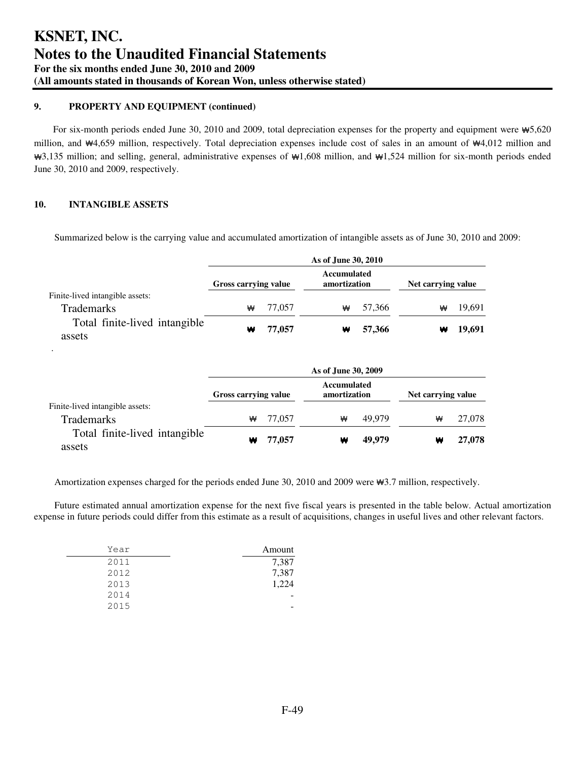## **9. PROPERTY AND EQUIPMENT (continued)**

For six-month periods ended June 30, 2010 and 2009, total depreciation expenses for the property and equipment were ₩5,620 million, and ₩4,659 million, respectively. Total depreciation expenses include cost of sales in an amount of ₩4,012 million and ₩3,135 million; and selling, general, administrative expenses of ₩1,608 million, and ₩1,524 million for six-month periods ended June 30, 2010 and 2009, respectively.

## **10. INTANGIBLE ASSETS**

Summarized below is the carrying value and accumulated amortization of intangible assets as of June 30, 2010 and 2009:

|                                         |                      |        | As of June 30, 2010         |        |                    |        |
|-----------------------------------------|----------------------|--------|-----------------------------|--------|--------------------|--------|
|                                         | Gross carrying value |        | Accumulated<br>amortization |        | Net carrying value |        |
| Finite-lived intangible assets:         |                      |        |                             |        |                    |        |
| <b>Trademarks</b>                       | ₩                    | 77,057 | ₩                           | 57,366 | ₩                  | 19,691 |
| Total finite-lived intangible<br>assets | ₩                    | 77,057 | ₩                           | 57,366 | w                  | 19,691 |
|                                         |                      |        | As of June 30, 2009         |        |                    |        |
|                                         | Gross carrying value |        | Accumulated<br>amortization |        | Net carrying value |        |
| Finite-lived intangible assets:         |                      |        |                             |        |                    |        |
| <b>Trademarks</b>                       | ₩                    | 77,057 | ₩                           | 49.979 | ₩                  | 27,078 |
| Total finite-lived intangible<br>assets | w                    | 77,057 | w                           | 49,979 | w                  | 27,078 |

Amortization expenses charged for the periods ended June 30, 2010 and 2009 were ₩3.7 million, respectively.

Future estimated annual amortization expense for the next five fiscal years is presented in the table below. Actual amortization expense in future periods could differ from this estimate as a result of acquisitions, changes in useful lives and other relevant factors.

| Amount |
|--------|
| 7,387  |
| 7,387  |
| 1,224  |
|        |
|        |
|        |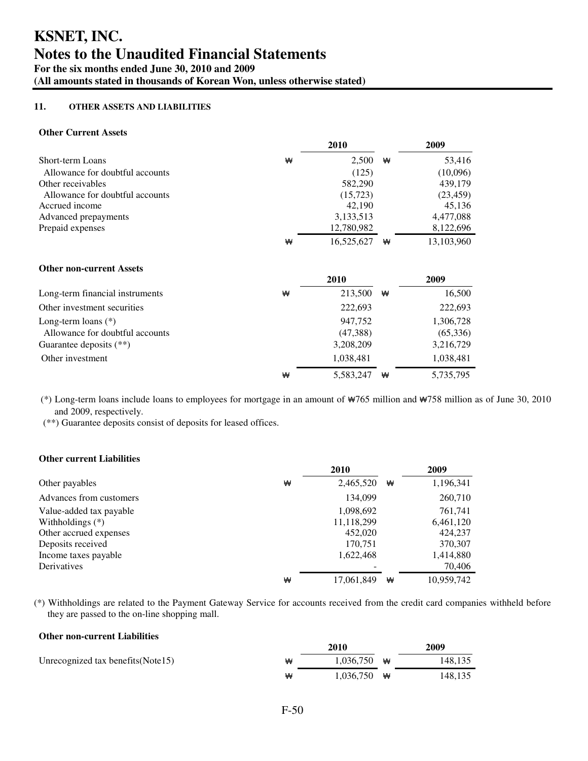## **11. OTHER ASSETS AND LIABILITIES**

## **Other Current Assets**

|                                 |   | 2010       |   | 2009       |
|---------------------------------|---|------------|---|------------|
| Short-term Loans                | ₩ | 2,500      | ₩ | 53,416     |
| Allowance for doubtful accounts |   | (125)      |   | (10,096)   |
| Other receivables               |   | 582,290    |   | 439,179    |
| Allowance for doubtful accounts |   | (15, 723)  |   | (23, 459)  |
| Accrued income                  |   | 42,190     |   | 45,136     |
| Advanced prepayments            |   | 3,133,513  |   | 4,477,088  |
| Prepaid expenses                |   | 12,780,982 |   | 8,122,696  |
|                                 | ₩ | 16,525,627 | ₩ | 13,103,960 |
| <b>Other non-current Assets</b> |   |            |   |            |
|                                 |   | 2010       |   | 2009       |
| Long-term financial instruments | ₩ | 213,500    | ₩ | 16,500     |
| Other investment securities     |   | 222,693    |   | 222,693    |
| Long-term loans $(*)$           |   | 947,752    |   | 1,306,728  |
| Allowance for doubtful accounts |   | (47, 388)  |   | (65,336)   |
| Guarantee deposits $(**)$       |   | 3,208,209  |   | 3,216,729  |
| Other investment                |   | 1,038,481  |   | 1,038,481  |
|                                 | ₩ | 5,583,247  | ₩ | 5,735,795  |

(\*) Long-term loans include loans to employees for mortgage in an amount of ₩765 million and ₩758 million as of June 30, 2010 and 2009, respectively.

(\*\*) Guarantee deposits consist of deposits for leased offices.

## **Other current Liabilities**

|                         |   | 2010       |   | 2009       |
|-------------------------|---|------------|---|------------|
| Other payables          | ₩ | 2,465,520  | ₩ | 1,196,341  |
| Advances from customers |   | 134,099    |   | 260,710    |
| Value-added tax payable |   | 1,098,692  |   | 761,741    |
| Withholdings $(*)$      |   | 11,118,299 |   | 6,461,120  |
| Other accrued expenses  |   | 452,020    |   | 424,237    |
| Deposits received       |   | 170,751    |   | 370,307    |
| Income taxes payable    |   | 1,622,468  |   | 1,414,880  |
| Derivatives             |   |            |   | 70,406     |
|                         | ₩ | 17,061,849 | ₩ | 10,959,742 |

(\*) Withholdings are related to the Payment Gateway Service for accounts received from the credit card companies withheld before they are passed to the on-line shopping mall.

### **Other non-current Liabilities**

|                                     |   | 2010                  |   | 2009    |
|-------------------------------------|---|-----------------------|---|---------|
| Unrecognized tax benefits (Note 15) | ₩ | 1.036.750             | ₩ | 148,135 |
|                                     | ₩ | $1.036.750 \text{ W}$ |   | 148,135 |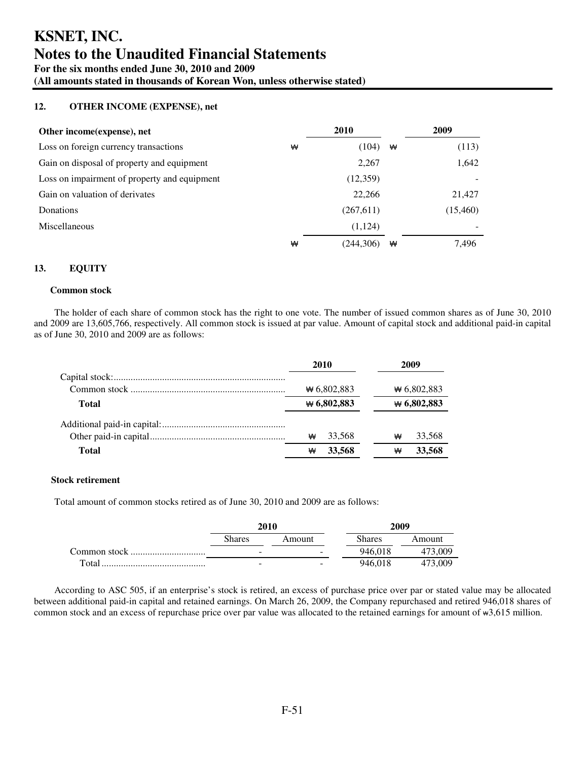## **KSNET, INC. Notes to the Unaudited Financial Statements For the six months ended June 30, 2010 and 2009 (All amounts stated in thousands of Korean Won, unless otherwise stated)**

## **12. OTHER INCOME (EXPENSE), net**

| Other income (expense), net                  |   | <b>2010</b> |   | 2009     |
|----------------------------------------------|---|-------------|---|----------|
| Loss on foreign currency transactions        | ₩ | (104)       | ₩ | (113)    |
| Gain on disposal of property and equipment   |   | 2,267       |   | 1,642    |
| Loss on impairment of property and equipment |   | (12,359)    |   |          |
| Gain on valuation of derivates               |   | 22,266      |   | 21,427   |
| Donations                                    |   | (267, 611)  |   | (15,460) |
| <b>Miscellaneous</b>                         |   | (1,124)     |   |          |
|                                              | ₩ | (244,306)   | ₩ | 7,496    |

## **13. EQUITY**

#### **Common stock**

The holder of each share of common stock has the right to one vote. The number of issued common shares as of June 30, 2010 and 2009 are 13,605,766, respectively. All common stock is issued at par value. Amount of capital stock and additional paid-in capital as of June 30, 2010 and 2009 are as follows:

|              |   | 2010          |   | 2009          |
|--------------|---|---------------|---|---------------|
|              |   |               |   |               |
|              |   | $*$ 6,802,883 |   | $*$ 6,802,883 |
| <b>Total</b> |   | $*6,802,883$  |   | $*6,802,883$  |
|              |   |               |   |               |
|              | ₩ | 33,568        | ₩ | 33,568        |
| <b>Total</b> | ₩ | 33,568        | ₩ | 33,568        |

#### **Stock retirement**

Total amount of common stocks retired as of June 30, 2010 and 2009 are as follows:

|              | 2010                     |                          | 2009          |         |
|--------------|--------------------------|--------------------------|---------------|---------|
|              | <b>Shares</b>            | Amount                   | <b>Shares</b> | Amount  |
| Common stock | $\overline{\phantom{0}}$ | $\overline{\phantom{0}}$ | 946,018       | 473,009 |
| Total        | -                        | $\overline{\phantom{a}}$ | 946.018       | 473,009 |

According to ASC 505, if an enterprise's stock is retired, an excess of purchase price over par or stated value may be allocated between additional paid-in capital and retained earnings. On March 26, 2009, the Company repurchased and retired 946,018 shares of common stock and an excess of repurchase price over par value was allocated to the retained earnings for amount of ₩3,615 million.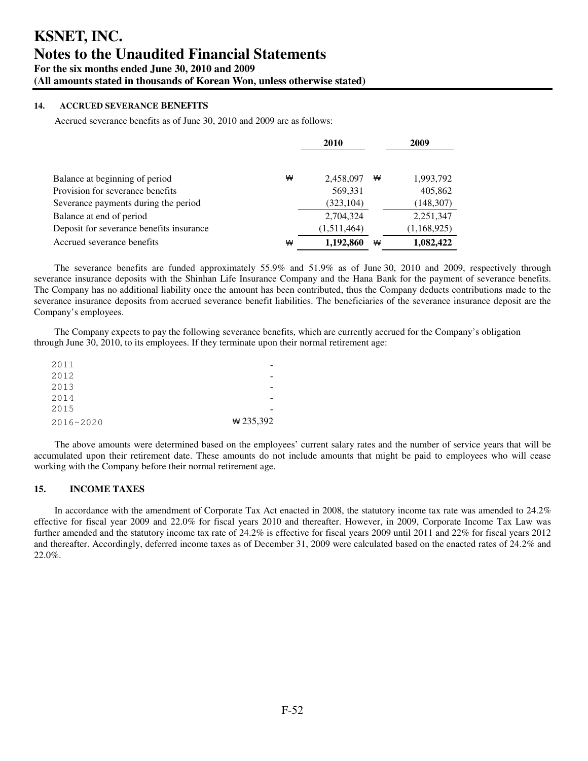## **14. ACCRUED SEVERANCE BENEFITS**

Accrued severance benefits as of June 30, 2010 and 2009 are as follows:

|                                          |   | 2010        |   | 2009        |
|------------------------------------------|---|-------------|---|-------------|
| Balance at beginning of period           | ₩ | 2,458,097   | ₩ | 1,993,792   |
| Provision for severance benefits         |   | 569,331     |   | 405,862     |
| Severance payments during the period     |   | (323, 104)  |   | (148, 307)  |
| Balance at end of period                 |   | 2,704,324   |   | 2,251,347   |
| Deposit for severance benefits insurance |   | (1,511,464) |   | (1,168,925) |
| Accrued severance benefits               | ₩ | 1,192,860   | ₩ | 1,082,422   |

The severance benefits are funded approximately 55.9% and 51.9% as of June 30, 2010 and 2009, respectively through severance insurance deposits with the Shinhan Life Insurance Company and the Hana Bank for the payment of severance benefits. The Company has no additional liability once the amount has been contributed, thus the Company deducts contributions made to the severance insurance deposits from accrued severance benefit liabilities. The beneficiaries of the severance insurance deposit are the Company's employees.

The Company expects to pay the following severance benefits, which are currently accrued for the Company's obligation through June 30, 2010, to its employees. If they terminate upon their normal retirement age:

| 2011      |             |
|-----------|-------------|
| 2012      |             |
| 2013      |             |
| 2014      |             |
| 2015      |             |
| 2016~2020 | $*$ 235,392 |

The above amounts were determined based on the employees' current salary rates and the number of service years that will be accumulated upon their retirement date. These amounts do not include amounts that might be paid to employees who will cease working with the Company before their normal retirement age.

## **15. INCOME TAXES**

In accordance with the amendment of Corporate Tax Act enacted in 2008, the statutory income tax rate was amended to 24.2% effective for fiscal year 2009 and 22.0% for fiscal years 2010 and thereafter. However, in 2009, Corporate Income Tax Law was further amended and the statutory income tax rate of 24.2% is effective for fiscal years 2009 until 2011 and 22% for fiscal years 2012 and thereafter. Accordingly, deferred income taxes as of December 31, 2009 were calculated based on the enacted rates of 24.2% and 22.0%.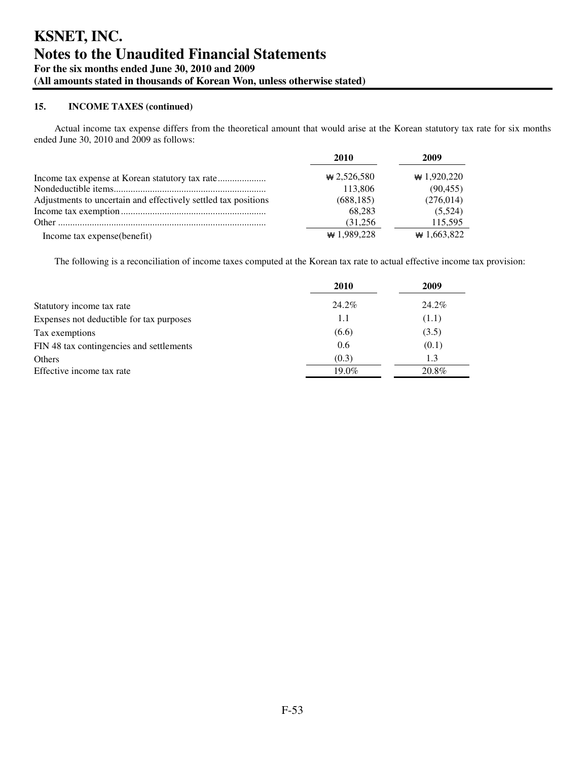Actual income tax expense differs from the theoretical amount that would arise at the Korean statutory tax rate for six months ended June 30, 2010 and 2009 as follows:

|                                                                | 2010         | 2009              |
|----------------------------------------------------------------|--------------|-------------------|
|                                                                | $*2,526,580$ | $\star$ 1,920,220 |
|                                                                | 113,806      | (90, 455)         |
| Adjustments to uncertain and effectively settled tax positions | (688, 185)   | (276, 014)        |
|                                                                | 68.283       | (5.524)           |
|                                                                | (31,256)     | 115,595           |
| Income tax expense(benefit)                                    | $*1,989,228$ | $*1,663,822$      |

The following is a reconciliation of income taxes computed at the Korean tax rate to actual effective income tax provision:

|                                          | 2010     | 2009  |
|------------------------------------------|----------|-------|
| Statutory income tax rate                | 24.2%    | 24.2% |
| Expenses not deductible for tax purposes | 1.1      | (1.1) |
| Tax exemptions                           | (6.6)    | (3.5) |
| FIN 48 tax contingencies and settlements | 0.6      | (0.1) |
| Others                                   | (0.3)    | 1.3   |
| Effective income tax rate                | $19.0\%$ | 20.8% |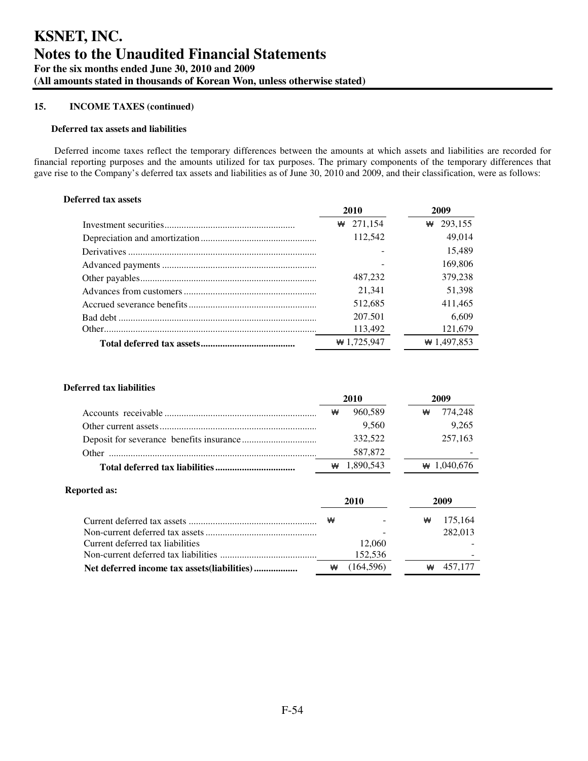#### **Deferred tax assets and liabilities**

Deferred income taxes reflect the temporary differences between the amounts at which assets and liabilities are recorded for financial reporting purposes and the amounts utilized for tax purposes. The primary components of the temporary differences that gave rise to the Company's deferred tax assets and liabilities as of June 30, 2010 and 2009, and their classification, were as follows:

## **Deferred tax assets**

| 2010         | 2009         |
|--------------|--------------|
| 271,154<br>₩ | 293,155<br>₩ |
| 112,542      | 49,014       |
|              | 15,489       |
|              | 169,806      |
| 487,232      | 379.238      |
| 21,341       | 51,398       |
| 512,685      | 411,465      |
| 207.501      | 6,609        |
| 113,492      | 121,679      |
| $*1,725,947$ | $*1,497,853$ |

## **Deferred tax liabilities**

|  | ₩ | 960.589   |  | ₩ | 774.248        |
|--|---|-----------|--|---|----------------|
|  |   | 9.560     |  |   | 9.265          |
|  |   | 332.522   |  |   | 257,163        |
|  |   | 587,872   |  |   |                |
|  |   | 1.890.543 |  |   | $\# 1.040.676$ |

#### **Reported as:**

|                                  |   | 2010      |   |         |  |
|----------------------------------|---|-----------|---|---------|--|
|                                  | ₩ |           | ₩ | 175,164 |  |
|                                  |   |           |   | 282,013 |  |
| Current deferred tax liabilities |   | 12,060    |   |         |  |
|                                  |   | 152,536   |   |         |  |
|                                  | ₩ | (164.596) | ₩ | 457.177 |  |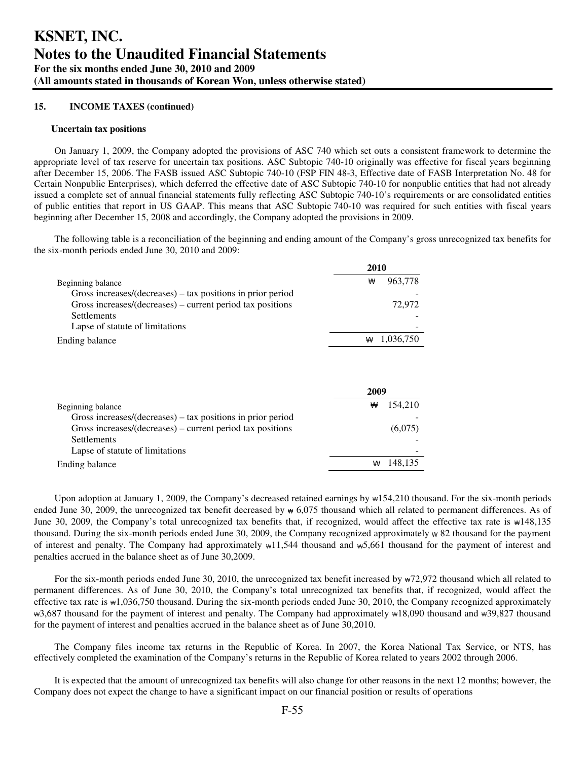#### **Uncertain tax positions**

On January 1, 2009, the Company adopted the provisions of ASC 740 which set outs a consistent framework to determine the appropriate level of tax reserve for uncertain tax positions. ASC Subtopic 740-10 originally was effective for fiscal years beginning after December 15, 2006. The FASB issued ASC Subtopic 740-10 (FSP FIN 48-3, Effective date of FASB Interpretation No. 48 for Certain Nonpublic Enterprises), which deferred the effective date of ASC Subtopic 740-10 for nonpublic entities that had not already issued a complete set of annual financial statements fully reflecting ASC Subtopic 740-10's requirements or are consolidated entities of public entities that report in US GAAP. This means that ASC Subtopic 740-10 was required for such entities with fiscal years beginning after December 15, 2008 and accordingly, the Company adopted the provisions in 2009.

The following table is a reconciliation of the beginning and ending amount of the Company's gross unrecognized tax benefits for the six-month periods ended June 30, 2010 and 2009:

|                                                                | 2010           |
|----------------------------------------------------------------|----------------|
| Beginning balance                                              | 963,778<br>₩   |
| Gross increases/ $(decreases)$ – tax positions in prior period |                |
| Gross increases/(decreases) – current period tax positions     | 72,972         |
| <b>Settlements</b>                                             |                |
| Lapse of statute of limitations                                |                |
| Ending balance                                                 | 1,036,750<br>₩ |
|                                                                |                |

|                                                                | 2009         |
|----------------------------------------------------------------|--------------|
| Beginning balance                                              | 154.210<br>₩ |
| Gross increases/ $(decreases)$ – tax positions in prior period |              |
| Gross increases/(decreases) – current period tax positions     | (6,075)      |
| <b>Settlements</b>                                             |              |
| Lapse of statute of limitations                                |              |
| Ending balance                                                 | 148.135<br>₩ |

Upon adoption at January 1, 2009, the Company's decreased retained earnings by  $\text{w154,210}$  thousand. For the six-month periods ended June 30, 2009, the unrecognized tax benefit decreased by ₩ 6,075 thousand which all related to permanent differences. As of June 30, 2009, the Company's total unrecognized tax benefits that, if recognized, would affect the effective tax rate is ₩148,135 thousand. During the six-month periods ended June 30, 2009, the Company recognized approximately ₩ 82 thousand for the payment of interest and penalty. The Company had approximately ₩11,544 thousand and ₩5,661 thousand for the payment of interest and penalties accrued in the balance sheet as of June 30,2009.

For the six-month periods ended June 30, 2010, the unrecognized tax benefit increased by ₩72,972 thousand which all related to permanent differences. As of June 30, 2010, the Company's total unrecognized tax benefits that, if recognized, would affect the effective tax rate is  $\text{wt}$ ,036,750 thousand. During the six-month periods ended June 30, 2010, the Company recognized approximately ₩3,687 thousand for the payment of interest and penalty. The Company had approximately ₩18,090 thousand and ₩39,827 thousand for the payment of interest and penalties accrued in the balance sheet as of June 30,2010.

The Company files income tax returns in the Republic of Korea. In 2007, the Korea National Tax Service, or NTS, has effectively completed the examination of the Company's returns in the Republic of Korea related to years 2002 through 2006.

It is expected that the amount of unrecognized tax benefits will also change for other reasons in the next 12 months; however, the Company does not expect the change to have a significant impact on our financial position or results of operations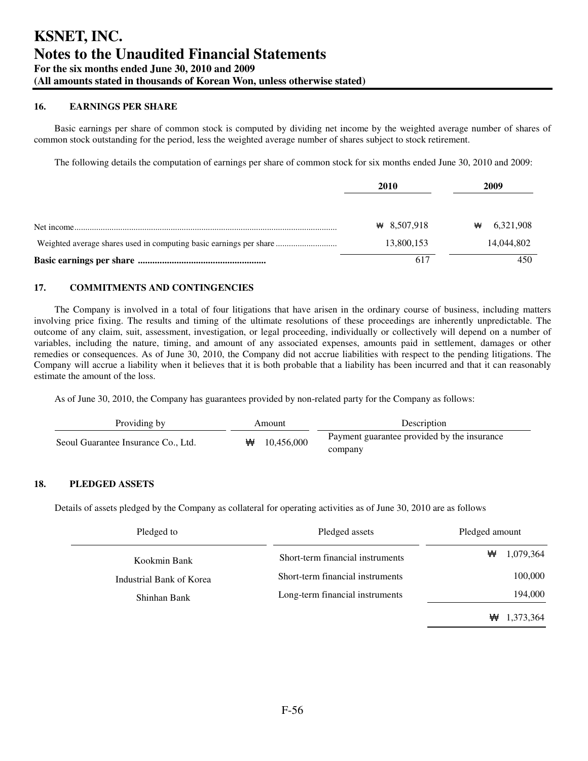## **16. EARNINGS PER SHARE**

Basic earnings per share of common stock is computed by dividing net income by the weighted average number of shares of common stock outstanding for the period, less the weighted average number of shares subject to stock retirement.

The following details the computation of earnings per share of common stock for six months ended June 30, 2010 and 2009:

| 2010              | 2009           |
|-------------------|----------------|
| $\star$ 8.507.918 | 6,321,908<br>₩ |
| 13,800,153        | 14,044,802     |
|                   |                |

## **17. COMMITMENTS AND CONTINGENCIES**

The Company is involved in a total of four litigations that have arisen in the ordinary course of business, including matters involving price fixing. The results and timing of the ultimate resolutions of these proceedings are inherently unpredictable. The outcome of any claim, suit, assessment, investigation, or legal proceeding, individually or collectively will depend on a number of variables, including the nature, timing, and amount of any associated expenses, amounts paid in settlement, damages or other remedies or consequences. As of June 30, 2010, the Company did not accrue liabilities with respect to the pending litigations. The Company will accrue a liability when it believes that it is both probable that a liability has been incurred and that it can reasonably estimate the amount of the loss.

As of June 30, 2010, the Company has guarantees provided by non-related party for the Company as follows:

| Providing by                        | Amount |            | Description                                            |  |
|-------------------------------------|--------|------------|--------------------------------------------------------|--|
| Seoul Guarantee Insurance Co., Ltd. | ₩      | 10.456,000 | Payment guarantee provided by the insurance<br>company |  |

## **18. PLEDGED ASSETS**

Details of assets pledged by the Company as collateral for operating activities as of June 30, 2010 are as follows

| Pledged to               | Pledged assets                   | Pledged amount |
|--------------------------|----------------------------------|----------------|
| Kookmin Bank             | Short-term financial instruments | ₩<br>1,079,364 |
| Industrial Bank of Korea | Short-term financial instruments | 100,000        |
| Shinhan Bank             | Long-term financial instruments  | 194,000        |
|                          |                                  | ₩<br>1,373,364 |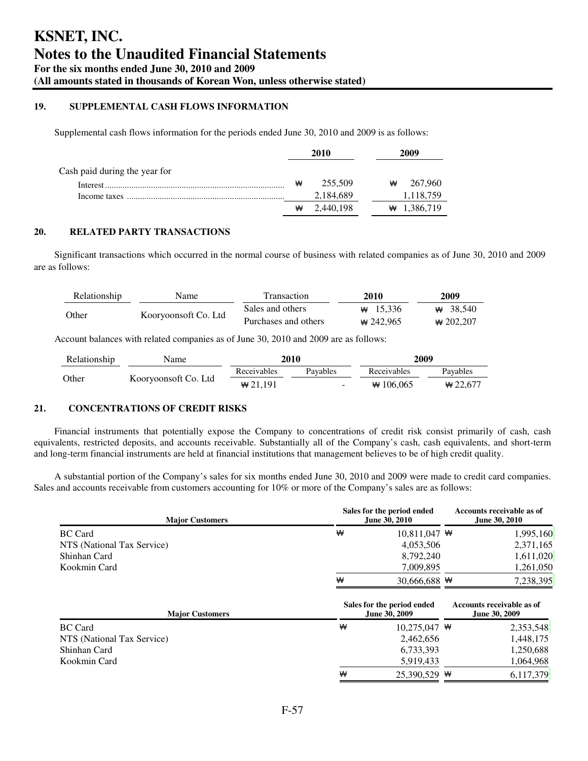## **19. SUPPLEMENTAL CASH FLOWS INFORMATION**

Supplemental cash flows information for the periods ended June 30, 2010 and 2009 is as follows:

|                               | 2010 |           | 2009 |   |                |
|-------------------------------|------|-----------|------|---|----------------|
| Cash paid during the year for |      |           |      |   |                |
|                               | ₩    | 255,509   |      | ₩ | 267,960        |
|                               |      | 2,184,689 |      |   | 1,118,759      |
|                               | ₩    | 2,440,198 |      |   | $\# 1,386,719$ |
|                               |      |           |      |   |                |

## **20. RELATED PARTY TRANSACTIONS**

Significant transactions which occurred in the normal course of business with related companies as of June 30, 2010 and 2009 are as follows:

| Relationship | Name                 | <b>Transaction</b>   | 2010       | 2009        |
|--------------|----------------------|----------------------|------------|-------------|
| Other        | Kooryoonsoft Co. Ltd | Sales and others     | # 15.336   | $\#$ 38.540 |
|              |                      | Purchases and others | $*242.965$ | $*$ 202.207 |

Account balances with related companies as of June 30, 2010 and 2009 are as follows:

| Relationship | Name                 | 2010           |                          | 2009        |            |
|--------------|----------------------|----------------|--------------------------|-------------|------------|
|              |                      | Receivables    | Pavables                 | Receivables | Pavables   |
| Other        | Kooryoonsoft Co. Ltd | $\star 21.191$ | $\overline{\phantom{a}}$ | $*106.065$  | $*$ 22.677 |

## **21. CONCENTRATIONS OF CREDIT RISKS**

Financial instruments that potentially expose the Company to concentrations of credit risk consist primarily of cash, cash equivalents, restricted deposits, and accounts receivable. Substantially all of the Company's cash, cash equivalents, and short-term and long-term financial instruments are held at financial institutions that management believes to be of high credit quality.

A substantial portion of the Company's sales for six months ended June 30, 2010 and 2009 were made to credit card companies. Sales and accounts receivable from customers accounting for 10% or more of the Company's sales are as follows:

| <b>Major Customers</b>     |   | Sales for the period ended<br>June 30, 2010 | Accounts receivable as of<br>June 30, 2010 |
|----------------------------|---|---------------------------------------------|--------------------------------------------|
| <b>BC</b> Card             | ₩ | $10,811,047$ \**                            | 1,995,160                                  |
| NTS (National Tax Service) |   | 4,053,506                                   | 2,371,165                                  |
| Shinhan Card               |   | 8,792,240                                   | 1,611,020                                  |
| Kookmin Card               |   | 7,009,895                                   | 1,261,050                                  |
|                            | ₩ | 30.666.688 $\#$                             | 7,238,395                                  |
| <b>Major Customers</b>     |   | Sales for the period ended<br>June 30, 2009 | Accounts receivable as of<br>June 30, 2009 |
| <b>BC</b> Card             | ₩ | $10,275,047$ \**                            | 2,353,548                                  |
| NTS (National Tax Service) |   | 2,462,656                                   | 1,448,175                                  |
| Shinhan Card               |   | 6,733,393                                   | 1,250,688                                  |
| Kookmin Card               |   | 5,919,433                                   | 1.064.968                                  |
|                            | ₩ | 25,390,529 $\#$                             | 6.117.379                                  |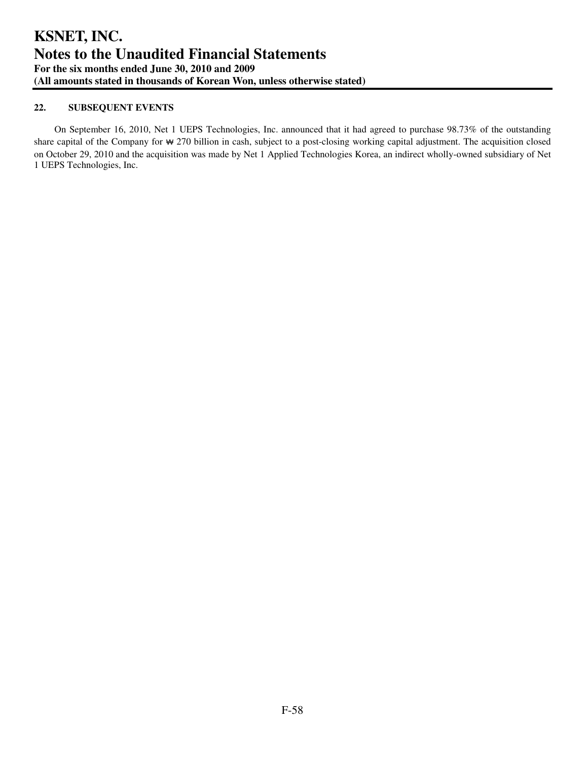## **22. SUBSEQUENT EVENTS**

On September 16, 2010, Net 1 UEPS Technologies, Inc. announced that it had agreed to purchase 98.73% of the outstanding share capital of the Company for \ 270 billion in cash, subject to a post-closing working capital adjustment. The acquisition closed on October 29, 2010 and the acquisition was made by Net 1 Applied Technologies Korea, an indirect wholly-owned subsidiary of Net 1 UEPS Technologies, Inc.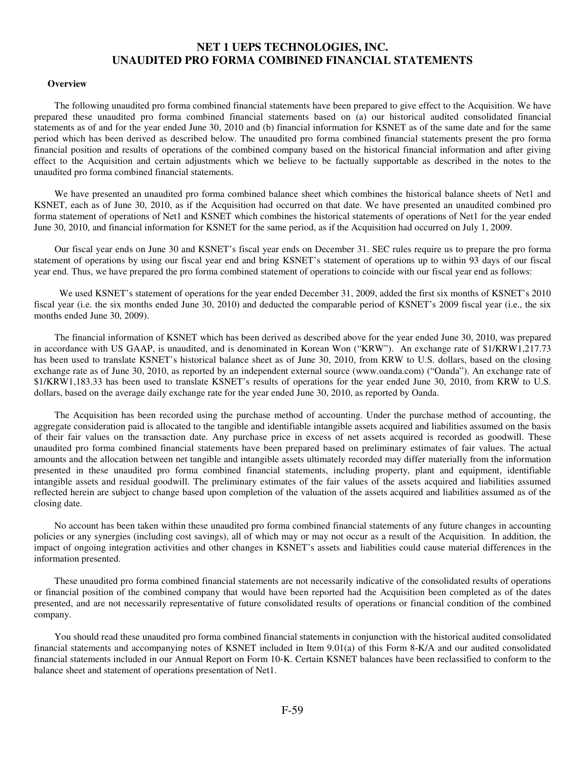## **NET 1 UEPS TECHNOLOGIES, INC. UNAUDITED PRO FORMA COMBINED FINANCIAL STATEMENTS**

#### **Overview**

The following unaudited pro forma combined financial statements have been prepared to give effect to the Acquisition. We have prepared these unaudited pro forma combined financial statements based on (a) our historical audited consolidated financial statements as of and for the year ended June 30, 2010 and (b) financial information for KSNET as of the same date and for the same period which has been derived as described below. The unaudited pro forma combined financial statements present the pro forma financial position and results of operations of the combined company based on the historical financial information and after giving effect to the Acquisition and certain adjustments which we believe to be factually supportable as described in the notes to the unaudited pro forma combined financial statements.

We have presented an unaudited pro forma combined balance sheet which combines the historical balance sheets of Net1 and KSNET, each as of June 30, 2010, as if the Acquisition had occurred on that date. We have presented an unaudited combined pro forma statement of operations of Net1 and KSNET which combines the historical statements of operations of Net1 for the year ended June 30, 2010, and financial information for KSNET for the same period, as if the Acquisition had occurred on July 1, 2009.

Our fiscal year ends on June 30 and KSNET's fiscal year ends on December 31. SEC rules require us to prepare the pro forma statement of operations by using our fiscal year end and bring KSNET's statement of operations up to within 93 days of our fiscal year end. Thus, we have prepared the pro forma combined statement of operations to coincide with our fiscal year end as follows:

We used KSNET's statement of operations for the year ended December 31, 2009, added the first six months of KSNET's 2010 fiscal year (i.e. the six months ended June 30, 2010) and deducted the comparable period of KSNET's 2009 fiscal year (i.e., the six months ended June 30, 2009).

The financial information of KSNET which has been derived as described above for the year ended June 30, 2010, was prepared in accordance with US GAAP, is unaudited, and is denominated in Korean Won ("KRW"). An exchange rate of \$1/KRW1,217.73 has been used to translate KSNET's historical balance sheet as of June 30, 2010, from KRW to U.S. dollars, based on the closing exchange rate as of June 30, 2010, as reported by an independent external source (www.oanda.com) ("Oanda"). An exchange rate of \$1/KRW1,183.33 has been used to translate KSNET's results of operations for the year ended June 30, 2010, from KRW to U.S. dollars, based on the average daily exchange rate for the year ended June 30, 2010, as reported by Oanda.

The Acquisition has been recorded using the purchase method of accounting. Under the purchase method of accounting, the aggregate consideration paid is allocated to the tangible and identifiable intangible assets acquired and liabilities assumed on the basis of their fair values on the transaction date. Any purchase price in excess of net assets acquired is recorded as goodwill. These unaudited pro forma combined financial statements have been prepared based on preliminary estimates of fair values. The actual amounts and the allocation between net tangible and intangible assets ultimately recorded may differ materially from the information presented in these unaudited pro forma combined financial statements, including property, plant and equipment, identifiable intangible assets and residual goodwill. The preliminary estimates of the fair values of the assets acquired and liabilities assumed reflected herein are subject to change based upon completion of the valuation of the assets acquired and liabilities assumed as of the closing date.

No account has been taken within these unaudited pro forma combined financial statements of any future changes in accounting policies or any synergies (including cost savings), all of which may or may not occur as a result of the Acquisition. In addition, the impact of ongoing integration activities and other changes in KSNET's assets and liabilities could cause material differences in the information presented.

These unaudited pro forma combined financial statements are not necessarily indicative of the consolidated results of operations or financial position of the combined company that would have been reported had the Acquisition been completed as of the dates presented, and are not necessarily representative of future consolidated results of operations or financial condition of the combined company.

You should read these unaudited pro forma combined financial statements in conjunction with the historical audited consolidated financial statements and accompanying notes of KSNET included in Item 9.01(a) of this Form 8-K/A and our audited consolidated financial statements included in our Annual Report on Form 10-K. Certain KSNET balances have been reclassified to conform to the balance sheet and statement of operations presentation of Net1.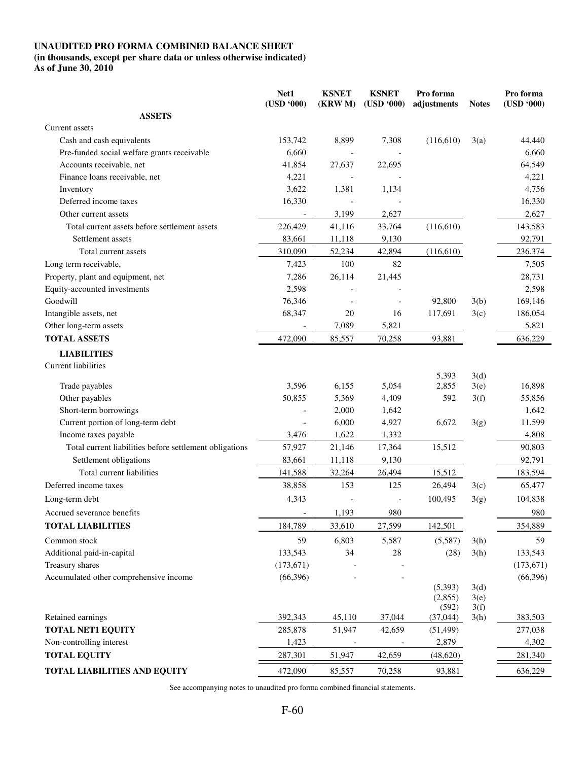## **UNAUDITED PRO FORMA COMBINED BALANCE SHEET**

# **(in thousands, except per share data or unless otherwise indicated)**

**As of June 30, 2010** 

|                                                         | Net1<br>(USD '000) | <b>KSNET</b><br>(KRW M) | <b>KSNET</b><br>(USD '000) | Pro forma<br>adjustments | <b>Notes</b> | Pro forma<br>(USD '000) |
|---------------------------------------------------------|--------------------|-------------------------|----------------------------|--------------------------|--------------|-------------------------|
| <b>ASSETS</b>                                           |                    |                         |                            |                          |              |                         |
| Current assets                                          |                    |                         |                            |                          |              |                         |
| Cash and cash equivalents                               | 153,742            | 8,899                   | 7,308                      | (116,610)                | 3(a)         | 44,440                  |
| Pre-funded social welfare grants receivable             | 6,660              |                         |                            |                          |              | 6,660                   |
| Accounts receivable, net                                | 41,854             | 27,637                  | 22,695                     |                          |              | 64,549                  |
| Finance loans receivable, net                           | 4,221              |                         |                            |                          |              | 4,221                   |
| Inventory                                               | 3,622              | 1,381                   | 1,134                      |                          |              | 4,756                   |
| Deferred income taxes                                   | 16,330             |                         |                            |                          |              | 16,330                  |
| Other current assets                                    |                    | 3,199                   | 2,627                      |                          |              | 2,627                   |
| Total current assets before settlement assets           | 226,429            | 41,116                  | 33,764                     | (116,610)                |              | 143,583                 |
| Settlement assets                                       | 83,661             | 11,118                  | 9,130                      |                          |              | 92,791                  |
| Total current assets                                    | 310,090            | 52,234                  | 42,894                     | (116,610)                |              | 236,374                 |
| Long term receivable,                                   | 7,423              | 100                     | 82                         |                          |              | 7,505                   |
| Property, plant and equipment, net                      | 7,286              | 26,114                  | 21,445                     |                          |              | 28,731                  |
| Equity-accounted investments                            | 2,598              |                         |                            |                          |              | 2,598                   |
| Goodwill                                                | 76,346             |                         |                            | 92,800                   | 3(b)         | 169,146                 |
| Intangible assets, net                                  | 68,347             | 20                      | 16                         | 117,691                  | 3(c)         | 186,054                 |
| Other long-term assets                                  |                    | 7,089                   | 5,821                      |                          |              | 5,821                   |
| <b>TOTAL ASSETS</b>                                     | 472,090            | 85,557                  | 70,258                     | 93,881                   |              | 636,229                 |
| <b>LIABILITIES</b>                                      |                    |                         |                            |                          |              |                         |
| Current liabilities                                     |                    |                         |                            |                          |              |                         |
|                                                         |                    |                         |                            | 5,393                    | 3(d)         |                         |
| Trade payables                                          | 3,596              | 6,155                   | 5,054                      | 2,855                    | 3(e)         | 16,898                  |
| Other payables                                          | 50,855             | 5,369                   | 4,409                      | 592                      | 3(f)         | 55,856                  |
| Short-term borrowings                                   |                    | 2,000                   | 1,642                      |                          |              | 1,642                   |
| Current portion of long-term debt                       |                    | 6,000                   | 4,927                      | 6,672                    | 3(g)         | 11,599                  |
| Income taxes payable                                    | 3,476              | 1,622                   | 1,332                      |                          |              | 4,808                   |
| Total current liabilities before settlement obligations | 57,927             | 21,146                  | 17,364                     | 15,512                   |              | 90,803                  |
| Settlement obligations                                  | 83,661             | 11,118                  | 9,130                      |                          |              | 92,791                  |
| Total current liabilities                               | 141,588            | 32,264                  | 26,494                     | 15,512                   |              | 183,594                 |
| Deferred income taxes                                   | 38,858             | 153                     | 125                        | 26,494                   | 3(c)         | 65,477                  |
| Long-term debt                                          | 4,343              |                         |                            | 100,495                  | 3(g)         | 104,838                 |
| Accrued severance benefits                              |                    | 1,193                   | 980                        |                          |              | 980                     |
| <b>TOTAL LIABILITIES</b>                                | 184,789            | 33,610                  | 27,599                     | 142,501                  |              | 354,889                 |
| Common stock                                            | 59                 | 6,803                   | 5,587                      | (5,587)                  | 3(h)         | 59                      |
| Additional paid-in-capital                              | 133,543            | 34                      | 28                         | (28)                     | 3(h)         | 133,543                 |
| Treasury shares                                         | (173, 671)         |                         |                            |                          |              | (173, 671)              |
| Accumulated other comprehensive income                  | (66,396)           |                         |                            |                          |              | (66,396)                |
|                                                         |                    |                         |                            | (5, 393)                 | 3(d)         |                         |
|                                                         |                    |                         |                            | (2,855)<br>(592)         | 3(e)<br>3(f) |                         |
| Retained earnings                                       | 392,343            | 45,110                  | 37,044                     | (37,044)                 | 3(h)         | 383,503                 |
| <b>TOTAL NET1 EQUITY</b>                                | 285,878            | 51,947                  | 42,659                     | (51, 499)                |              | 277,038                 |
| Non-controlling interest                                | 1,423              |                         |                            | 2,879                    |              | 4,302                   |
| <b>TOTAL EQUITY</b>                                     | 287,301            | 51,947                  | 42,659                     | (48,620)                 |              | 281,340                 |
| <b>TOTAL LIABILITIES AND EQUITY</b>                     | 472,090            | 85,557                  | 70,258                     | 93,881                   |              | 636,229                 |

See accompanying notes to unaudited pro forma combined financial statements.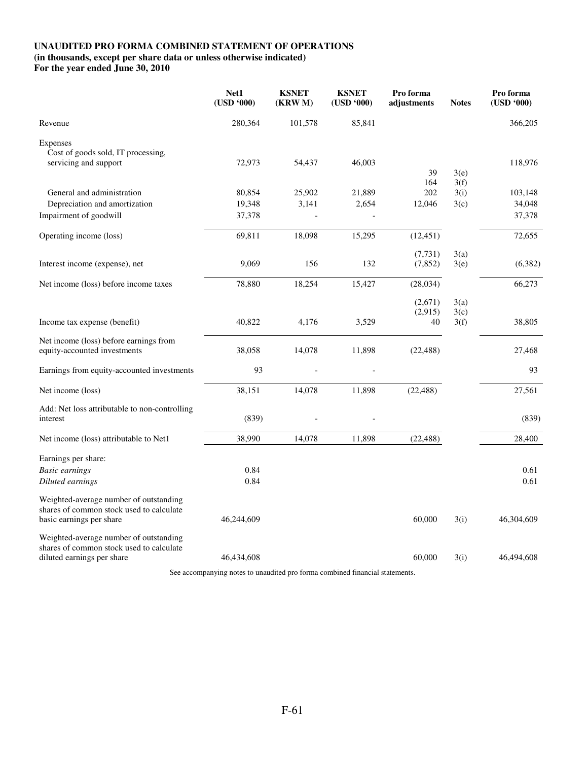## **UNAUDITED PRO FORMA COMBINED STATEMENT OF OPERATIONS**

**(in thousands, except per share data or unless otherwise indicated)** 

**For the year ended June 30, 2010** 

|                                                                                                                  | Net1<br>(USD '000) | <b>KSNET</b><br>(KRW M) | <b>KSNET</b><br>(USD '000) | Pro forma<br>adjustments | <b>Notes</b> | Pro forma<br>(USD '000) |
|------------------------------------------------------------------------------------------------------------------|--------------------|-------------------------|----------------------------|--------------------------|--------------|-------------------------|
| Revenue                                                                                                          | 280,364            | 101,578                 | 85,841                     |                          |              | 366,205                 |
| Expenses<br>Cost of goods sold, IT processing,                                                                   |                    |                         |                            |                          |              |                         |
| servicing and support                                                                                            | 72,973             | 54,437                  | 46,003                     | 39<br>164                | 3(e)<br>3(f) | 118,976                 |
| General and administration                                                                                       | 80,854             | 25,902                  | 21,889                     | 202                      | 3(i)         | 103,148                 |
| Depreciation and amortization                                                                                    | 19,348             | 3,141                   | 2,654                      | 12,046                   | 3(c)         | 34,048                  |
| Impairment of goodwill                                                                                           | 37,378             |                         |                            |                          |              | 37,378                  |
| Operating income (loss)                                                                                          | 69,811             | 18,098                  | 15,295                     | (12, 451)                |              | 72,655                  |
|                                                                                                                  |                    |                         |                            | (7, 731)                 | 3(a)         |                         |
| Interest income (expense), net                                                                                   | 9,069              | 156                     | 132                        | (7, 852)                 | 3(e)         | (6, 382)                |
| Net income (loss) before income taxes                                                                            | 78,880             | 18,254                  | 15,427                     | (28, 034)                |              | 66,273                  |
|                                                                                                                  |                    |                         |                            | (2,671)                  | 3(a)         |                         |
| Income tax expense (benefit)                                                                                     | 40,822             | 4,176                   | 3,529                      | (2,915)<br>40            | 3(c)<br>3(f) | 38,805                  |
| Net income (loss) before earnings from<br>equity-accounted investments                                           | 38,058             | 14,078                  | 11,898                     | (22, 488)                |              | 27,468                  |
| Earnings from equity-accounted investments                                                                       | 93                 |                         |                            |                          |              | 93                      |
| Net income (loss)                                                                                                | 38,151             | 14,078                  | 11,898                     | (22, 488)                |              | 27,561                  |
| Add: Net loss attributable to non-controlling<br>interest                                                        | (839)              |                         |                            |                          |              | (839)                   |
| Net income (loss) attributable to Net1                                                                           | 38,990             | 14,078                  | 11,898                     | (22, 488)                |              | 28,400                  |
| Earnings per share:                                                                                              |                    |                         |                            |                          |              |                         |
| <b>Basic earnings</b>                                                                                            | 0.84               |                         |                            |                          |              | 0.61                    |
| Diluted earnings                                                                                                 | 0.84               |                         |                            |                          |              | 0.61                    |
| Weighted-average number of outstanding<br>shares of common stock used to calculate<br>basic earnings per share   | 46,244,609         |                         |                            | 60,000                   | 3(i)         | 46,304,609              |
| Weighted-average number of outstanding<br>shares of common stock used to calculate<br>diluted earnings per share | 46,434,608         |                         |                            | 60,000                   | 3(i)         | 46,494,608              |

See accompanying notes to unaudited pro forma combined financial statements.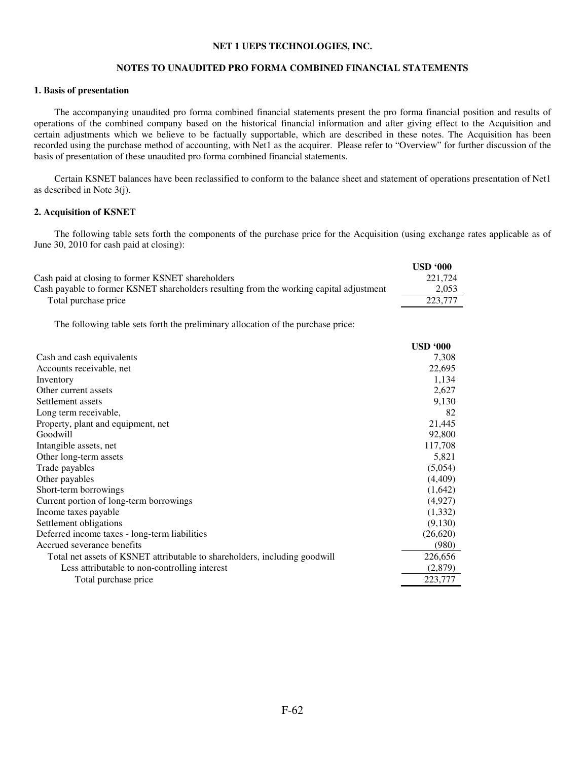#### **NET 1 UEPS TECHNOLOGIES, INC.**

#### **NOTES TO UNAUDITED PRO FORMA COMBINED FINANCIAL STATEMENTS**

## **1. Basis of presentation**

The accompanying unaudited pro forma combined financial statements present the pro forma financial position and results of operations of the combined company based on the historical financial information and after giving effect to the Acquisition and certain adjustments which we believe to be factually supportable, which are described in these notes. The Acquisition has been recorded using the purchase method of accounting, with Net1 as the acquirer. Please refer to "Overview" for further discussion of the basis of presentation of these unaudited pro forma combined financial statements.

Certain KSNET balances have been reclassified to conform to the balance sheet and statement of operations presentation of Net1 as described in Note 3(j).

## **2. Acquisition of KSNET**

The following table sets forth the components of the purchase price for the Acquisition (using exchange rates applicable as of June 30, 2010 for cash paid at closing):

|                                                                                         | USD <sub>000</sub> |
|-----------------------------------------------------------------------------------------|--------------------|
| Cash paid at closing to former KSNET shareholders                                       | 221,724            |
| Cash payable to former KSNET shareholders resulting from the working capital adjustment | 2,053              |
| Total purchase price                                                                    | 223,777            |
|                                                                                         |                    |

The following table sets forth the preliminary allocation of the purchase price:

| Cash and cash equivalents<br>Accounts receivable, net                      | 7,308<br>22,695<br>1,134<br>2,627 |
|----------------------------------------------------------------------------|-----------------------------------|
|                                                                            |                                   |
|                                                                            |                                   |
| Inventory                                                                  |                                   |
| Other current assets                                                       |                                   |
| Settlement assets                                                          | 9,130                             |
| Long term receivable,                                                      | 82                                |
| Property, plant and equipment, net                                         | 21,445                            |
| Goodwill                                                                   | 92,800                            |
| Intangible assets, net                                                     | 117,708                           |
| Other long-term assets                                                     | 5,821                             |
| Trade payables                                                             | (5,054)                           |
| Other payables                                                             | (4, 409)                          |
| Short-term borrowings                                                      | (1,642)                           |
| Current portion of long-term borrowings                                    | (4,927)                           |
| Income taxes payable                                                       | (1,332)                           |
| Settlement obligations                                                     | (9,130)                           |
| Deferred income taxes - long-term liabilities                              | (26,620)                          |
| Accrued severance benefits                                                 | (980)                             |
| Total net assets of KSNET attributable to shareholders, including goodwill | 226,656                           |
| Less attributable to non-controlling interest                              | (2,879)                           |
| Total purchase price                                                       | 223,777                           |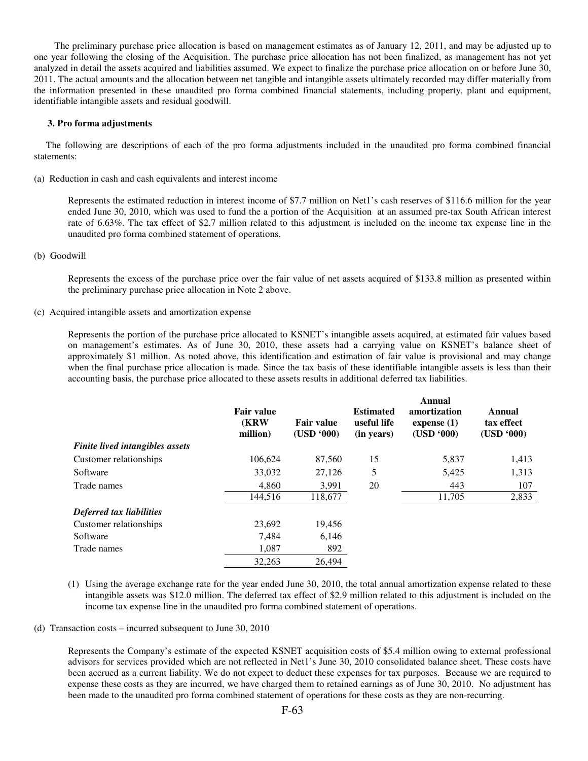The preliminary purchase price allocation is based on management estimates as of January 12, 2011, and may be adjusted up to one year following the closing of the Acquisition. The purchase price allocation has not been finalized, as management has not yet analyzed in detail the assets acquired and liabilities assumed. We expect to finalize the purchase price allocation on or before June 30, 2011. The actual amounts and the allocation between net tangible and intangible assets ultimately recorded may differ materially from the information presented in these unaudited pro forma combined financial statements, including property, plant and equipment, identifiable intangible assets and residual goodwill.

#### **3. Pro forma adjustments**

 The following are descriptions of each of the pro forma adjustments included in the unaudited pro forma combined financial statements:

(a) Reduction in cash and cash equivalents and interest income

Represents the estimated reduction in interest income of \$7.7 million on Net1's cash reserves of \$116.6 million for the year ended June 30, 2010, which was used to fund the a portion of the Acquisition at an assumed pre-tax South African interest rate of 6.63%. The tax effect of \$2.7 million related to this adjustment is included on the income tax expense line in the unaudited pro forma combined statement of operations.

(b) Goodwill

Represents the excess of the purchase price over the fair value of net assets acquired of \$133.8 million as presented within the preliminary purchase price allocation in Note 2 above.

(c) Acquired intangible assets and amortization expense

Represents the portion of the purchase price allocated to KSNET's intangible assets acquired, at estimated fair values based on management's estimates. As of June 30, 2010, these assets had a carrying value on KSNET's balance sheet of approximately \$1 million. As noted above, this identification and estimation of fair value is provisional and may change when the final purchase price allocation is made. Since the tax basis of these identifiable intangible assets is less than their accounting basis, the purchase price allocated to these assets results in additional deferred tax liabilities.

|                                 | <b>Fair value</b><br><b>(KRW)</b><br>million) | <b>Fair value</b><br>(USD '000) | <b>Estimated</b><br>useful life<br>(in years) | Annual<br>amortization<br>expense $(1)$<br>(USD '000) | Annual<br>tax effect<br>(USD '000) |
|---------------------------------|-----------------------------------------------|---------------------------------|-----------------------------------------------|-------------------------------------------------------|------------------------------------|
| Finite lived intangibles assets |                                               |                                 |                                               |                                                       |                                    |
| Customer relationships          | 106,624                                       | 87,560                          | 15                                            | 5,837                                                 | 1,413                              |
| Software                        | 33,032                                        | 27,126                          | 5                                             | 5,425                                                 | 1,313                              |
| Trade names                     | 4,860                                         | 3,991                           | 20                                            | 443                                                   | 107                                |
|                                 | 144,516                                       | 118,677                         |                                               | 11,705                                                | 2,833                              |
| Deferred tax liabilities        |                                               |                                 |                                               |                                                       |                                    |
| Customer relationships          | 23,692                                        | 19,456                          |                                               |                                                       |                                    |
| Software                        | 7,484                                         | 6,146                           |                                               |                                                       |                                    |
| Trade names                     | 1.087                                         | 892                             |                                               |                                                       |                                    |
|                                 | 32,263                                        | 26.494                          |                                               |                                                       |                                    |

(1) Using the average exchange rate for the year ended June 30, 2010, the total annual amortization expense related to these intangible assets was \$12.0 million. The deferred tax effect of \$2.9 million related to this adjustment is included on the income tax expense line in the unaudited pro forma combined statement of operations.

(d) Transaction costs – incurred subsequent to June 30, 2010

Represents the Company's estimate of the expected KSNET acquisition costs of \$5.4 million owing to external professional advisors for services provided which are not reflected in Net1's June 30, 2010 consolidated balance sheet. These costs have been accrued as a current liability. We do not expect to deduct these expenses for tax purposes. Because we are required to expense these costs as they are incurred, we have charged them to retained earnings as of June 30, 2010. No adjustment has been made to the unaudited pro forma combined statement of operations for these costs as they are non-recurring.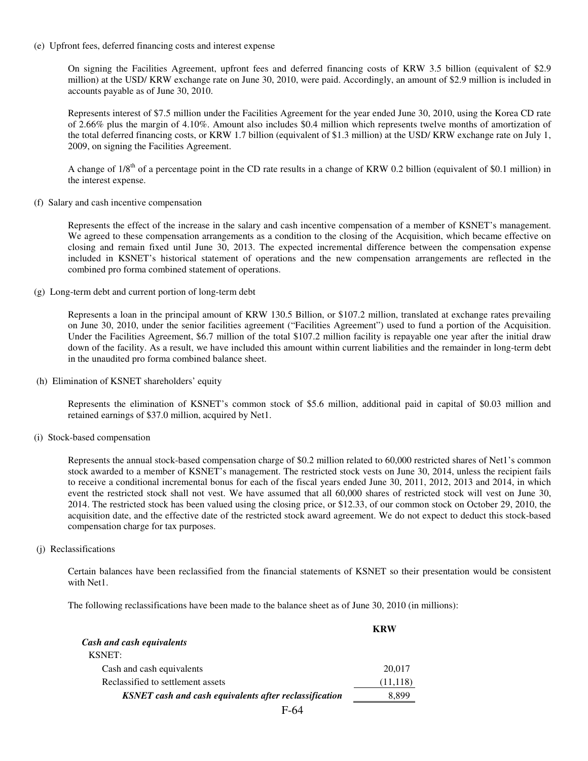(e) Upfront fees, deferred financing costs and interest expense

On signing the Facilities Agreement, upfront fees and deferred financing costs of KRW 3.5 billion (equivalent of \$2.9 million) at the USD/ KRW exchange rate on June 30, 2010, were paid. Accordingly, an amount of \$2.9 million is included in accounts payable as of June 30, 2010.

Represents interest of \$7.5 million under the Facilities Agreement for the year ended June 30, 2010, using the Korea CD rate of 2.66% plus the margin of 4.10%. Amount also includes \$0.4 million which represents twelve months of amortization of the total deferred financing costs, or KRW 1.7 billion (equivalent of \$1.3 million) at the USD/ KRW exchange rate on July 1, 2009, on signing the Facilities Agreement.

A change of  $1/8<sup>th</sup>$  of a percentage point in the CD rate results in a change of KRW 0.2 billion (equivalent of \$0.1 million) in the interest expense.

(f) Salary and cash incentive compensation

Represents the effect of the increase in the salary and cash incentive compensation of a member of KSNET's management. We agreed to these compensation arrangements as a condition to the closing of the Acquisition, which became effective on closing and remain fixed until June 30, 2013. The expected incremental difference between the compensation expense included in KSNET's historical statement of operations and the new compensation arrangements are reflected in the combined pro forma combined statement of operations.

(g) Long-term debt and current portion of long-term debt

Represents a loan in the principal amount of KRW 130.5 Billion, or \$107.2 million, translated at exchange rates prevailing on June 30, 2010, under the senior facilities agreement ("Facilities Agreement") used to fund a portion of the Acquisition. Under the Facilities Agreement, \$6.7 million of the total \$107.2 million facility is repayable one year after the initial draw down of the facility. As a result, we have included this amount within current liabilities and the remainder in long-term debt in the unaudited pro forma combined balance sheet.

(h) Elimination of KSNET shareholders' equity

Represents the elimination of KSNET's common stock of \$5.6 million, additional paid in capital of \$0.03 million and retained earnings of \$37.0 million, acquired by Net1.

(i) Stock-based compensation

Represents the annual stock-based compensation charge of \$0.2 million related to 60,000 restricted shares of Net1's common stock awarded to a member of KSNET's management. The restricted stock vests on June 30, 2014, unless the recipient fails to receive a conditional incremental bonus for each of the fiscal years ended June 30, 2011, 2012, 2013 and 2014, in which event the restricted stock shall not vest. We have assumed that all 60,000 shares of restricted stock will vest on June 30, 2014. The restricted stock has been valued using the closing price, or \$12.33, of our common stock on October 29, 2010, the acquisition date, and the effective date of the restricted stock award agreement. We do not expect to deduct this stock-based compensation charge for tax purposes.

(j) Reclassifications

 Certain balances have been reclassified from the financial statements of KSNET so their presentation would be consistent with Net1.

The following reclassifications have been made to the balance sheet as of June 30, 2010 (in millions):

|                                                               | <b>KRW</b> |
|---------------------------------------------------------------|------------|
| Cash and cash equivalents                                     |            |
| <b>KSNET:</b>                                                 |            |
| Cash and cash equivalents                                     | 20,017     |
| Reclassified to settlement assets                             | (11, 118)  |
| <b>KSNET</b> cash and cash equivalents after reclassification | 8.899      |
| $\Gamma$ $\sim$ $\Lambda$                                     |            |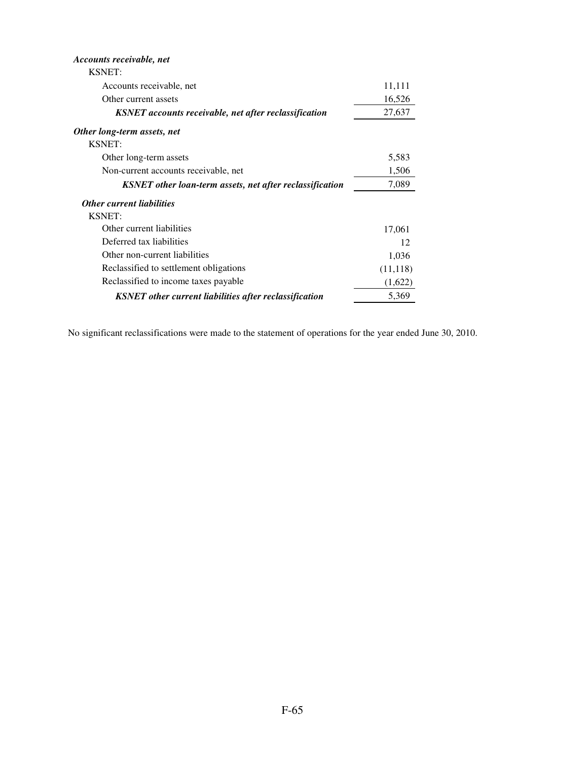| <i>Accounts receivable, net</i>                               |           |
|---------------------------------------------------------------|-----------|
| <b>KSNET:</b>                                                 |           |
| Accounts receivable, net                                      | 11,111    |
| Other current assets                                          | 16,526    |
| <b>KSNET</b> accounts receivable, net after reclassification  | 27,637    |
| Other long-term assets, net                                   |           |
| <b>KSNET:</b>                                                 |           |
| Other long-term assets                                        | 5,583     |
| Non-current accounts receivable, net                          | 1,506     |
| KSNET other loan-term assets, net after reclassification      | 7,089     |
| <b>Other current liabilities</b>                              |           |
| <b>KSNET:</b>                                                 |           |
| Other current liabilities                                     | 17,061    |
| Deferred tax liabilities                                      | 12        |
| Other non-current liabilities                                 | 1,036     |
| Reclassified to settlement obligations                        | (11, 118) |
| Reclassified to income taxes payable                          | (1,622)   |
| <b>KSNET</b> other current liabilities after reclassification | 5,369     |

No significant reclassifications were made to the statement of operations for the year ended June 30, 2010.